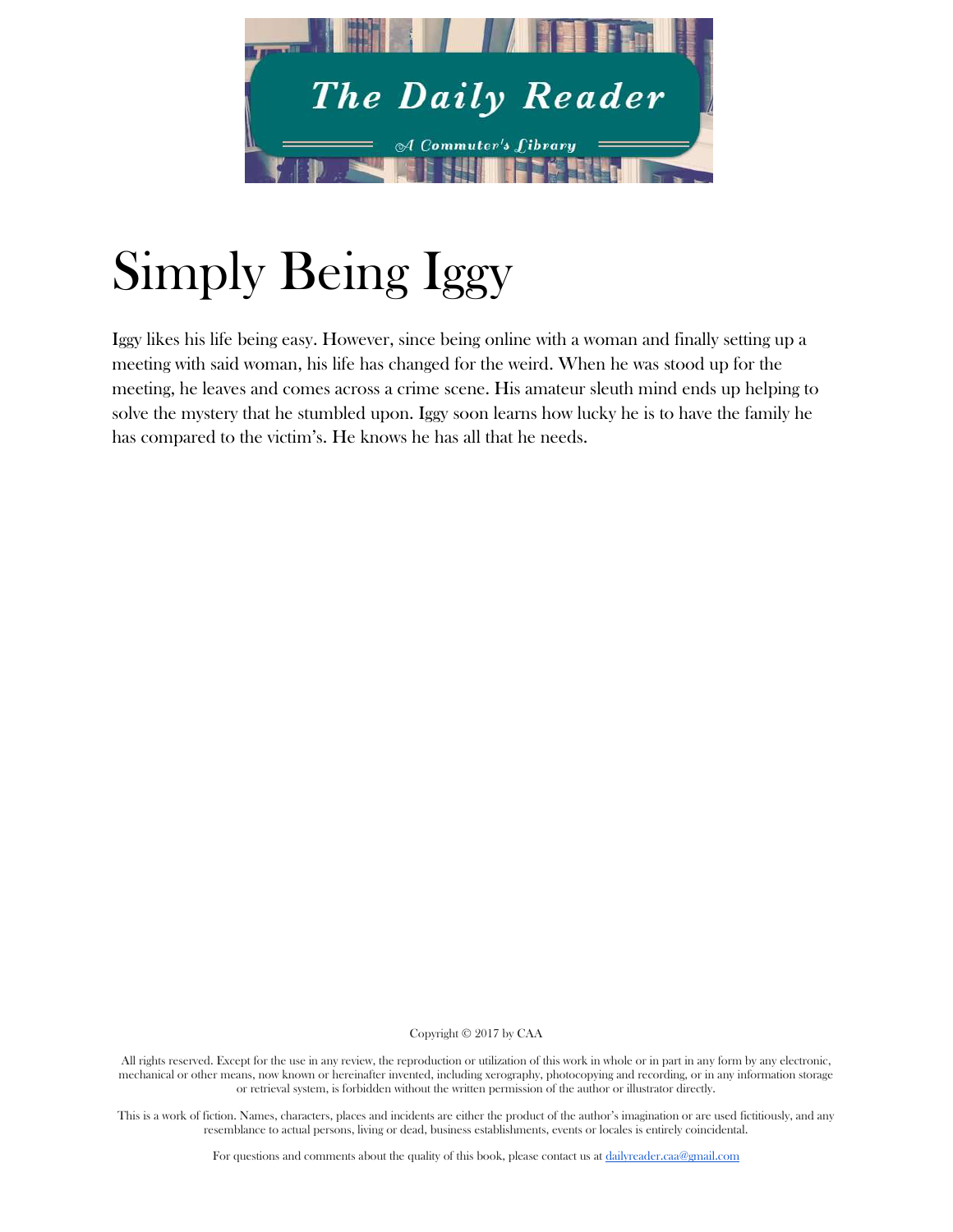

# Simply Being Iggy

Iggy likes his life being easy. However, since being online with a woman and finally setting up a meeting with said woman, his life has changed for the weird. When he was stood up for the meeting, he leaves and comes across a crime scene. His amateur sleuth mind ends up helping to solve the mystery that he stumbled upon. Iggy soon learns how lucky he is to have the family he has compared to the victim's. He knows he has all that he needs.

Copyright © 2017 by CAA

All rights reserved. Except for the use in any review, the reproduction or utilization of this work in whole or in part in any form by any electronic, mechanical or other means, now known or hereinafter invented, including xerography, photocopying and recording, or in any information storage or retrieval system, is forbidden without the written permission of the author or illustrator directly.

This is a work of fiction. Names, characters, places and incidents are either the product of the author's imagination or are used fictitiously, and any resemblance to actual persons, living or dead, business establishments, events or locales is entirely coincidental.

For questions and comments about the quality of this book, please contact us at [dailyreader.caa@gmail.com](mailto:dailyreader.caa@gmail.com)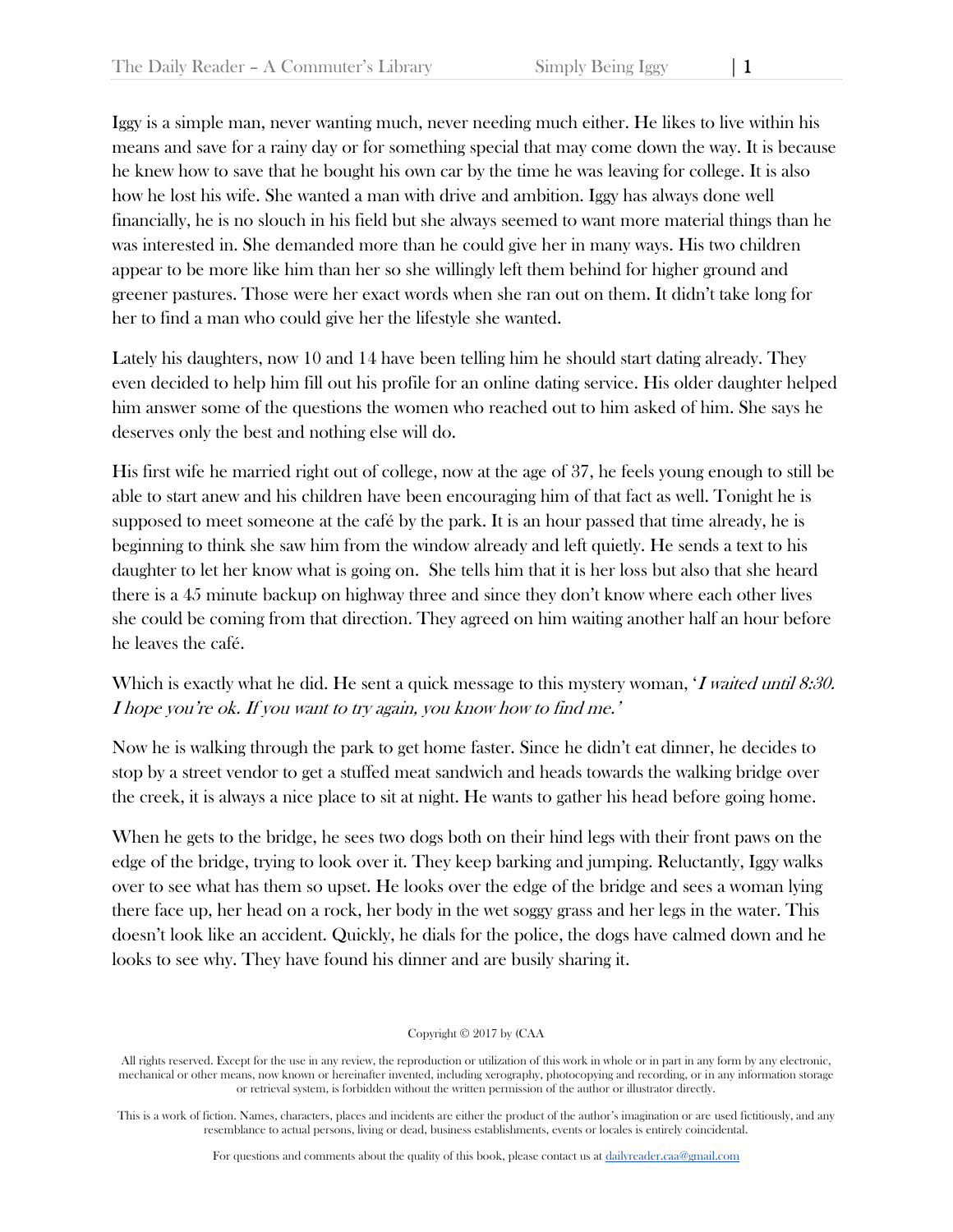Iggy is a simple man, never wanting much, never needing much either. He likes to live within his means and save for a rainy day or for something special that may come down the way. It is because he knew how to save that he bought his own car by the time he was leaving for college. It is also how he lost his wife. She wanted a man with drive and ambition. Iggy has always done well financially, he is no slouch in his field but she always seemed to want more material things than he was interested in. She demanded more than he could give her in many ways. His two children appear to be more like him than her so she willingly left them behind for higher ground and greener pastures. Those were her exact words when she ran out on them. It didn't take long for her to find a man who could give her the lifestyle she wanted.

Lately his daughters, now 10 and 14 have been telling him he should start dating already. They even decided to help him fill out his profile for an online dating service. His older daughter helped him answer some of the questions the women who reached out to him asked of him. She says he deserves only the best and nothing else will do.

His first wife he married right out of college, now at the age of 37, he feels young enough to still be able to start anew and his children have been encouraging him of that fact as well. Tonight he is supposed to meet someone at the café by the park. It is an hour passed that time already, he is beginning to think she saw him from the window already and left quietly. He sends a text to his daughter to let her know what is going on. She tells him that it is her loss but also that she heard there is a 45 minute backup on highway three and since they don't know where each other lives she could be coming from that direction. They agreed on him waiting another half an hour before he leaves the café.

# Which is exactly what he did. He sent a quick message to this mystery woman, 'I waited until 8:30. I hope you're ok. If you want to try again, you know how to find me.'

Now he is walking through the park to get home faster. Since he didn't eat dinner, he decides to stop by a street vendor to get a stuffed meat sandwich and heads towards the walking bridge over the creek, it is always a nice place to sit at night. He wants to gather his head before going home.

When he gets to the bridge, he sees two dogs both on their hind legs with their front paws on the edge of the bridge, trying to look over it. They keep barking and jumping. Reluctantly, Iggy walks over to see what has them so upset. He looks over the edge of the bridge and sees a woman lying there face up, her head on a rock, her body in the wet soggy grass and her legs in the water. This doesn't look like an accident. Quickly, he dials for the police, the dogs have calmed down and he looks to see why. They have found his dinner and are busily sharing it.

Copyright © 2017 by (CAA

All rights reserved. Except for the use in any review, the reproduction or utilization of this work in whole or in part in any form by any electronic, mechanical or other means, now known or hereinafter invented, including xerography, photocopying and recording, or in any information storage or retrieval system, is forbidden without the written permission of the author or illustrator directly.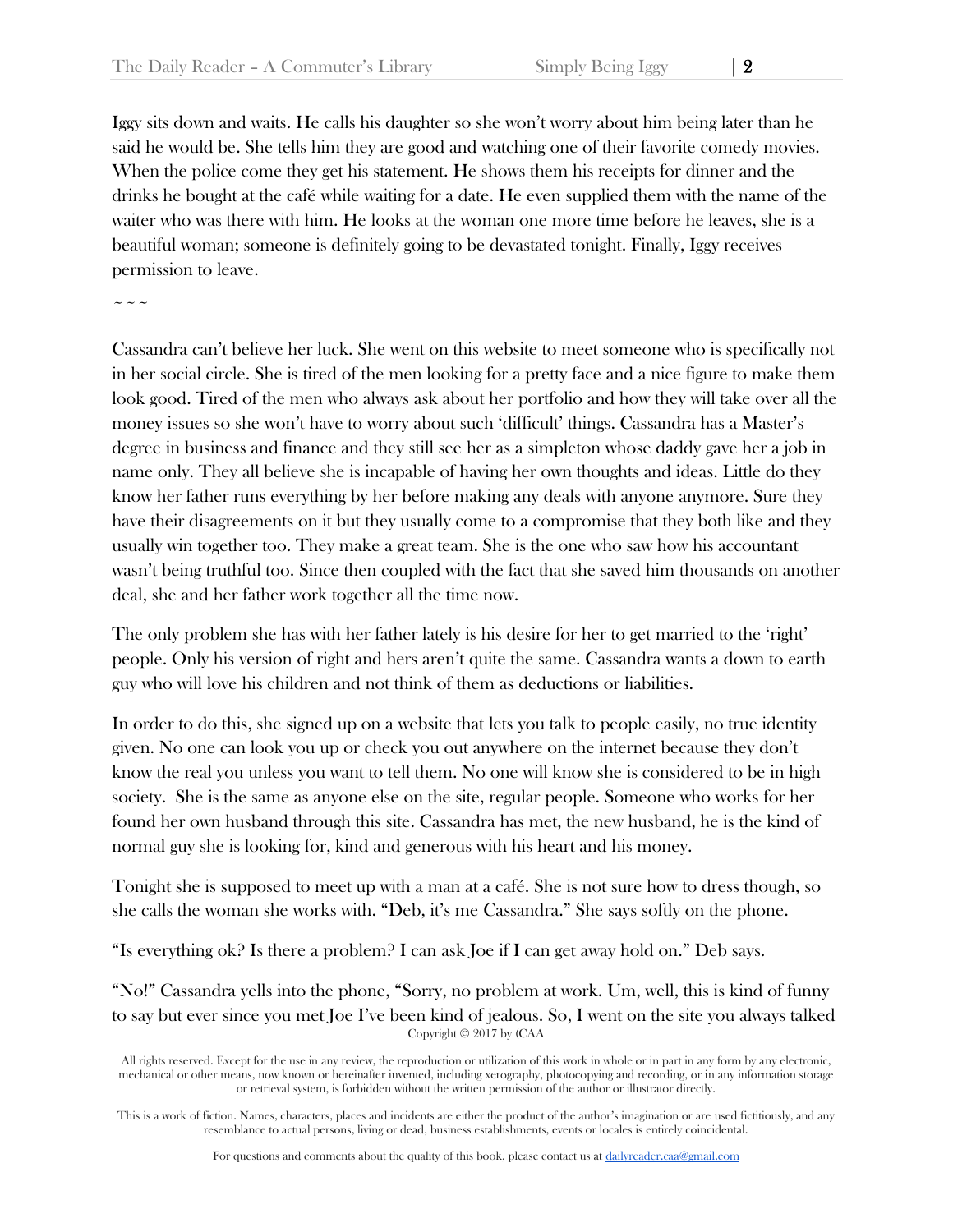Iggy sits down and waits. He calls his daughter so she won't worry about him being later than he said he would be. She tells him they are good and watching one of their favorite comedy movies. When the police come they get his statement. He shows them his receipts for dinner and the drinks he bought at the café while waiting for a date. He even supplied them with the name of the waiter who was there with him. He looks at the woman one more time before he leaves, she is a beautiful woman; someone is definitely going to be devastated tonight. Finally, Iggy receives permission to leave.

 $\sim$   $\sim$   $\sim$ 

Cassandra can't believe her luck. She went on this website to meet someone who is specifically not in her social circle. She is tired of the men looking for a pretty face and a nice figure to make them look good. Tired of the men who always ask about her portfolio and how they will take over all the money issues so she won't have to worry about such 'difficult' things. Cassandra has a Master's degree in business and finance and they still see her as a simpleton whose daddy gave her a job in name only. They all believe she is incapable of having her own thoughts and ideas. Little do they know her father runs everything by her before making any deals with anyone anymore. Sure they have their disagreements on it but they usually come to a compromise that they both like and they usually win together too. They make a great team. She is the one who saw how his accountant wasn't being truthful too. Since then coupled with the fact that she saved him thousands on another deal, she and her father work together all the time now.

The only problem she has with her father lately is his desire for her to get married to the 'right' people. Only his version of right and hers aren't quite the same. Cassandra wants a down to earth guy who will love his children and not think of them as deductions or liabilities.

In order to do this, she signed up on a website that lets you talk to people easily, no true identity given. No one can look you up or check you out anywhere on the internet because they don't know the real you unless you want to tell them. No one will know she is considered to be in high society. She is the same as anyone else on the site, regular people. Someone who works for her found her own husband through this site. Cassandra has met, the new husband, he is the kind of normal guy she is looking for, kind and generous with his heart and his money.

Tonight she is supposed to meet up with a man at a café. She is not sure how to dress though, so she calls the woman she works with. "Deb, it's me Cassandra." She says softly on the phone.

"Is everything ok? Is there a problem? I can ask Joe if I can get away hold on." Deb says.

Copyright © 2017 by (CAA "No!" Cassandra yells into the phone, "Sorry, no problem at work. Um, well, this is kind of funny to say but ever since you met Joe I've been kind of jealous. So, I went on the site you always talked

All rights reserved. Except for the use in any review, the reproduction or utilization of this work in whole or in part in any form by any electronic, mechanical or other means, now known or hereinafter invented, including xerography, photocopying and recording, or in any information storage or retrieval system, is forbidden without the written permission of the author or illustrator directly.

This is a work of fiction. Names, characters, places and incidents are either the product of the author's imagination or are used fictitiously, and any resemblance to actual persons, living or dead, business establishments, events or locales is entirely coincidental.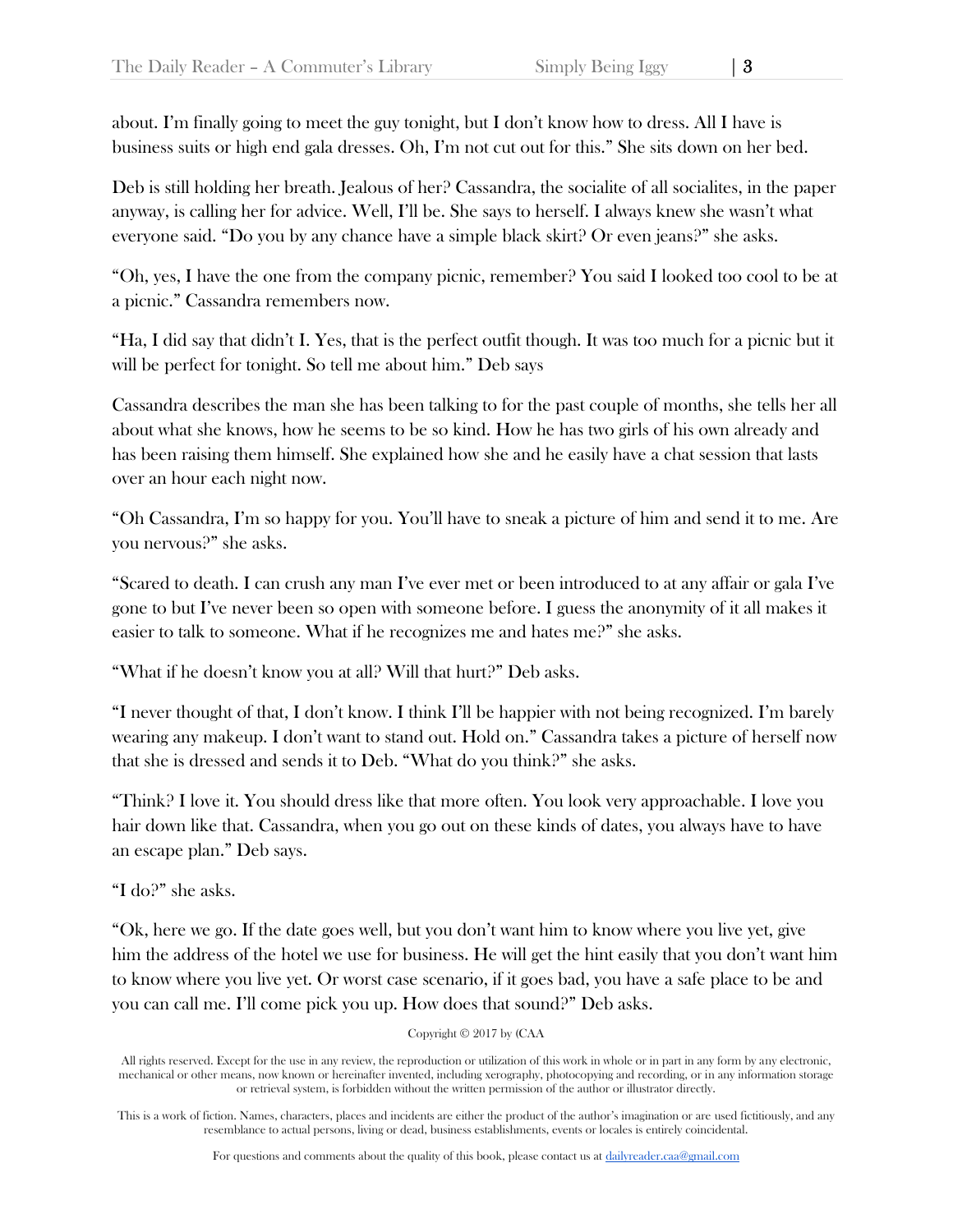about. I'm finally going to meet the guy tonight, but I don't know how to dress. All I have is business suits or high end gala dresses. Oh, I'm not cut out for this." She sits down on her bed.

Deb is still holding her breath. Jealous of her? Cassandra, the socialite of all socialites, in the paper anyway, is calling her for advice. Well, I'll be. She says to herself. I always knew she wasn't what everyone said. "Do you by any chance have a simple black skirt? Or even jeans?" she asks.

"Oh, yes, I have the one from the company picnic, remember? You said I looked too cool to be at a picnic." Cassandra remembers now.

"Ha, I did say that didn't I. Yes, that is the perfect outfit though. It was too much for a picnic but it will be perfect for tonight. So tell me about him." Deb says

Cassandra describes the man she has been talking to for the past couple of months, she tells her all about what she knows, how he seems to be so kind. How he has two girls of his own already and has been raising them himself. She explained how she and he easily have a chat session that lasts over an hour each night now.

"Oh Cassandra, I'm so happy for you. You'll have to sneak a picture of him and send it to me. Are you nervous?" she asks.

"Scared to death. I can crush any man I've ever met or been introduced to at any affair or gala I've gone to but I've never been so open with someone before. I guess the anonymity of it all makes it easier to talk to someone. What if he recognizes me and hates me?" she asks.

"What if he doesn't know you at all? Will that hurt?" Deb asks.

"I never thought of that, I don't know. I think I'll be happier with not being recognized. I'm barely wearing any makeup. I don't want to stand out. Hold on." Cassandra takes a picture of herself now that she is dressed and sends it to Deb. "What do you think?" she asks.

"Think? I love it. You should dress like that more often. You look very approachable. I love you hair down like that. Cassandra, when you go out on these kinds of dates, you always have to have an escape plan." Deb says.

"I do?" she asks.

"Ok, here we go. If the date goes well, but you don't want him to know where you live yet, give him the address of the hotel we use for business. He will get the hint easily that you don't want him to know where you live yet. Or worst case scenario, if it goes bad, you have a safe place to be and you can call me. I'll come pick you up. How does that sound?" Deb asks.

Copyright © 2017 by (CAA

All rights reserved. Except for the use in any review, the reproduction or utilization of this work in whole or in part in any form by any electronic, mechanical or other means, now known or hereinafter invented, including xerography, photocopying and recording, or in any information storage or retrieval system, is forbidden without the written permission of the author or illustrator directly.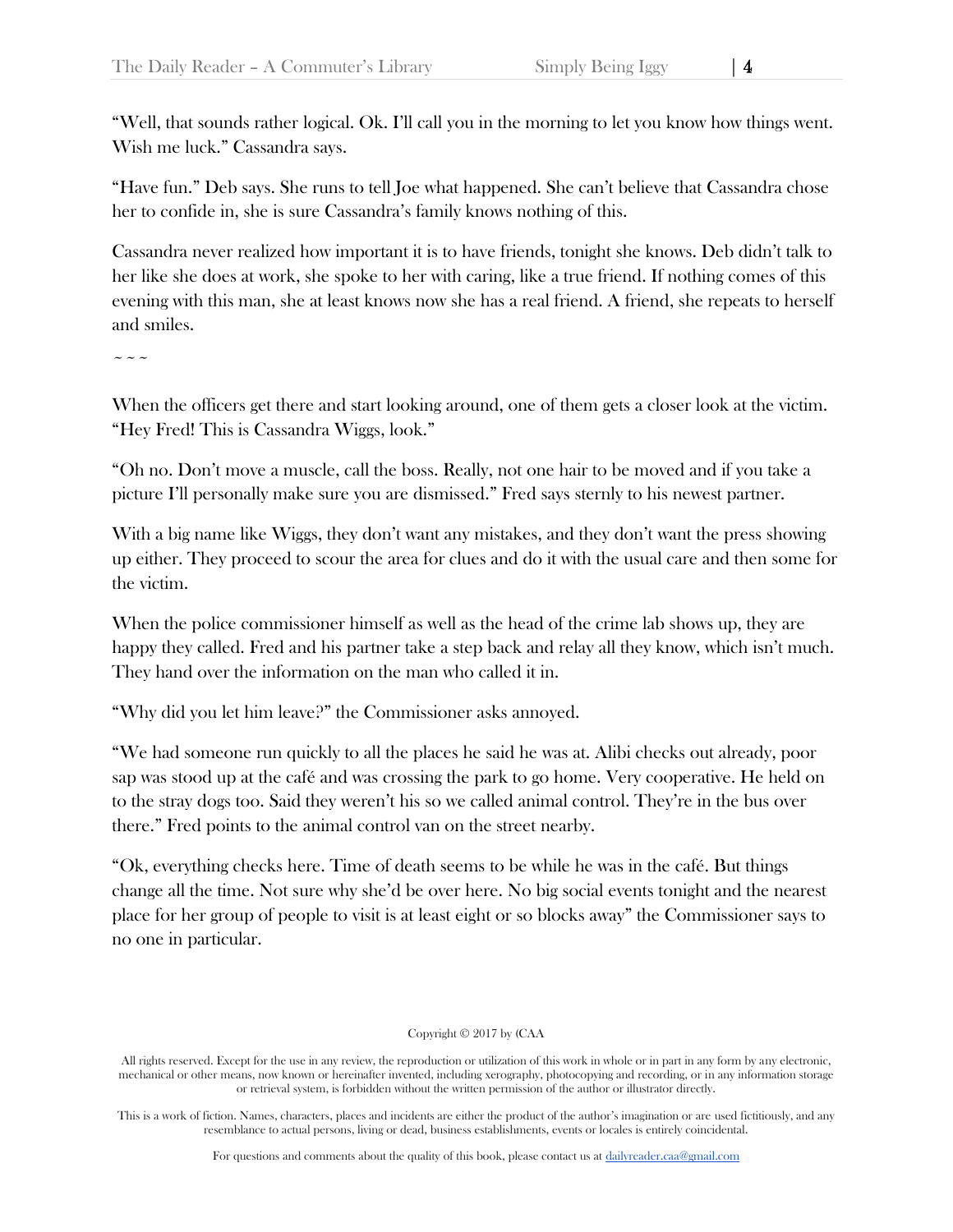"Well, that sounds rather logical. Ok. I'll call you in the morning to let you know how things went. Wish me luck." Cassandra says.

"Have fun." Deb says. She runs to tell Joe what happened. She can't believe that Cassandra chose her to confide in, she is sure Cassandra's family knows nothing of this.

Cassandra never realized how important it is to have friends, tonight she knows. Deb didn't talk to her like she does at work, she spoke to her with caring, like a true friend. If nothing comes of this evening with this man, she at least knows now she has a real friend. A friend, she repeats to herself and smiles.

 $\sim\sim\sim$ 

When the officers get there and start looking around, one of them gets a closer look at the victim. "Hey Fred! This is Cassandra Wiggs, look."

"Oh no. Don't move a muscle, call the boss. Really, not one hair to be moved and if you take a picture I'll personally make sure you are dismissed." Fred says sternly to his newest partner.

With a big name like Wiggs, they don't want any mistakes, and they don't want the press showing up either. They proceed to scour the area for clues and do it with the usual care and then some for the victim.

When the police commissioner himself as well as the head of the crime lab shows up, they are happy they called. Fred and his partner take a step back and relay all they know, which isn't much. They hand over the information on the man who called it in.

"Why did you let him leave?" the Commissioner asks annoyed.

"We had someone run quickly to all the places he said he was at. Alibi checks out already, poor sap was stood up at the café and was crossing the park to go home. Very cooperative. He held on to the stray dogs too. Said they weren't his so we called animal control. They're in the bus over there." Fred points to the animal control van on the street nearby.

"Ok, everything checks here. Time of death seems to be while he was in the café. But things change all the time. Not sure why she'd be over here. No big social events tonight and the nearest place for her group of people to visit is at least eight or so blocks away" the Commissioner says to no one in particular.

## Copyright © 2017 by (CAA

All rights reserved. Except for the use in any review, the reproduction or utilization of this work in whole or in part in any form by any electronic, mechanical or other means, now known or hereinafter invented, including xerography, photocopying and recording, or in any information storage or retrieval system, is forbidden without the written permission of the author or illustrator directly.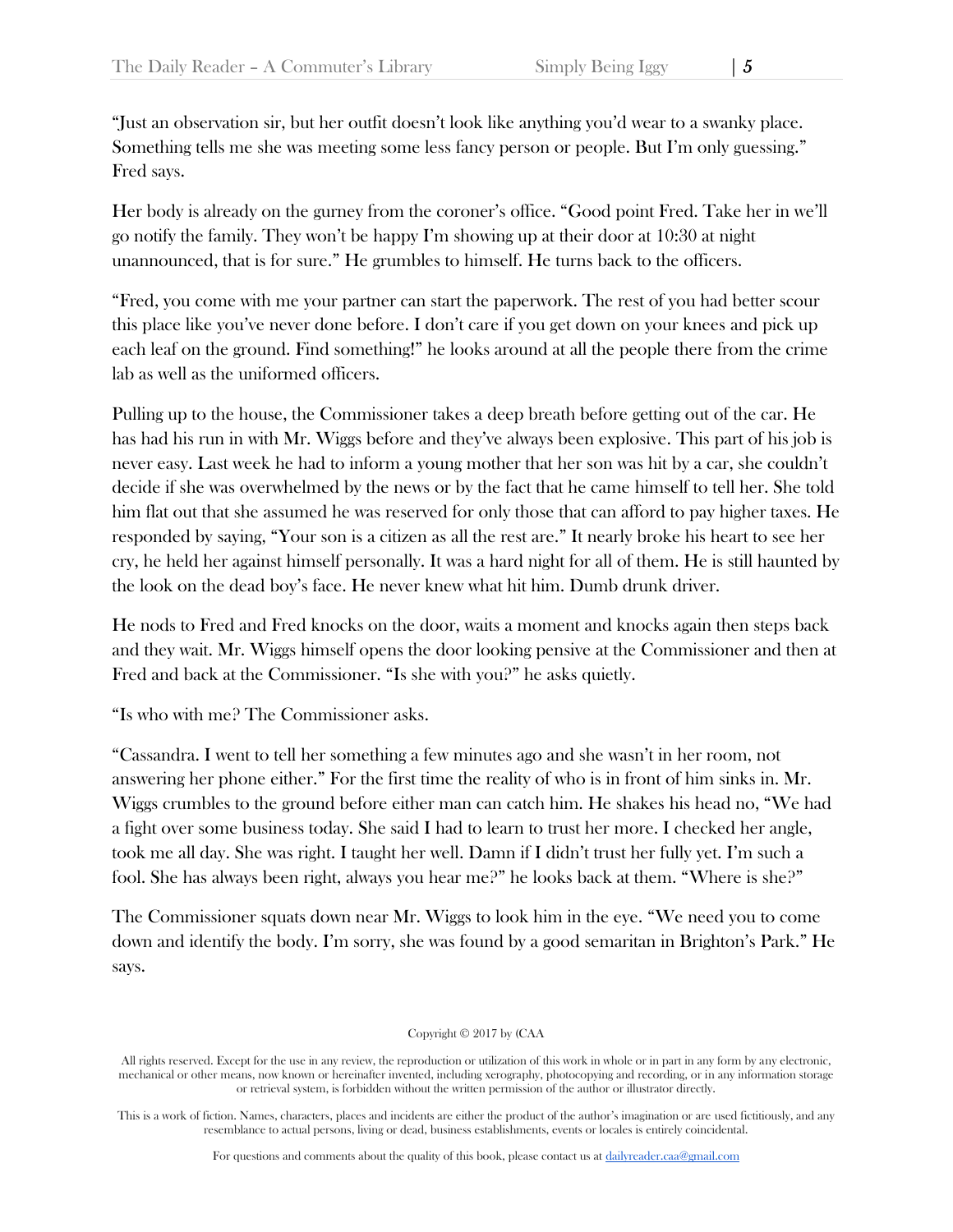"Just an observation sir, but her outfit doesn't look like anything you'd wear to a swanky place. Something tells me she was meeting some less fancy person or people. But I'm only guessing." Fred says.

Her body is already on the gurney from the coroner's office. "Good point Fred. Take her in we'll go notify the family. They won't be happy I'm showing up at their door at 10:30 at night unannounced, that is for sure." He grumbles to himself. He turns back to the officers.

"Fred, you come with me your partner can start the paperwork. The rest of you had better scour this place like you've never done before. I don't care if you get down on your knees and pick up each leaf on the ground. Find something!" he looks around at all the people there from the crime lab as well as the uniformed officers.

Pulling up to the house, the Commissioner takes a deep breath before getting out of the car. He has had his run in with Mr. Wiggs before and they've always been explosive. This part of his job is never easy. Last week he had to inform a young mother that her son was hit by a car, she couldn't decide if she was overwhelmed by the news or by the fact that he came himself to tell her. She told him flat out that she assumed he was reserved for only those that can afford to pay higher taxes. He responded by saying, "Your son is a citizen as all the rest are." It nearly broke his heart to see her cry, he held her against himself personally. It was a hard night for all of them. He is still haunted by the look on the dead boy's face. He never knew what hit him. Dumb drunk driver.

He nods to Fred and Fred knocks on the door, waits a moment and knocks again then steps back and they wait. Mr. Wiggs himself opens the door looking pensive at the Commissioner and then at Fred and back at the Commissioner. "Is she with you?" he asks quietly.

"Is who with me? The Commissioner asks.

"Cassandra. I went to tell her something a few minutes ago and she wasn't in her room, not answering her phone either." For the first time the reality of who is in front of him sinks in. Mr. Wiggs crumbles to the ground before either man can catch him. He shakes his head no, "We had a fight over some business today. She said I had to learn to trust her more. I checked her angle, took me all day. She was right. I taught her well. Damn if I didn't trust her fully yet. I'm such a fool. She has always been right, always you hear me?" he looks back at them. "Where is she?"

The Commissioner squats down near Mr. Wiggs to look him in the eye. "We need you to come down and identify the body. I'm sorry, she was found by a good semaritan in Brighton's Park." He says.

Copyright © 2017 by (CAA

All rights reserved. Except for the use in any review, the reproduction or utilization of this work in whole or in part in any form by any electronic, mechanical or other means, now known or hereinafter invented, including xerography, photocopying and recording, or in any information storage or retrieval system, is forbidden without the written permission of the author or illustrator directly.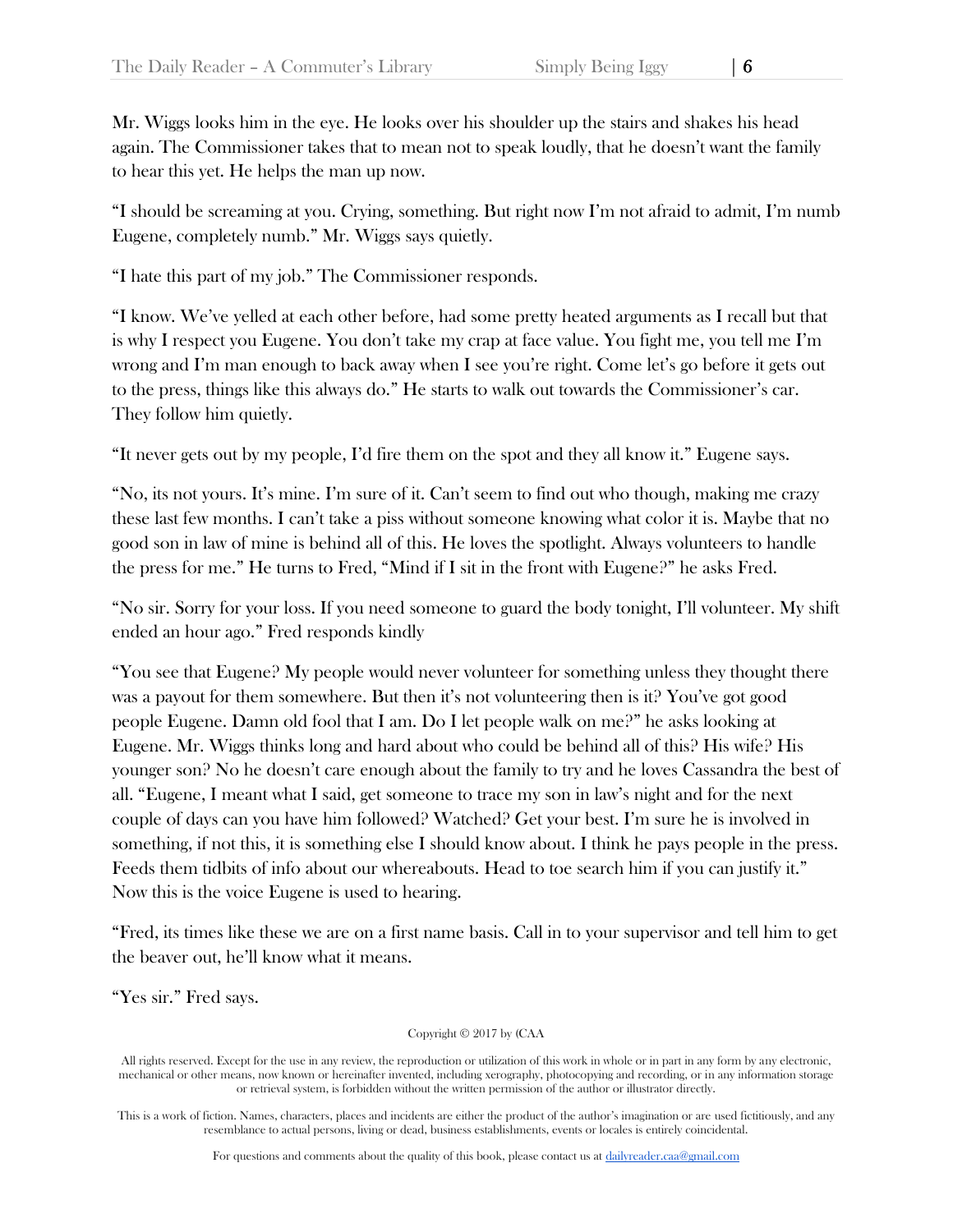Mr. Wiggs looks him in the eye. He looks over his shoulder up the stairs and shakes his head again. The Commissioner takes that to mean not to speak loudly, that he doesn't want the family to hear this yet. He helps the man up now.

"I should be screaming at you. Crying, something. But right now I'm not afraid to admit, I'm numb Eugene, completely numb." Mr. Wiggs says quietly.

"I hate this part of my job." The Commissioner responds.

"I know. We've yelled at each other before, had some pretty heated arguments as I recall but that is why I respect you Eugene. You don't take my crap at face value. You fight me, you tell me I'm wrong and I'm man enough to back away when I see you're right. Come let's go before it gets out to the press, things like this always do." He starts to walk out towards the Commissioner's car. They follow him quietly.

"It never gets out by my people, I'd fire them on the spot and they all know it." Eugene says.

"No, its not yours. It's mine. I'm sure of it. Can't seem to find out who though, making me crazy these last few months. I can't take a piss without someone knowing what color it is. Maybe that no good son in law of mine is behind all of this. He loves the spotlight. Always volunteers to handle the press for me." He turns to Fred, "Mind if I sit in the front with Eugene?" he asks Fred.

"No sir. Sorry for your loss. If you need someone to guard the body tonight, I'll volunteer. My shift ended an hour ago." Fred responds kindly

"You see that Eugene? My people would never volunteer for something unless they thought there was a payout for them somewhere. But then it's not volunteering then is it? You've got good people Eugene. Damn old fool that I am. Do I let people walk on me?" he asks looking at Eugene. Mr. Wiggs thinks long and hard about who could be behind all of this? His wife? His younger son? No he doesn't care enough about the family to try and he loves Cassandra the best of all. "Eugene, I meant what I said, get someone to trace my son in law's night and for the next couple of days can you have him followed? Watched? Get your best. I'm sure he is involved in something, if not this, it is something else I should know about. I think he pays people in the press. Feeds them tidbits of info about our whereabouts. Head to toe search him if you can justify it." Now this is the voice Eugene is used to hearing.

"Fred, its times like these we are on a first name basis. Call in to your supervisor and tell him to get the beaver out, he'll know what it means.

"Yes sir." Fred says.

Copyright © 2017 by (CAA

All rights reserved. Except for the use in any review, the reproduction or utilization of this work in whole or in part in any form by any electronic, mechanical or other means, now known or hereinafter invented, including xerography, photocopying and recording, or in any information storage or retrieval system, is forbidden without the written permission of the author or illustrator directly.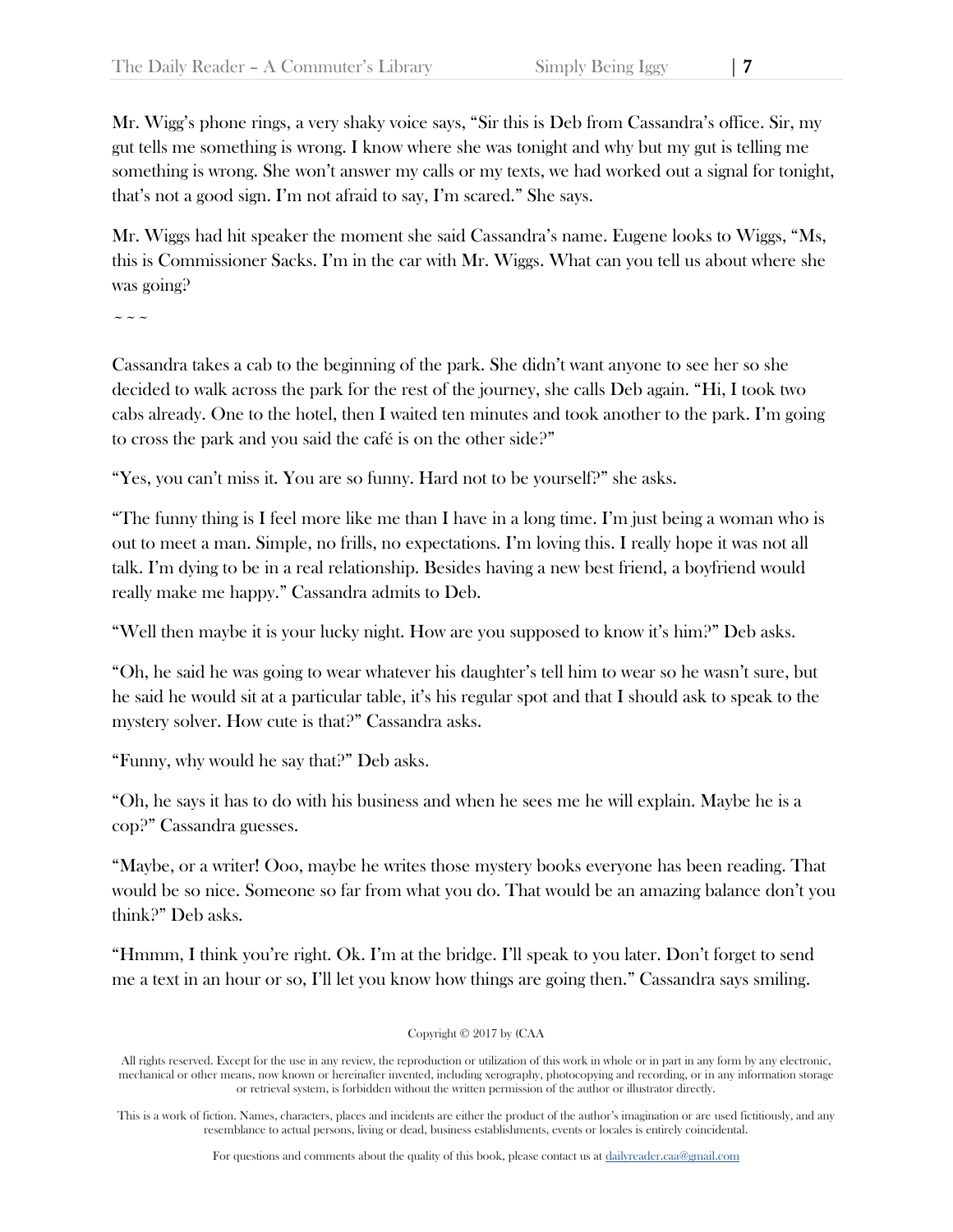Mr. Wigg's phone rings, a very shaky voice says, "Sir this is Deb from Cassandra's office. Sir, my gut tells me something is wrong. I know where she was tonight and why but my gut is telling me something is wrong. She won't answer my calls or my texts, we had worked out a signal for tonight, that's not a good sign. I'm not afraid to say, I'm scared." She says.

Mr. Wiggs had hit speaker the moment she said Cassandra's name. Eugene looks to Wiggs, "Ms, this is Commissioner Sacks. I'm in the car with Mr. Wiggs. What can you tell us about where she was going?

 $\sim$   $\sim$   $\sim$ 

Cassandra takes a cab to the beginning of the park. She didn't want anyone to see her so she decided to walk across the park for the rest of the journey, she calls Deb again. "Hi, I took two cabs already. One to the hotel, then I waited ten minutes and took another to the park. I'm going to cross the park and you said the café is on the other side?"

"Yes, you can't miss it. You are so funny. Hard not to be yourself?" she asks.

"The funny thing is I feel more like me than I have in a long time. I'm just being a woman who is out to meet a man. Simple, no frills, no expectations. I'm loving this. I really hope it was not all talk. I'm dying to be in a real relationship. Besides having a new best friend, a boyfriend would really make me happy." Cassandra admits to Deb.

"Well then maybe it is your lucky night. How are you supposed to know it's him?" Deb asks.

"Oh, he said he was going to wear whatever his daughter's tell him to wear so he wasn't sure, but he said he would sit at a particular table, it's his regular spot and that I should ask to speak to the mystery solver. How cute is that?" Cassandra asks.

"Funny, why would he say that?" Deb asks.

"Oh, he says it has to do with his business and when he sees me he will explain. Maybe he is a cop?" Cassandra guesses.

"Maybe, or a writer! Ooo, maybe he writes those mystery books everyone has been reading. That would be so nice. Someone so far from what you do. That would be an amazing balance don't you think?" Deb asks.

"Hmmm, I think you're right. Ok. I'm at the bridge. I'll speak to you later. Don't forget to send me a text in an hour or so, I'll let you know how things are going then." Cassandra says smiling.

Copyright © 2017 by (CAA

All rights reserved. Except for the use in any review, the reproduction or utilization of this work in whole or in part in any form by any electronic, mechanical or other means, now known or hereinafter invented, including xerography, photocopying and recording, or in any information storage or retrieval system, is forbidden without the written permission of the author or illustrator directly.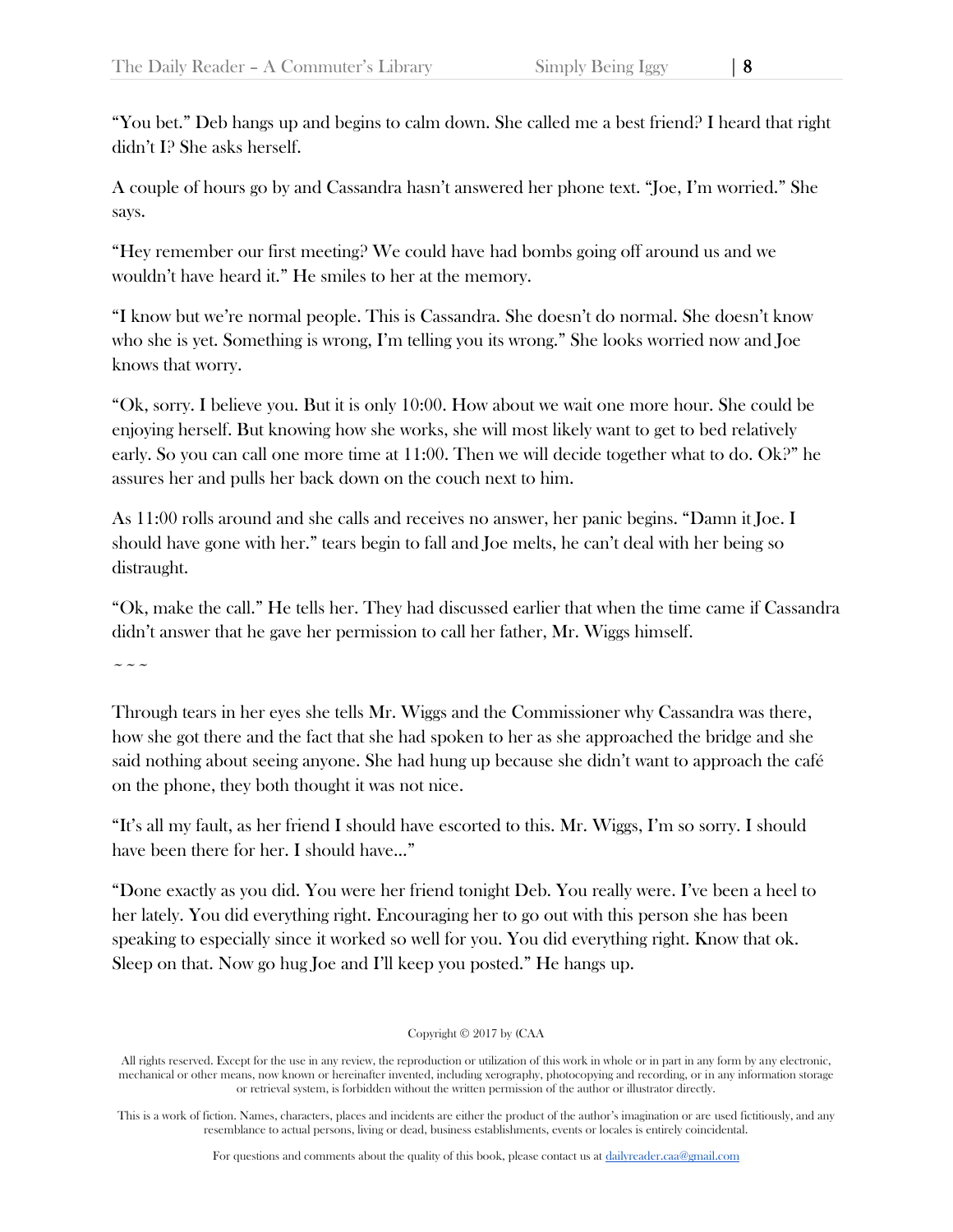"You bet." Deb hangs up and begins to calm down. She called me a best friend? I heard that right didn't I? She asks herself.

A couple of hours go by and Cassandra hasn't answered her phone text. "Joe, I'm worried." She says.

"Hey remember our first meeting? We could have had bombs going off around us and we wouldn't have heard it." He smiles to her at the memory.

"I know but we're normal people. This is Cassandra. She doesn't do normal. She doesn't know who she is yet. Something is wrong, I'm telling you its wrong." She looks worried now and Joe knows that worry.

"Ok, sorry. I believe you. But it is only 10:00. How about we wait one more hour. She could be enjoying herself. But knowing how she works, she will most likely want to get to bed relatively early. So you can call one more time at 11:00. Then we will decide together what to do. Ok?" he assures her and pulls her back down on the couch next to him.

As 11:00 rolls around and she calls and receives no answer, her panic begins. "Damn it Joe. I should have gone with her." tears begin to fall and Joe melts, he can't deal with her being so distraught.

"Ok, make the call." He tells her. They had discussed earlier that when the time came if Cassandra didn't answer that he gave her permission to call her father, Mr. Wiggs himself.

 $\sim\sim\sim$ 

Through tears in her eyes she tells Mr. Wiggs and the Commissioner why Cassandra was there, how she got there and the fact that she had spoken to her as she approached the bridge and she said nothing about seeing anyone. She had hung up because she didn't want to approach the café on the phone, they both thought it was not nice.

"It's all my fault, as her friend I should have escorted to this. Mr. Wiggs, I'm so sorry. I should have been there for her. I should have…"

"Done exactly as you did. You were her friend tonight Deb. You really were. I've been a heel to her lately. You did everything right. Encouraging her to go out with this person she has been speaking to especially since it worked so well for you. You did everything right. Know that ok. Sleep on that. Now go hug Joe and I'll keep you posted." He hangs up.

## Copyright © 2017 by (CAA

All rights reserved. Except for the use in any review, the reproduction or utilization of this work in whole or in part in any form by any electronic, mechanical or other means, now known or hereinafter invented, including xerography, photocopying and recording, or in any information storage or retrieval system, is forbidden without the written permission of the author or illustrator directly.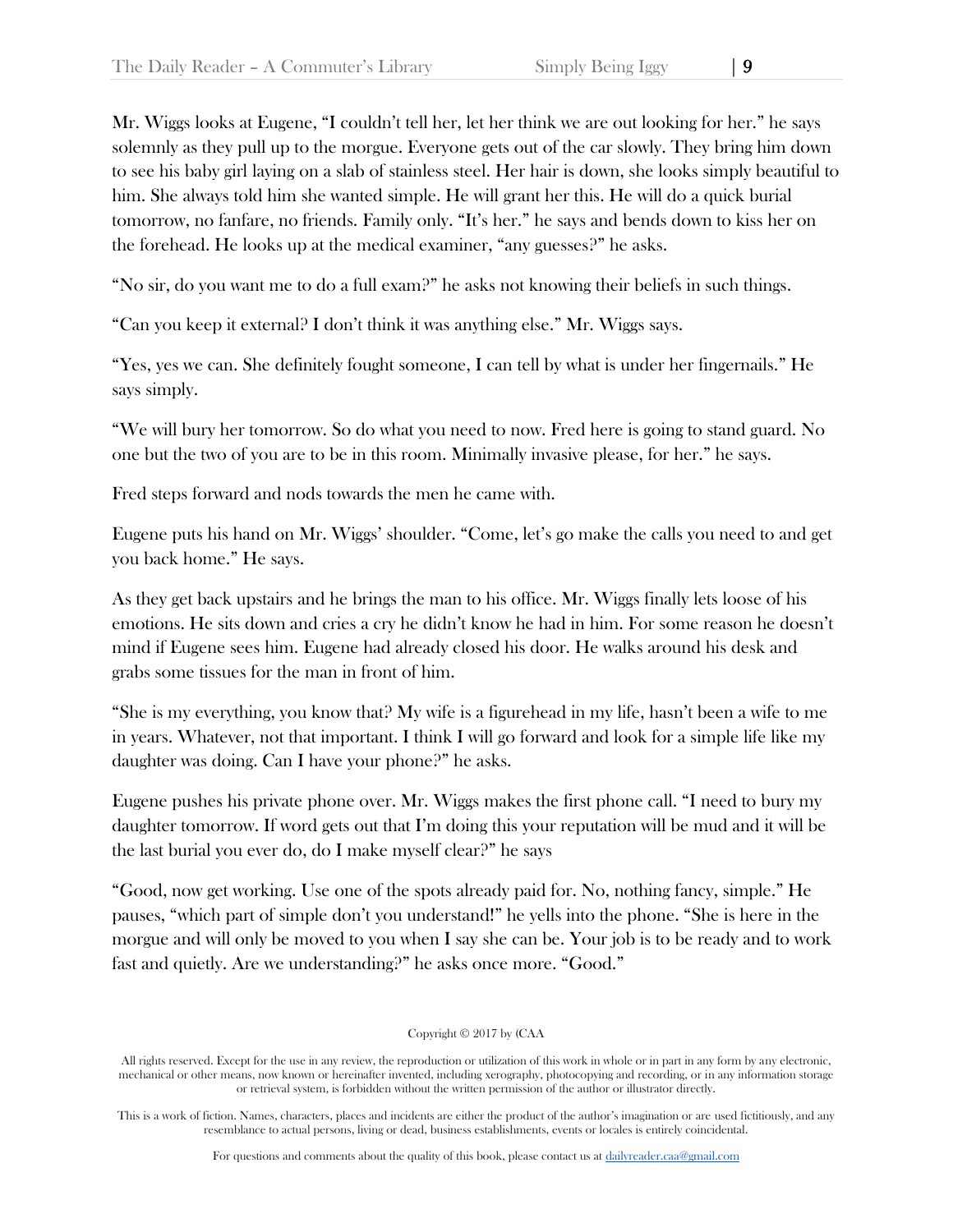Mr. Wiggs looks at Eugene, "I couldn't tell her, let her think we are out looking for her." he says solemnly as they pull up to the morgue. Everyone gets out of the car slowly. They bring him down to see his baby girl laying on a slab of stainless steel. Her hair is down, she looks simply beautiful to him. She always told him she wanted simple. He will grant her this. He will do a quick burial tomorrow, no fanfare, no friends. Family only. "It's her." he says and bends down to kiss her on the forehead. He looks up at the medical examiner, "any guesses?" he asks.

"No sir, do you want me to do a full exam?" he asks not knowing their beliefs in such things.

"Can you keep it external? I don't think it was anything else." Mr. Wiggs says.

"Yes, yes we can. She definitely fought someone, I can tell by what is under her fingernails." He says simply.

"We will bury her tomorrow. So do what you need to now. Fred here is going to stand guard. No one but the two of you are to be in this room. Minimally invasive please, for her." he says.

Fred steps forward and nods towards the men he came with.

Eugene puts his hand on Mr. Wiggs' shoulder. "Come, let's go make the calls you need to and get you back home." He says.

As they get back upstairs and he brings the man to his office. Mr. Wiggs finally lets loose of his emotions. He sits down and cries a cry he didn't know he had in him. For some reason he doesn't mind if Eugene sees him. Eugene had already closed his door. He walks around his desk and grabs some tissues for the man in front of him.

"She is my everything, you know that? My wife is a figurehead in my life, hasn't been a wife to me in years. Whatever, not that important. I think I will go forward and look for a simple life like my daughter was doing. Can I have your phone?" he asks.

Eugene pushes his private phone over. Mr. Wiggs makes the first phone call. "I need to bury my daughter tomorrow. If word gets out that I'm doing this your reputation will be mud and it will be the last burial you ever do, do I make myself clear?" he says

"Good, now get working. Use one of the spots already paid for. No, nothing fancy, simple." He pauses, "which part of simple don't you understand!" he yells into the phone. "She is here in the morgue and will only be moved to you when I say she can be. Your job is to be ready and to work fast and quietly. Are we understanding?" he asks once more. "Good."

#### Copyright © 2017 by (CAA

All rights reserved. Except for the use in any review, the reproduction or utilization of this work in whole or in part in any form by any electronic, mechanical or other means, now known or hereinafter invented, including xerography, photocopying and recording, or in any information storage or retrieval system, is forbidden without the written permission of the author or illustrator directly.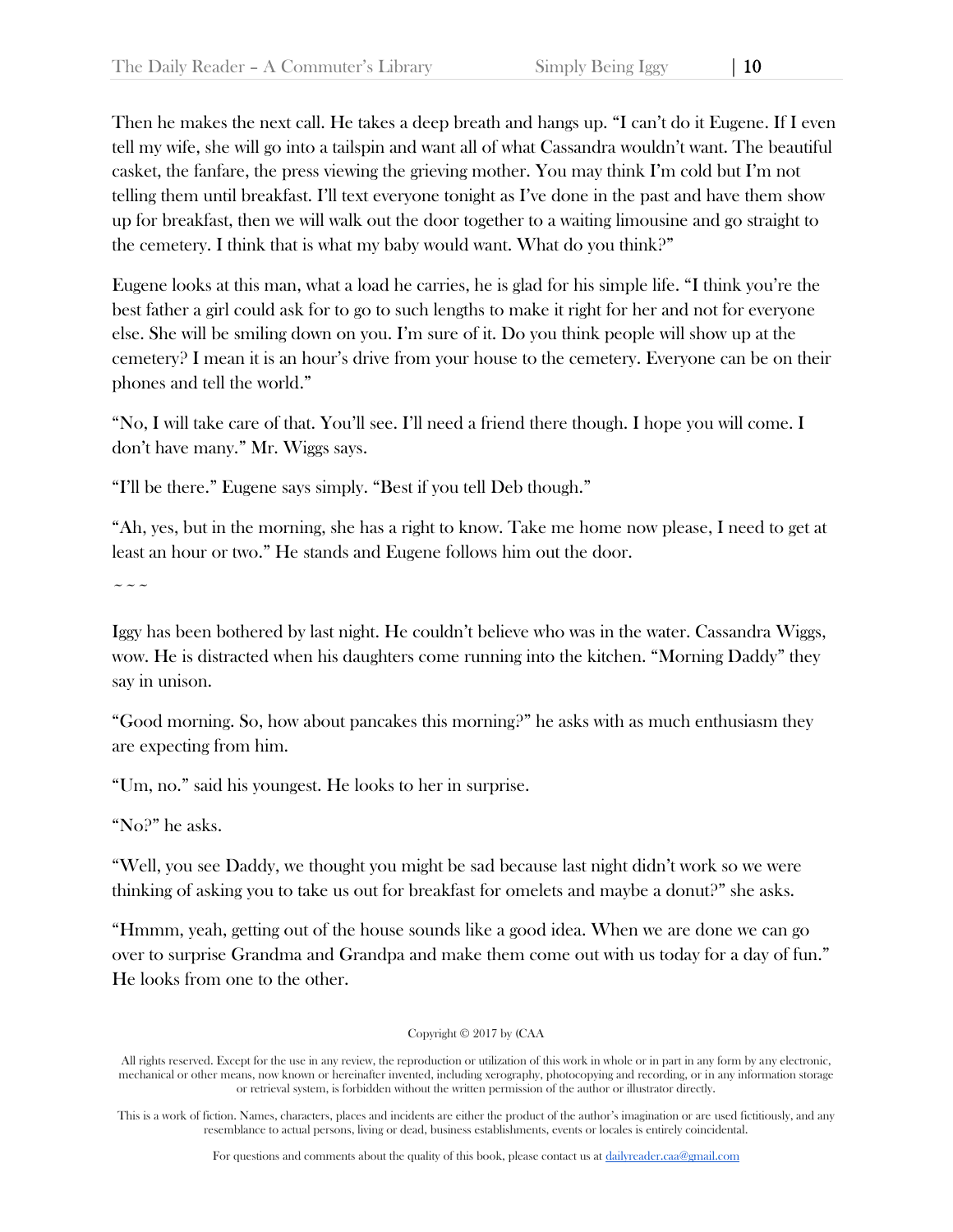Then he makes the next call. He takes a deep breath and hangs up. "I can't do it Eugene. If I even tell my wife, she will go into a tailspin and want all of what Cassandra wouldn't want. The beautiful casket, the fanfare, the press viewing the grieving mother. You may think I'm cold but I'm not telling them until breakfast. I'll text everyone tonight as I've done in the past and have them show up for breakfast, then we will walk out the door together to a waiting limousine and go straight to the cemetery. I think that is what my baby would want. What do you think?"

Eugene looks at this man, what a load he carries, he is glad for his simple life. "I think you're the best father a girl could ask for to go to such lengths to make it right for her and not for everyone else. She will be smiling down on you. I'm sure of it. Do you think people will show up at the cemetery? I mean it is an hour's drive from your house to the cemetery. Everyone can be on their phones and tell the world."

"No, I will take care of that. You'll see. I'll need a friend there though. I hope you will come. I don't have many." Mr. Wiggs says.

"I'll be there." Eugene says simply. "Best if you tell Deb though."

"Ah, yes, but in the morning, she has a right to know. Take me home now please, I need to get at least an hour or two." He stands and Eugene follows him out the door.

 $\sim$   $\sim$   $\sim$ 

Iggy has been bothered by last night. He couldn't believe who was in the water. Cassandra Wiggs, wow. He is distracted when his daughters come running into the kitchen. "Morning Daddy" they say in unison.

"Good morning. So, how about pancakes this morning?" he asks with as much enthusiasm they are expecting from him.

"Um, no." said his youngest. He looks to her in surprise.

"No?" he asks.

"Well, you see Daddy, we thought you might be sad because last night didn't work so we were thinking of asking you to take us out for breakfast for omelets and maybe a donut?" she asks.

"Hmmm, yeah, getting out of the house sounds like a good idea. When we are done we can go over to surprise Grandma and Grandpa and make them come out with us today for a day of fun." He looks from one to the other.

Copyright © 2017 by (CAA

All rights reserved. Except for the use in any review, the reproduction or utilization of this work in whole or in part in any form by any electronic, mechanical or other means, now known or hereinafter invented, including xerography, photocopying and recording, or in any information storage or retrieval system, is forbidden without the written permission of the author or illustrator directly.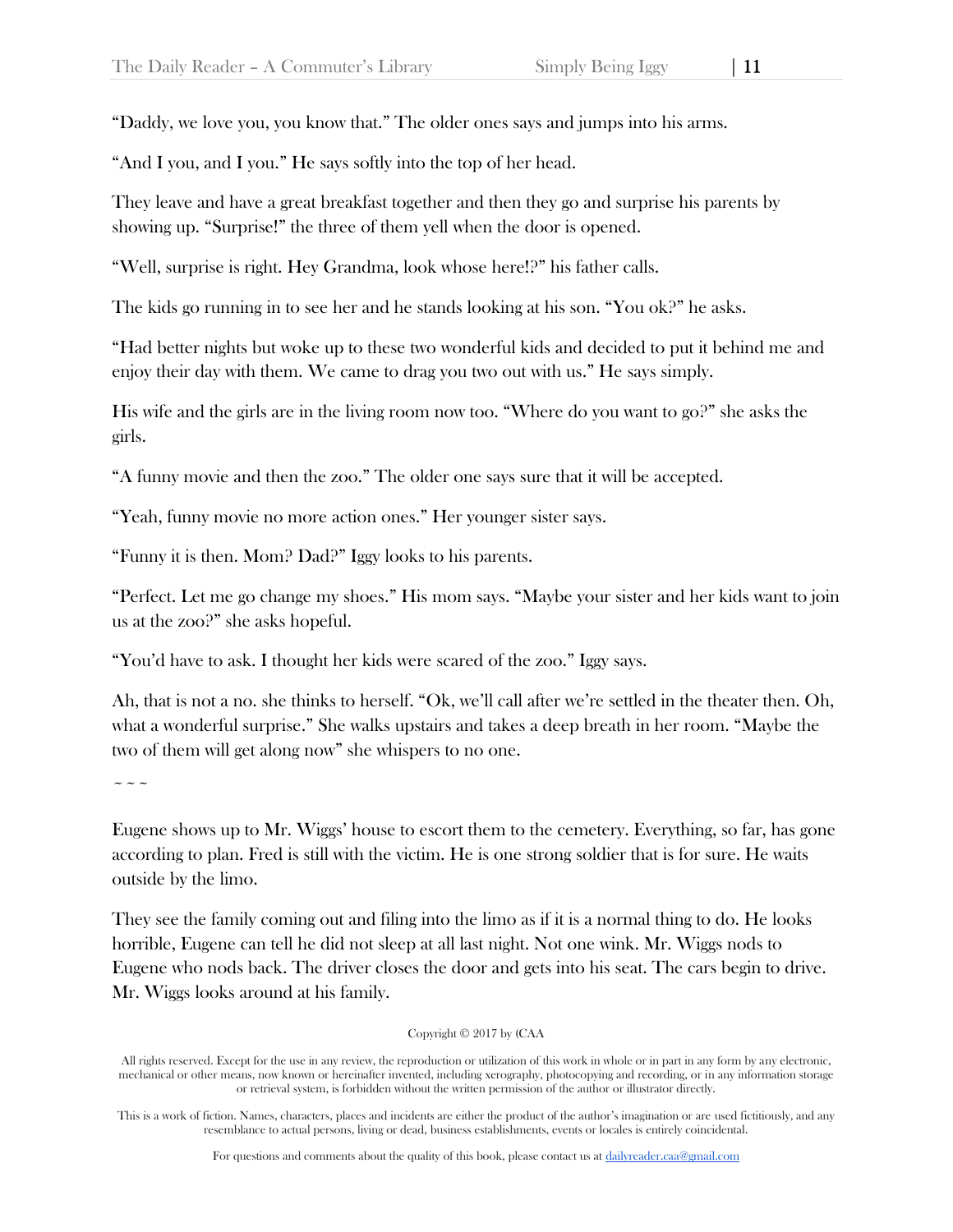"Daddy, we love you, you know that." The older ones says and jumps into his arms.

"And I you, and I you." He says softly into the top of her head.

They leave and have a great breakfast together and then they go and surprise his parents by showing up. "Surprise!" the three of them yell when the door is opened.

"Well, surprise is right. Hey Grandma, look whose here!?" his father calls.

The kids go running in to see her and he stands looking at his son. "You ok?" he asks.

"Had better nights but woke up to these two wonderful kids and decided to put it behind me and enjoy their day with them. We came to drag you two out with us." He says simply.

His wife and the girls are in the living room now too. "Where do you want to go?" she asks the girls.

"A funny movie and then the zoo." The older one says sure that it will be accepted.

"Yeah, funny movie no more action ones." Her younger sister says.

"Funny it is then. Mom? Dad?" Iggy looks to his parents.

"Perfect. Let me go change my shoes." His mom says. "Maybe your sister and her kids want to join us at the zoo?" she asks hopeful.

"You'd have to ask. I thought her kids were scared of the zoo." Iggy says.

Ah, that is not a no. she thinks to herself. "Ok, we'll call after we're settled in the theater then. Oh, what a wonderful surprise." She walks upstairs and takes a deep breath in her room. "Maybe the two of them will get along now" she whispers to no one.

 $\sim$   $\sim$   $\sim$ 

Eugene shows up to Mr. Wiggs' house to escort them to the cemetery. Everything, so far, has gone according to plan. Fred is still with the victim. He is one strong soldier that is for sure. He waits outside by the limo.

They see the family coming out and filing into the limo as if it is a normal thing to do. He looks horrible, Eugene can tell he did not sleep at all last night. Not one wink. Mr. Wiggs nods to Eugene who nods back. The driver closes the door and gets into his seat. The cars begin to drive. Mr. Wiggs looks around at his family.

Copyright © 2017 by (CAA

All rights reserved. Except for the use in any review, the reproduction or utilization of this work in whole or in part in any form by any electronic, mechanical or other means, now known or hereinafter invented, including xerography, photocopying and recording, or in any information storage or retrieval system, is forbidden without the written permission of the author or illustrator directly.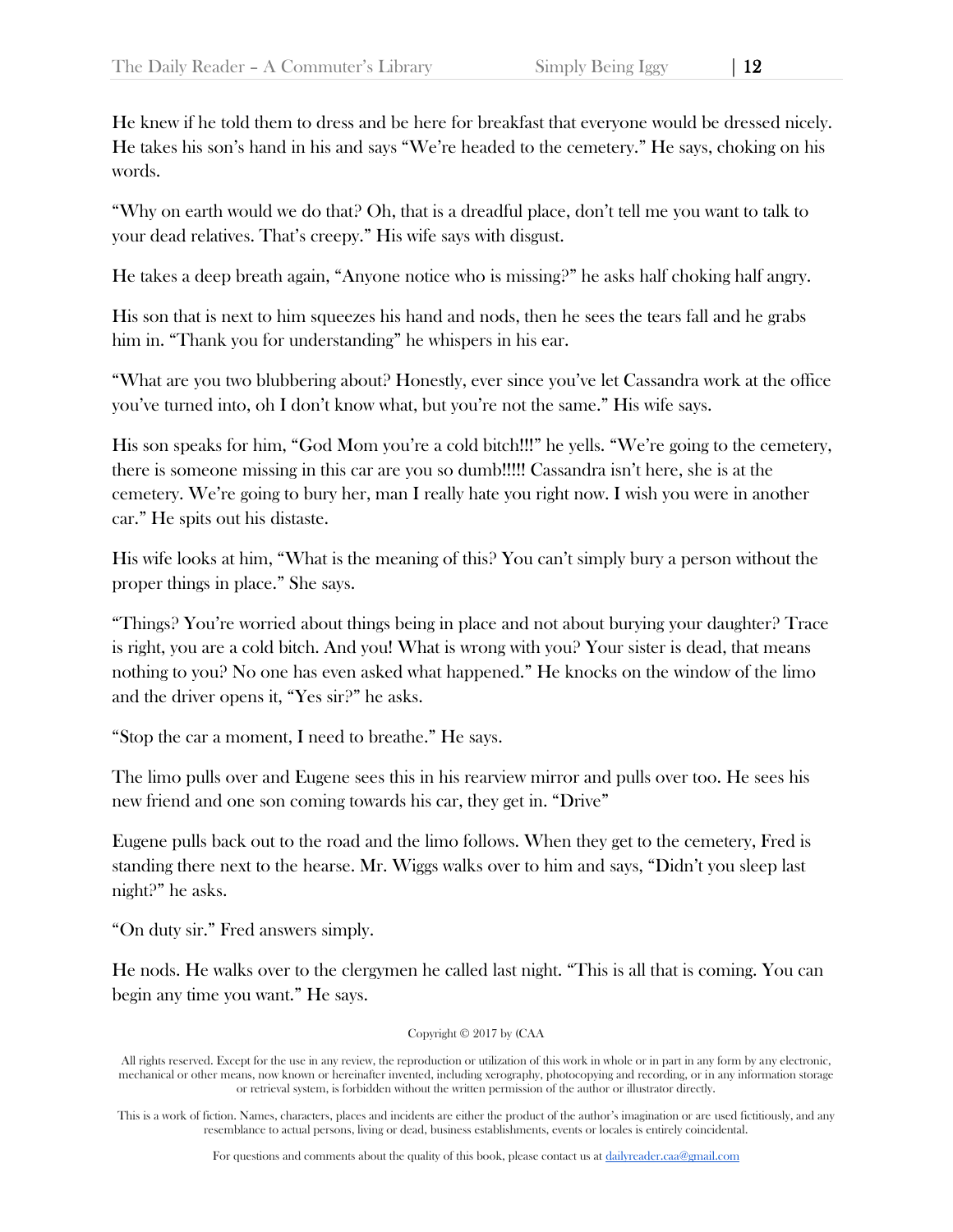He knew if he told them to dress and be here for breakfast that everyone would be dressed nicely. He takes his son's hand in his and says "We're headed to the cemetery." He says, choking on his words.

"Why on earth would we do that? Oh, that is a dreadful place, don't tell me you want to talk to your dead relatives. That's creepy." His wife says with disgust.

He takes a deep breath again, "Anyone notice who is missing?" he asks half choking half angry.

His son that is next to him squeezes his hand and nods, then he sees the tears fall and he grabs him in. "Thank you for understanding" he whispers in his ear.

"What are you two blubbering about? Honestly, ever since you've let Cassandra work at the office you've turned into, oh I don't know what, but you're not the same." His wife says.

His son speaks for him, "God Mom you're a cold bitch!!!" he yells. "We're going to the cemetery, there is someone missing in this car are you so dumb!!!!! Cassandra isn't here, she is at the cemetery. We're going to bury her, man I really hate you right now. I wish you were in another car." He spits out his distaste.

His wife looks at him, "What is the meaning of this? You can't simply bury a person without the proper things in place." She says.

"Things? You're worried about things being in place and not about burying your daughter? Trace is right, you are a cold bitch. And you! What is wrong with you? Your sister is dead, that means nothing to you? No one has even asked what happened." He knocks on the window of the limo and the driver opens it, "Yes sir?" he asks.

"Stop the car a moment, I need to breathe." He says.

The limo pulls over and Eugene sees this in his rearview mirror and pulls over too. He sees his new friend and one son coming towards his car, they get in. "Drive"

Eugene pulls back out to the road and the limo follows. When they get to the cemetery, Fred is standing there next to the hearse. Mr. Wiggs walks over to him and says, "Didn't you sleep last night?" he asks.

"On duty sir." Fred answers simply.

He nods. He walks over to the clergymen he called last night. "This is all that is coming. You can begin any time you want." He says.

Copyright © 2017 by (CAA

All rights reserved. Except for the use in any review, the reproduction or utilization of this work in whole or in part in any form by any electronic, mechanical or other means, now known or hereinafter invented, including xerography, photocopying and recording, or in any information storage or retrieval system, is forbidden without the written permission of the author or illustrator directly.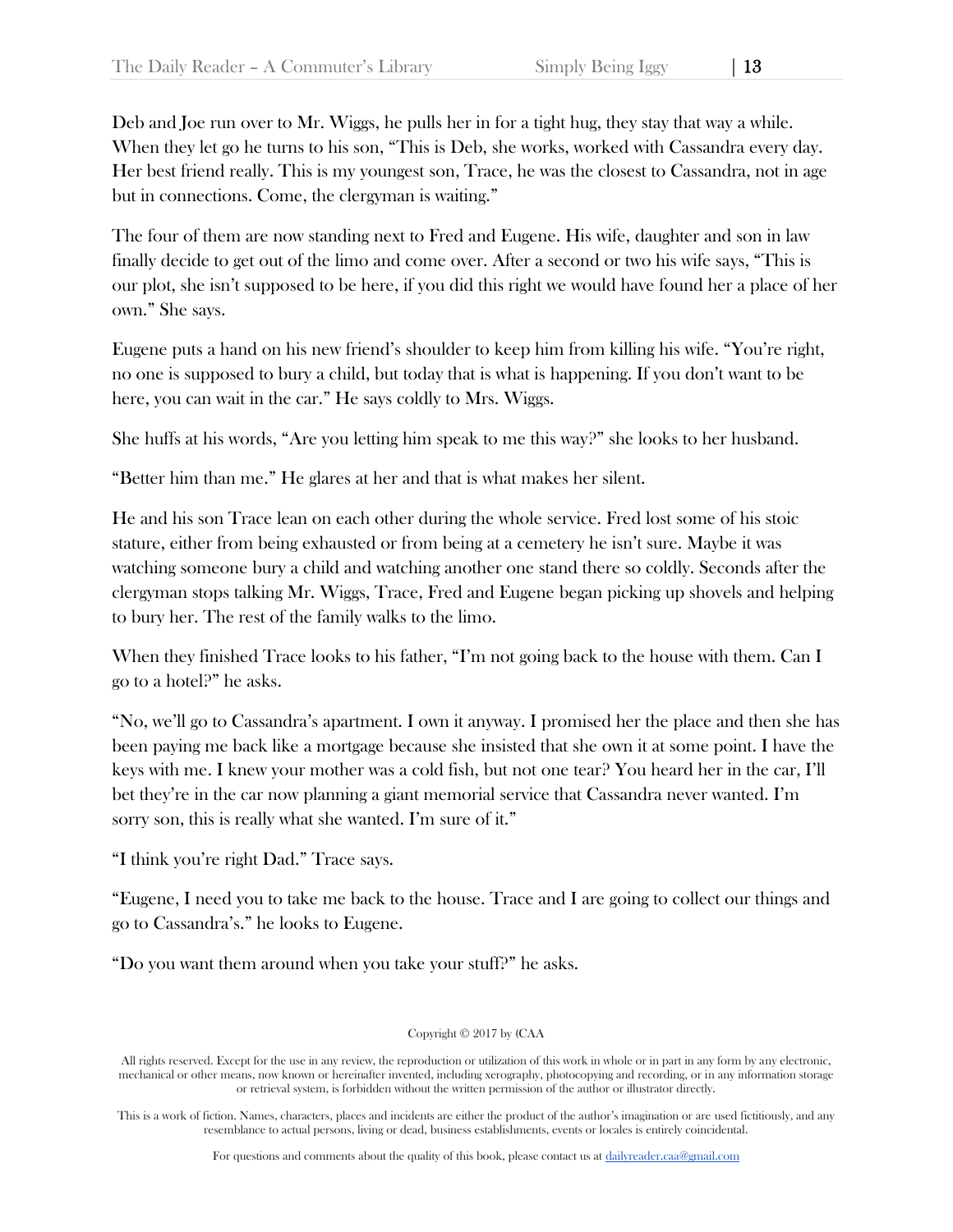Deb and Joe run over to Mr. Wiggs, he pulls her in for a tight hug, they stay that way a while. When they let go he turns to his son, "This is Deb, she works, worked with Cassandra every day. Her best friend really. This is my youngest son, Trace, he was the closest to Cassandra, not in age but in connections. Come, the clergyman is waiting."

The four of them are now standing next to Fred and Eugene. His wife, daughter and son in law finally decide to get out of the limo and come over. After a second or two his wife says, "This is our plot, she isn't supposed to be here, if you did this right we would have found her a place of her own." She says.

Eugene puts a hand on his new friend's shoulder to keep him from killing his wife. "You're right, no one is supposed to bury a child, but today that is what is happening. If you don't want to be here, you can wait in the car." He says coldly to Mrs. Wiggs.

She huffs at his words, "Are you letting him speak to me this way?" she looks to her husband.

"Better him than me." He glares at her and that is what makes her silent.

He and his son Trace lean on each other during the whole service. Fred lost some of his stoic stature, either from being exhausted or from being at a cemetery he isn't sure. Maybe it was watching someone bury a child and watching another one stand there so coldly. Seconds after the clergyman stops talking Mr. Wiggs, Trace, Fred and Eugene began picking up shovels and helping to bury her. The rest of the family walks to the limo.

When they finished Trace looks to his father, "I'm not going back to the house with them. Can I go to a hotel?" he asks.

"No, we'll go to Cassandra's apartment. I own it anyway. I promised her the place and then she has been paying me back like a mortgage because she insisted that she own it at some point. I have the keys with me. I knew your mother was a cold fish, but not one tear? You heard her in the car, I'll bet they're in the car now planning a giant memorial service that Cassandra never wanted. I'm sorry son, this is really what she wanted. I'm sure of it."

"I think you're right Dad." Trace says.

"Eugene, I need you to take me back to the house. Trace and I are going to collect our things and go to Cassandra's." he looks to Eugene.

"Do you want them around when you take your stuff?" he asks.

Copyright © 2017 by (CAA

All rights reserved. Except for the use in any review, the reproduction or utilization of this work in whole or in part in any form by any electronic, mechanical or other means, now known or hereinafter invented, including xerography, photocopying and recording, or in any information storage or retrieval system, is forbidden without the written permission of the author or illustrator directly.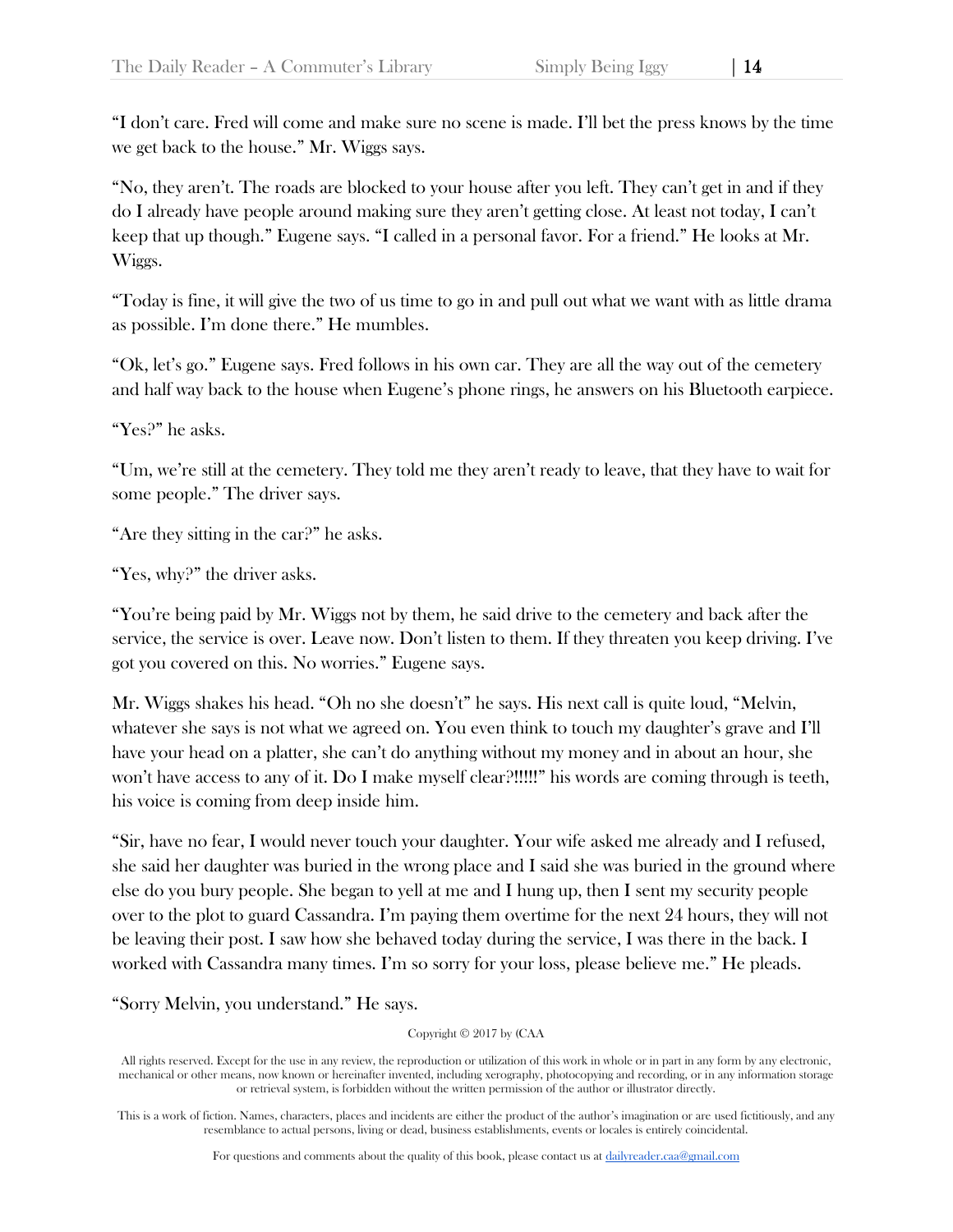"I don't care. Fred will come and make sure no scene is made. I'll bet the press knows by the time we get back to the house." Mr. Wiggs says.

"No, they aren't. The roads are blocked to your house after you left. They can't get in and if they do I already have people around making sure they aren't getting close. At least not today, I can't keep that up though." Eugene says. "I called in a personal favor. For a friend." He looks at Mr. Wiggs.

"Today is fine, it will give the two of us time to go in and pull out what we want with as little drama as possible. I'm done there." He mumbles.

"Ok, let's go." Eugene says. Fred follows in his own car. They are all the way out of the cemetery and half way back to the house when Eugene's phone rings, he answers on his Bluetooth earpiece.

"Yes?" he asks.

"Um, we're still at the cemetery. They told me they aren't ready to leave, that they have to wait for some people." The driver says.

"Are they sitting in the car?" he asks.

"Yes, why?" the driver asks.

"You're being paid by Mr. Wiggs not by them, he said drive to the cemetery and back after the service, the service is over. Leave now. Don't listen to them. If they threaten you keep driving. I've got you covered on this. No worries." Eugene says.

Mr. Wiggs shakes his head. "Oh no she doesn't" he says. His next call is quite loud, "Melvin, whatever she says is not what we agreed on. You even think to touch my daughter's grave and I'll have your head on a platter, she can't do anything without my money and in about an hour, she won't have access to any of it. Do I make myself clear?!!!!!" his words are coming through is teeth, his voice is coming from deep inside him.

"Sir, have no fear, I would never touch your daughter. Your wife asked me already and I refused, she said her daughter was buried in the wrong place and I said she was buried in the ground where else do you bury people. She began to yell at me and I hung up, then I sent my security people over to the plot to guard Cassandra. I'm paying them overtime for the next 24 hours, they will not be leaving their post. I saw how she behaved today during the service, I was there in the back. I worked with Cassandra many times. I'm so sorry for your loss, please believe me." He pleads.

"Sorry Melvin, you understand." He says.

Copyright © 2017 by (CAA

All rights reserved. Except for the use in any review, the reproduction or utilization of this work in whole or in part in any form by any electronic, mechanical or other means, now known or hereinafter invented, including xerography, photocopying and recording, or in any information storage or retrieval system, is forbidden without the written permission of the author or illustrator directly.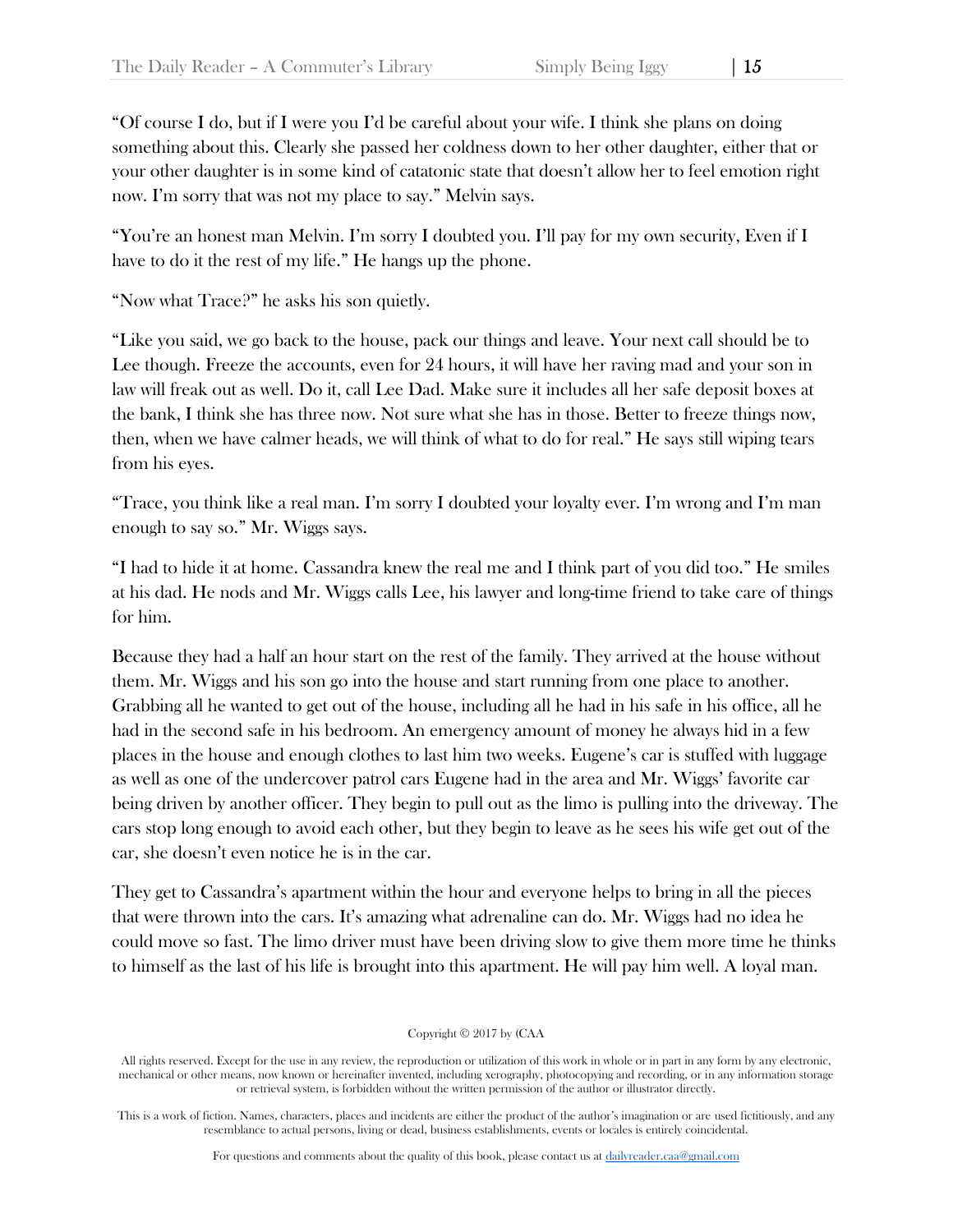"Of course I do, but if I were you I'd be careful about your wife. I think she plans on doing something about this. Clearly she passed her coldness down to her other daughter, either that or your other daughter is in some kind of catatonic state that doesn't allow her to feel emotion right now. I'm sorry that was not my place to say." Melvin says.

"You're an honest man Melvin. I'm sorry I doubted you. I'll pay for my own security, Even if I have to do it the rest of my life." He hangs up the phone.

"Now what Trace?" he asks his son quietly.

"Like you said, we go back to the house, pack our things and leave. Your next call should be to Lee though. Freeze the accounts, even for 24 hours, it will have her raving mad and your son in law will freak out as well. Do it, call Lee Dad. Make sure it includes all her safe deposit boxes at the bank, I think she has three now. Not sure what she has in those. Better to freeze things now, then, when we have calmer heads, we will think of what to do for real." He says still wiping tears from his eyes.

"Trace, you think like a real man. I'm sorry I doubted your loyalty ever. I'm wrong and I'm man enough to say so." Mr. Wiggs says.

"I had to hide it at home. Cassandra knew the real me and I think part of you did too." He smiles at his dad. He nods and Mr. Wiggs calls Lee, his lawyer and long-time friend to take care of things for him.

Because they had a half an hour start on the rest of the family. They arrived at the house without them. Mr. Wiggs and his son go into the house and start running from one place to another. Grabbing all he wanted to get out of the house, including all he had in his safe in his office, all he had in the second safe in his bedroom. An emergency amount of money he always hid in a few places in the house and enough clothes to last him two weeks. Eugene's car is stuffed with luggage as well as one of the undercover patrol cars Eugene had in the area and Mr. Wiggs' favorite car being driven by another officer. They begin to pull out as the limo is pulling into the driveway. The cars stop long enough to avoid each other, but they begin to leave as he sees his wife get out of the car, she doesn't even notice he is in the car.

They get to Cassandra's apartment within the hour and everyone helps to bring in all the pieces that were thrown into the cars. It's amazing what adrenaline can do. Mr. Wiggs had no idea he could move so fast. The limo driver must have been driving slow to give them more time he thinks to himself as the last of his life is brought into this apartment. He will pay him well. A loyal man.

Copyright © 2017 by (CAA

All rights reserved. Except for the use in any review, the reproduction or utilization of this work in whole or in part in any form by any electronic, mechanical or other means, now known or hereinafter invented, including xerography, photocopying and recording, or in any information storage or retrieval system, is forbidden without the written permission of the author or illustrator directly.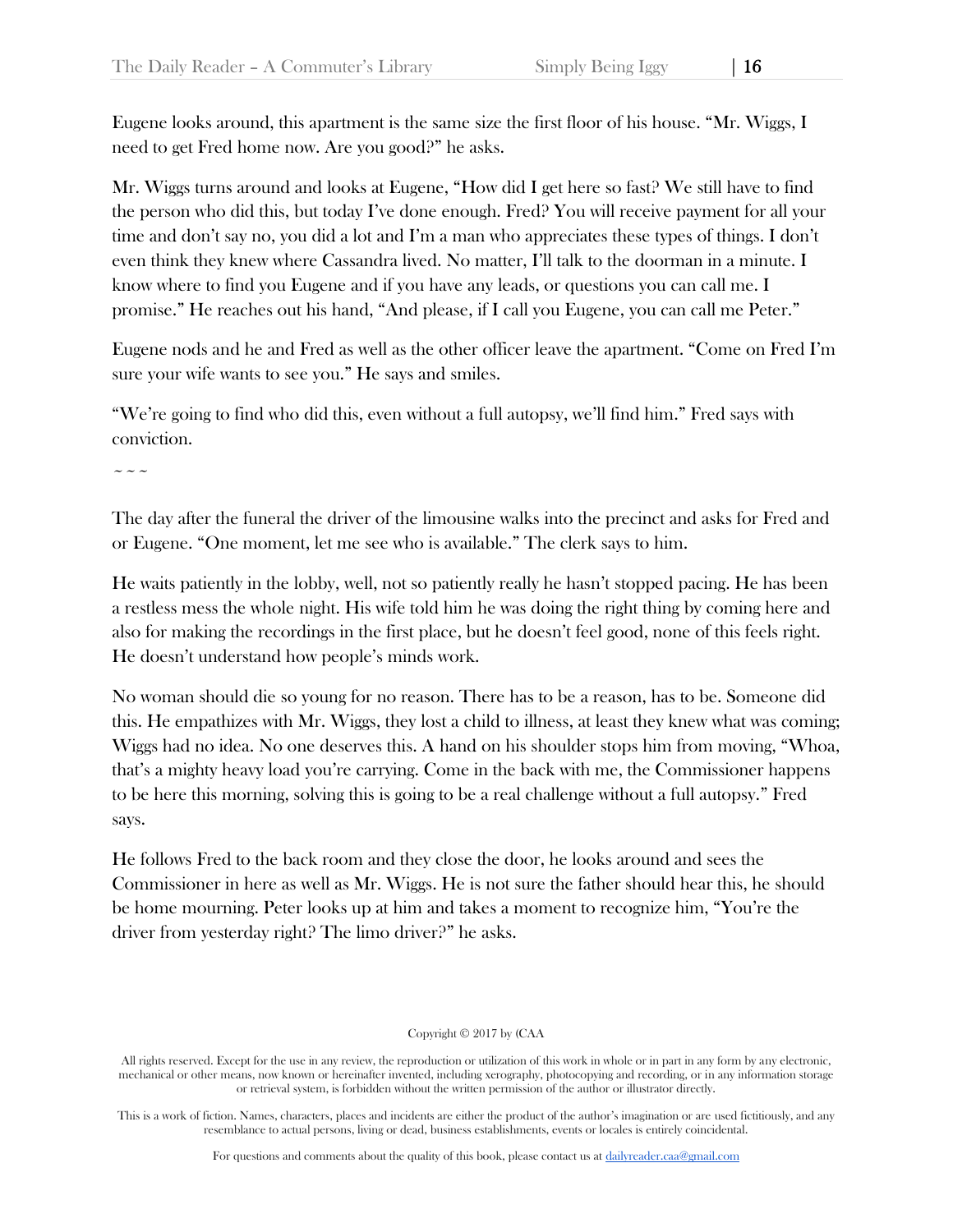Eugene looks around, this apartment is the same size the first floor of his house. "Mr. Wiggs, I need to get Fred home now. Are you good?" he asks.

Mr. Wiggs turns around and looks at Eugene, "How did I get here so fast? We still have to find the person who did this, but today I've done enough. Fred? You will receive payment for all your time and don't say no, you did a lot and I'm a man who appreciates these types of things. I don't even think they knew where Cassandra lived. No matter, I'll talk to the doorman in a minute. I know where to find you Eugene and if you have any leads, or questions you can call me. I promise." He reaches out his hand, "And please, if I call you Eugene, you can call me Peter."

Eugene nods and he and Fred as well as the other officer leave the apartment. "Come on Fred I'm sure your wife wants to see you." He says and smiles.

"We're going to find who did this, even without a full autopsy, we'll find him." Fred says with conviction.

~~~

The day after the funeral the driver of the limousine walks into the precinct and asks for Fred and or Eugene. "One moment, let me see who is available." The clerk says to him.

He waits patiently in the lobby, well, not so patiently really he hasn't stopped pacing. He has been a restless mess the whole night. His wife told him he was doing the right thing by coming here and also for making the recordings in the first place, but he doesn't feel good, none of this feels right. He doesn't understand how people's minds work.

No woman should die so young for no reason. There has to be a reason, has to be. Someone did this. He empathizes with Mr. Wiggs, they lost a child to illness, at least they knew what was coming; Wiggs had no idea. No one deserves this. A hand on his shoulder stops him from moving, "Whoa, that's a mighty heavy load you're carrying. Come in the back with me, the Commissioner happens to be here this morning, solving this is going to be a real challenge without a full autopsy." Fred says.

He follows Fred to the back room and they close the door, he looks around and sees the Commissioner in here as well as Mr. Wiggs. He is not sure the father should hear this, he should be home mourning. Peter looks up at him and takes a moment to recognize him, "You're the driver from yesterday right? The limo driver?" he asks.

## Copyright © 2017 by (CAA

All rights reserved. Except for the use in any review, the reproduction or utilization of this work in whole or in part in any form by any electronic, mechanical or other means, now known or hereinafter invented, including xerography, photocopying and recording, or in any information storage or retrieval system, is forbidden without the written permission of the author or illustrator directly.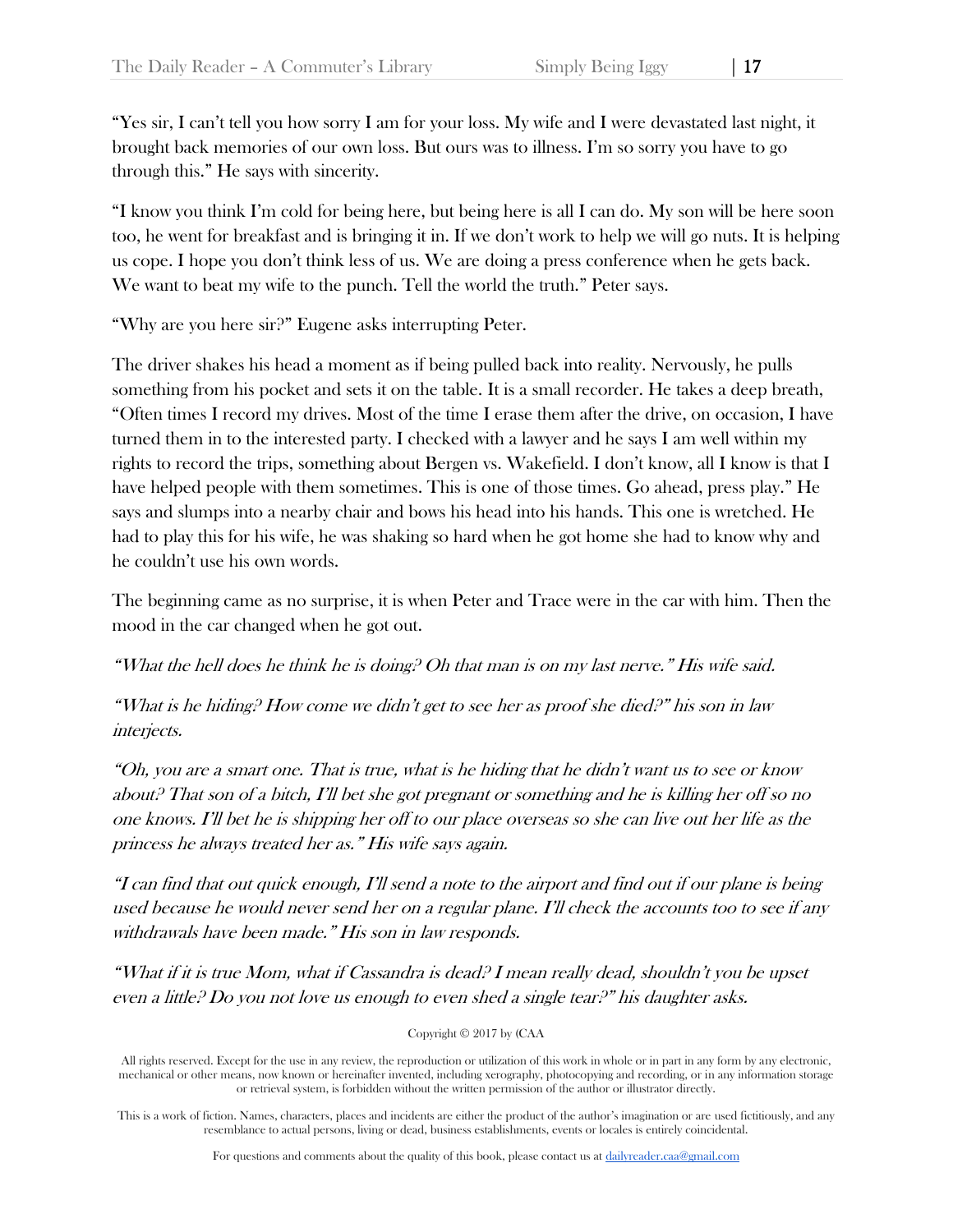"Yes sir, I can't tell you how sorry I am for your loss. My wife and I were devastated last night, it brought back memories of our own loss. But ours was to illness. I'm so sorry you have to go through this." He says with sincerity.

"I know you think I'm cold for being here, but being here is all I can do. My son will be here soon too, he went for breakfast and is bringing it in. If we don't work to help we will go nuts. It is helping us cope. I hope you don't think less of us. We are doing a press conference when he gets back. We want to beat my wife to the punch. Tell the world the truth." Peter says.

"Why are you here sir?" Eugene asks interrupting Peter.

The driver shakes his head a moment as if being pulled back into reality. Nervously, he pulls something from his pocket and sets it on the table. It is a small recorder. He takes a deep breath, "Often times I record my drives. Most of the time I erase them after the drive, on occasion, I have turned them in to the interested party. I checked with a lawyer and he says I am well within my rights to record the trips, something about Bergen vs. Wakefield. I don't know, all I know is that I have helped people with them sometimes. This is one of those times. Go ahead, press play." He says and slumps into a nearby chair and bows his head into his hands. This one is wretched. He had to play this for his wife, he was shaking so hard when he got home she had to know why and he couldn't use his own words.

The beginning came as no surprise, it is when Peter and Trace were in the car with him. Then the mood in the car changed when he got out.

"What the hell does he think he is doing? Oh that man is on my last nerve." His wife said.

"What is he hiding? How come we didn't get to see her as proof she died?" his son in law interjects.

"Oh, you are a smart one. That is true, what is he hiding that he didn't want us to see or know about? That son of a bitch, I'll bet she got pregnant or something and he is killing her off so no one knows. I'll bet he is shipping her off to our place overseas so she can live out her life as the princess he always treated her as." His wife says again.

"I can find that out quick enough, I'll send a note to the airport and find out if our plane is being used because he would never send her on a regular plane. I'll check the accounts too to see if any withdrawals have been made." His son in law responds.

"What if it is true Mom, what if Cassandra is dead? I mean really dead, shouldn't you be upset even a little? Do you not love us enough to even shed a single tear?" his daughter asks.

Copyright © 2017 by (CAA

All rights reserved. Except for the use in any review, the reproduction or utilization of this work in whole or in part in any form by any electronic, mechanical or other means, now known or hereinafter invented, including xerography, photocopying and recording, or in any information storage or retrieval system, is forbidden without the written permission of the author or illustrator directly.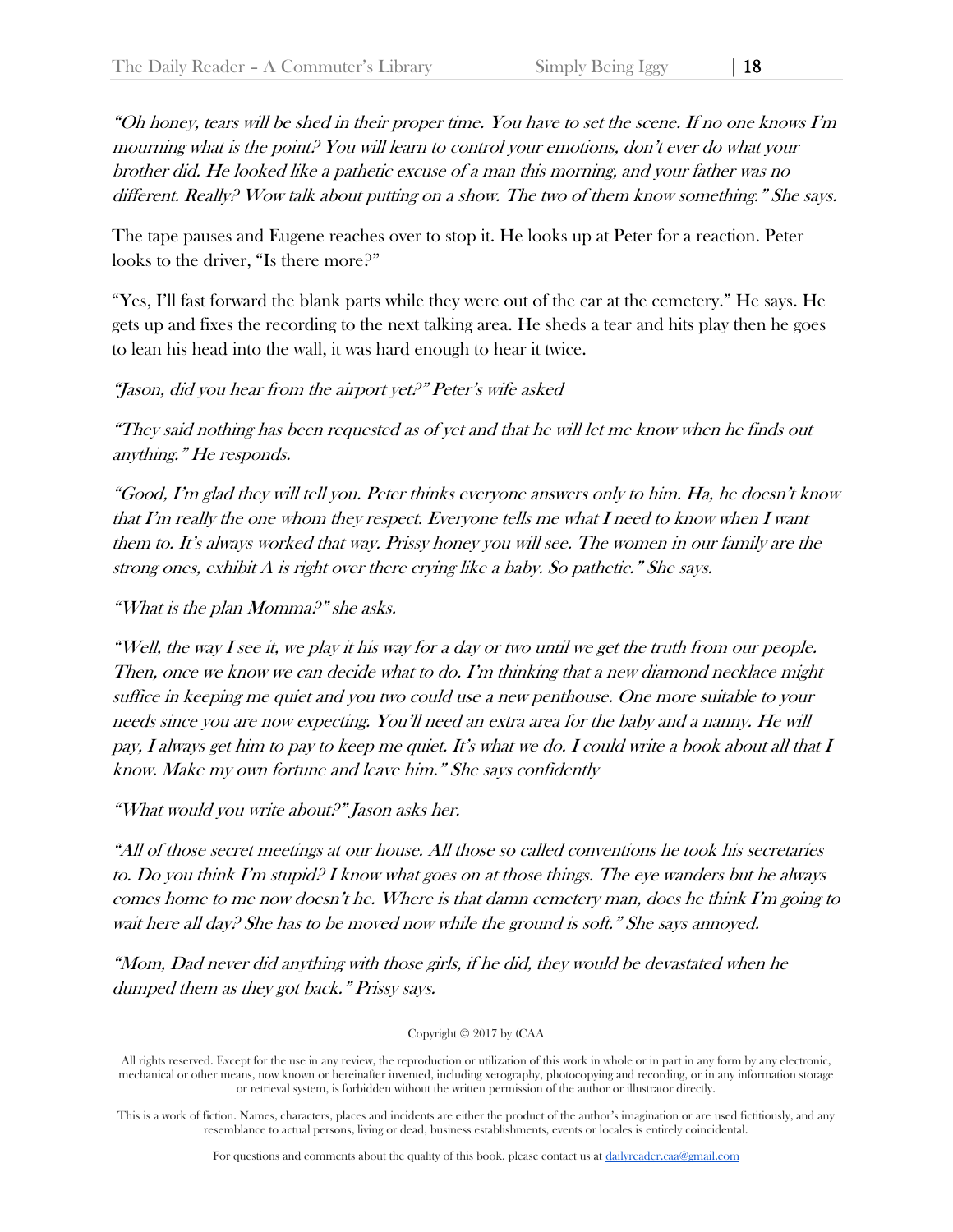"Oh honey, tears will be shed in their proper time. You have to set the scene. If no one knows I'm mourning what is the point? You will learn to control your emotions, don't ever do what your brother did. He looked like a pathetic excuse of a man this morning, and your father was no different. Really? Wow talk about putting on a show. The two of them know something." She says.

The tape pauses and Eugene reaches over to stop it. He looks up at Peter for a reaction. Peter looks to the driver, "Is there more?"

"Yes, I'll fast forward the blank parts while they were out of the car at the cemetery." He says. He gets up and fixes the recording to the next talking area. He sheds a tear and hits play then he goes to lean his head into the wall, it was hard enough to hear it twice.

## "Jason, did you hear from the airport yet?" Peter's wife asked

"They said nothing has been requested as of yet and that he will let me know when he finds out anything." He responds.

"Good, I'm glad they will tell you. Peter thinks everyone answers only to him. Ha, he doesn't know that I'm really the one whom they respect. Everyone tells me what I need to know when I want them to. It's always worked that way. Prissy honey you will see. The women in our family are the strong ones, exhibit A is right over there crying like a baby. So pathetic." She says.

"What is the plan Momma?" she asks.

"Well, the way I see it, we play it his way for a day or two until we get the truth from our people. Then, once we know we can decide what to do. I'm thinking that a new diamond necklace might suffice in keeping me quiet and you two could use a new penthouse. One more suitable to your needs since you are now expecting. You'll need an extra area for the baby and a nanny. He will pay, I always get him to pay to keep me quiet. It's what we do. I could write a book about all that I know. Make my own fortune and leave him." She says confidently

"What would you write about?" Jason asks her.

"All of those secret meetings at our house. All those so called conventions he took his secretaries to. Do you think I'm stupid? I know what goes on at those things. The eye wanders but he always comes home to me now doesn't he. Where is that damn cemetery man, does he think I'm going to wait here all day? She has to be moved now while the ground is soft." She says annoyed.

"Mom, Dad never did anything with those girls, if he did, they would be devastated when he dumped them as they got back." Prissy says.

Copyright © 2017 by (CAA

All rights reserved. Except for the use in any review, the reproduction or utilization of this work in whole or in part in any form by any electronic, mechanical or other means, now known or hereinafter invented, including xerography, photocopying and recording, or in any information storage or retrieval system, is forbidden without the written permission of the author or illustrator directly.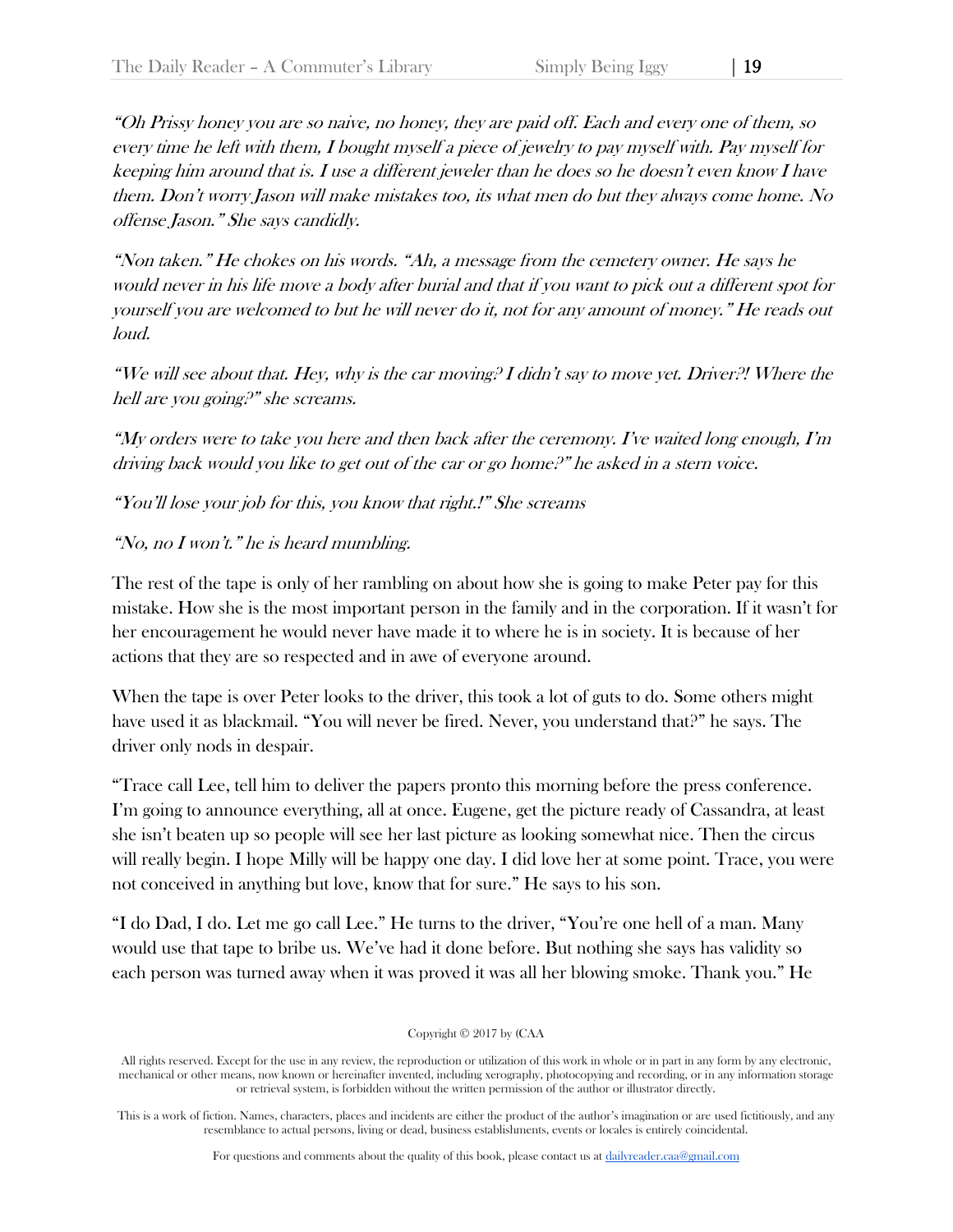"Oh Prissy honey you are so naive, no honey, they are paid off. Each and every one of them, so every time he left with them, I bought myself a piece of jewelry to pay myself with. Pay myself for keeping him around that is. I use a different jeweler than he does so he doesn't even know I have them. Don't worry Jason will make mistakes too, its what men do but they always come home. No offense Jason." She says candidly.

"Non taken." He chokes on his words. "Ah, a message from the cemetery owner. He says he would never in his life move a body after burial and that if you want to pick out a different spot for yourself you are welcomed to but he will never do it, not for any amount of money." He reads out loud.

"We will see about that. Hey, why is the car moving? I didn't say to move yet. Driver?! Where the hell are you going?" she screams.

"My orders were to take you here and then back after the ceremony. I've waited long enough, I'm driving back would you like to get out of the car or go home?" he asked in a stern voice.

"You'll lose your job for this, you know that right.!" She screams

# "No, no I won't." he is heard mumbling.

The rest of the tape is only of her rambling on about how she is going to make Peter pay for this mistake. How she is the most important person in the family and in the corporation. If it wasn't for her encouragement he would never have made it to where he is in society. It is because of her actions that they are so respected and in awe of everyone around.

When the tape is over Peter looks to the driver, this took a lot of guts to do. Some others might have used it as blackmail. "You will never be fired. Never, you understand that?" he says. The driver only nods in despair.

"Trace call Lee, tell him to deliver the papers pronto this morning before the press conference. I'm going to announce everything, all at once. Eugene, get the picture ready of Cassandra, at least she isn't beaten up so people will see her last picture as looking somewhat nice. Then the circus will really begin. I hope Milly will be happy one day. I did love her at some point. Trace, you were not conceived in anything but love, know that for sure." He says to his son.

"I do Dad, I do. Let me go call Lee." He turns to the driver, "You're one hell of a man. Many would use that tape to bribe us. We've had it done before. But nothing she says has validity so each person was turned away when it was proved it was all her blowing smoke. Thank you." He

## Copyright © 2017 by (CAA

All rights reserved. Except for the use in any review, the reproduction or utilization of this work in whole or in part in any form by any electronic, mechanical or other means, now known or hereinafter invented, including xerography, photocopying and recording, or in any information storage or retrieval system, is forbidden without the written permission of the author or illustrator directly.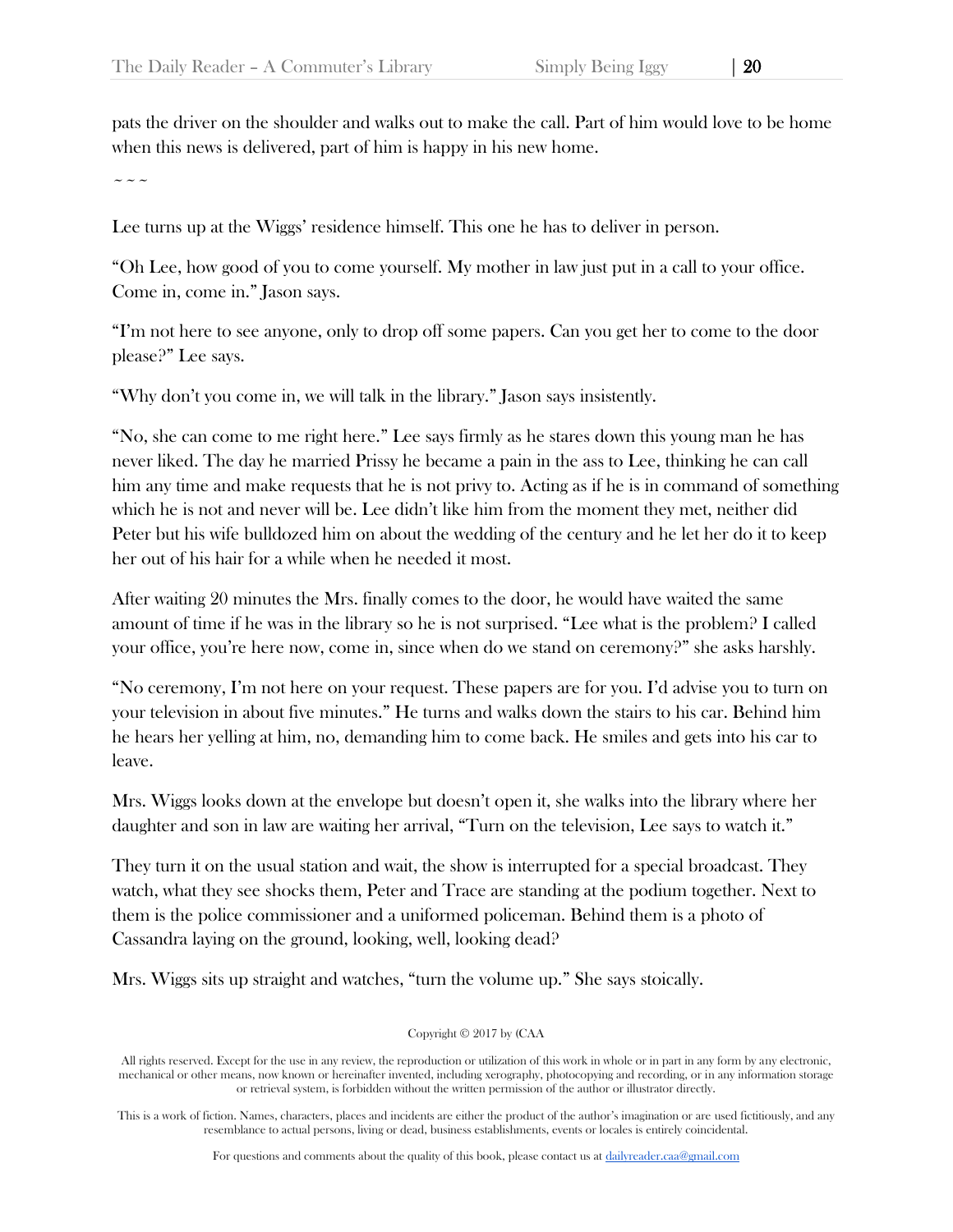pats the driver on the shoulder and walks out to make the call. Part of him would love to be home when this news is delivered, part of him is happy in his new home.

 $\sim$   $\sim$   $\sim$ 

Lee turns up at the Wiggs' residence himself. This one he has to deliver in person.

"Oh Lee, how good of you to come yourself. My mother in law just put in a call to your office. Come in, come in." Jason says.

"I'm not here to see anyone, only to drop off some papers. Can you get her to come to the door please?" Lee says.

"Why don't you come in, we will talk in the library." Jason says insistently.

"No, she can come to me right here." Lee says firmly as he stares down this young man he has never liked. The day he married Prissy he became a pain in the ass to Lee, thinking he can call him any time and make requests that he is not privy to. Acting as if he is in command of something which he is not and never will be. Lee didn't like him from the moment they met, neither did Peter but his wife bulldozed him on about the wedding of the century and he let her do it to keep her out of his hair for a while when he needed it most.

After waiting 20 minutes the Mrs. finally comes to the door, he would have waited the same amount of time if he was in the library so he is not surprised. "Lee what is the problem? I called your office, you're here now, come in, since when do we stand on ceremony?" she asks harshly.

"No ceremony, I'm not here on your request. These papers are for you. I'd advise you to turn on your television in about five minutes." He turns and walks down the stairs to his car. Behind him he hears her yelling at him, no, demanding him to come back. He smiles and gets into his car to leave.

Mrs. Wiggs looks down at the envelope but doesn't open it, she walks into the library where her daughter and son in law are waiting her arrival, "Turn on the television, Lee says to watch it."

They turn it on the usual station and wait, the show is interrupted for a special broadcast. They watch, what they see shocks them, Peter and Trace are standing at the podium together. Next to them is the police commissioner and a uniformed policeman. Behind them is a photo of Cassandra laying on the ground, looking, well, looking dead?

Mrs. Wiggs sits up straight and watches, "turn the volume up." She says stoically.

Copyright © 2017 by (CAA

All rights reserved. Except for the use in any review, the reproduction or utilization of this work in whole or in part in any form by any electronic, mechanical or other means, now known or hereinafter invented, including xerography, photocopying and recording, or in any information storage or retrieval system, is forbidden without the written permission of the author or illustrator directly.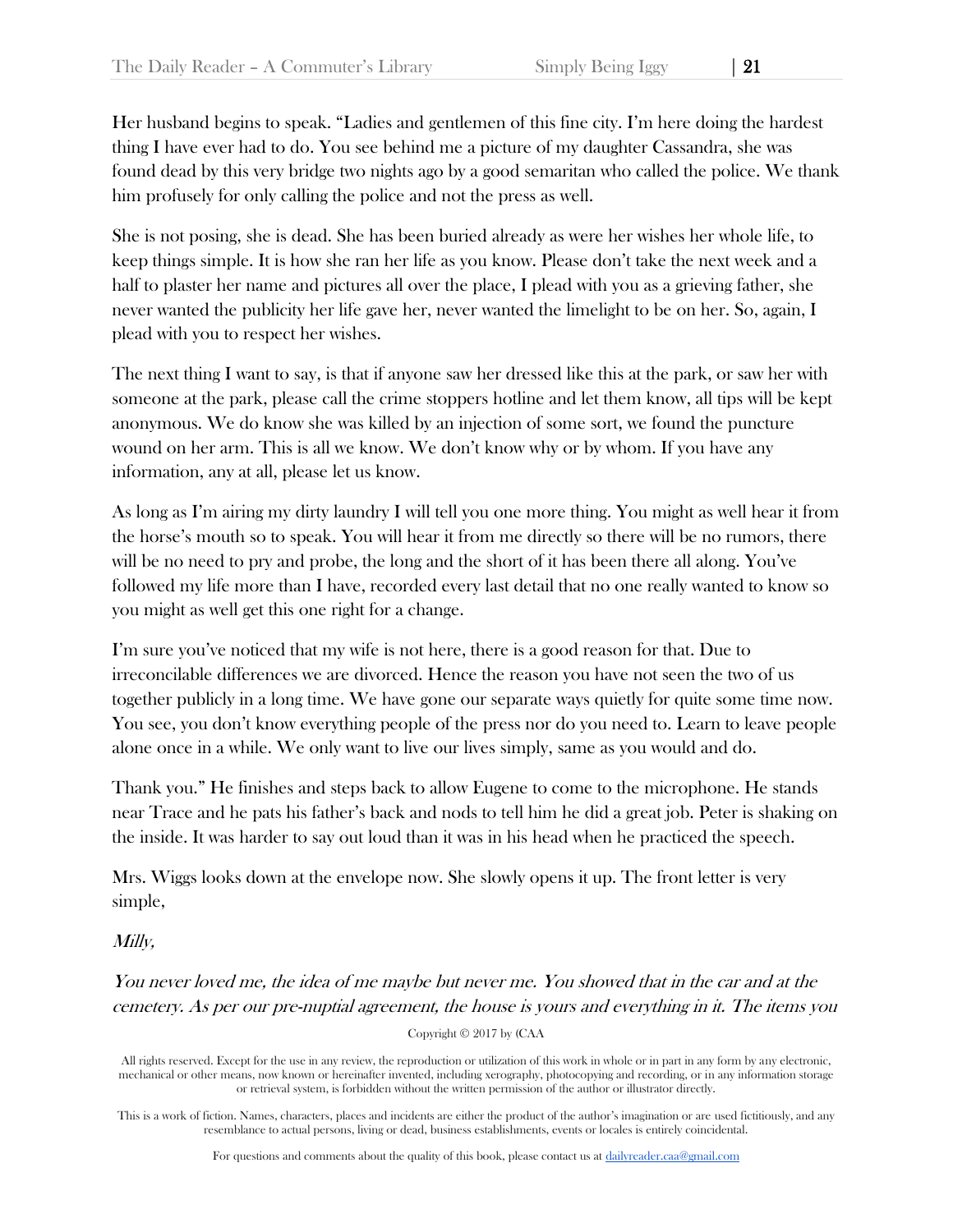Her husband begins to speak. "Ladies and gentlemen of this fine city. I'm here doing the hardest thing I have ever had to do. You see behind me a picture of my daughter Cassandra, she was found dead by this very bridge two nights ago by a good semaritan who called the police. We thank him profusely for only calling the police and not the press as well.

She is not posing, she is dead. She has been buried already as were her wishes her whole life, to keep things simple. It is how she ran her life as you know. Please don't take the next week and a half to plaster her name and pictures all over the place, I plead with you as a grieving father, she never wanted the publicity her life gave her, never wanted the limelight to be on her. So, again, I plead with you to respect her wishes.

The next thing I want to say, is that if anyone saw her dressed like this at the park, or saw her with someone at the park, please call the crime stoppers hotline and let them know, all tips will be kept anonymous. We do know she was killed by an injection of some sort, we found the puncture wound on her arm. This is all we know. We don't know why or by whom. If you have any information, any at all, please let us know.

As long as I'm airing my dirty laundry I will tell you one more thing. You might as well hear it from the horse's mouth so to speak. You will hear it from me directly so there will be no rumors, there will be no need to pry and probe, the long and the short of it has been there all along. You've followed my life more than I have, recorded every last detail that no one really wanted to know so you might as well get this one right for a change.

I'm sure you've noticed that my wife is not here, there is a good reason for that. Due to irreconcilable differences we are divorced. Hence the reason you have not seen the two of us together publicly in a long time. We have gone our separate ways quietly for quite some time now. You see, you don't know everything people of the press nor do you need to. Learn to leave people alone once in a while. We only want to live our lives simply, same as you would and do.

Thank you." He finishes and steps back to allow Eugene to come to the microphone. He stands near Trace and he pats his father's back and nods to tell him he did a great job. Peter is shaking on the inside. It was harder to say out loud than it was in his head when he practiced the speech.

Mrs. Wiggs looks down at the envelope now. She slowly opens it up. The front letter is very simple,

## Milly,

You never loved me, the idea of me maybe but never me. You showed that in the car and at the cemetery. As per our pre-nuptial agreement, the house is yours and everything in it. The items you

Copyright © 2017 by (CAA

All rights reserved. Except for the use in any review, the reproduction or utilization of this work in whole or in part in any form by any electronic, mechanical or other means, now known or hereinafter invented, including xerography, photocopying and recording, or in any information storage or retrieval system, is forbidden without the written permission of the author or illustrator directly.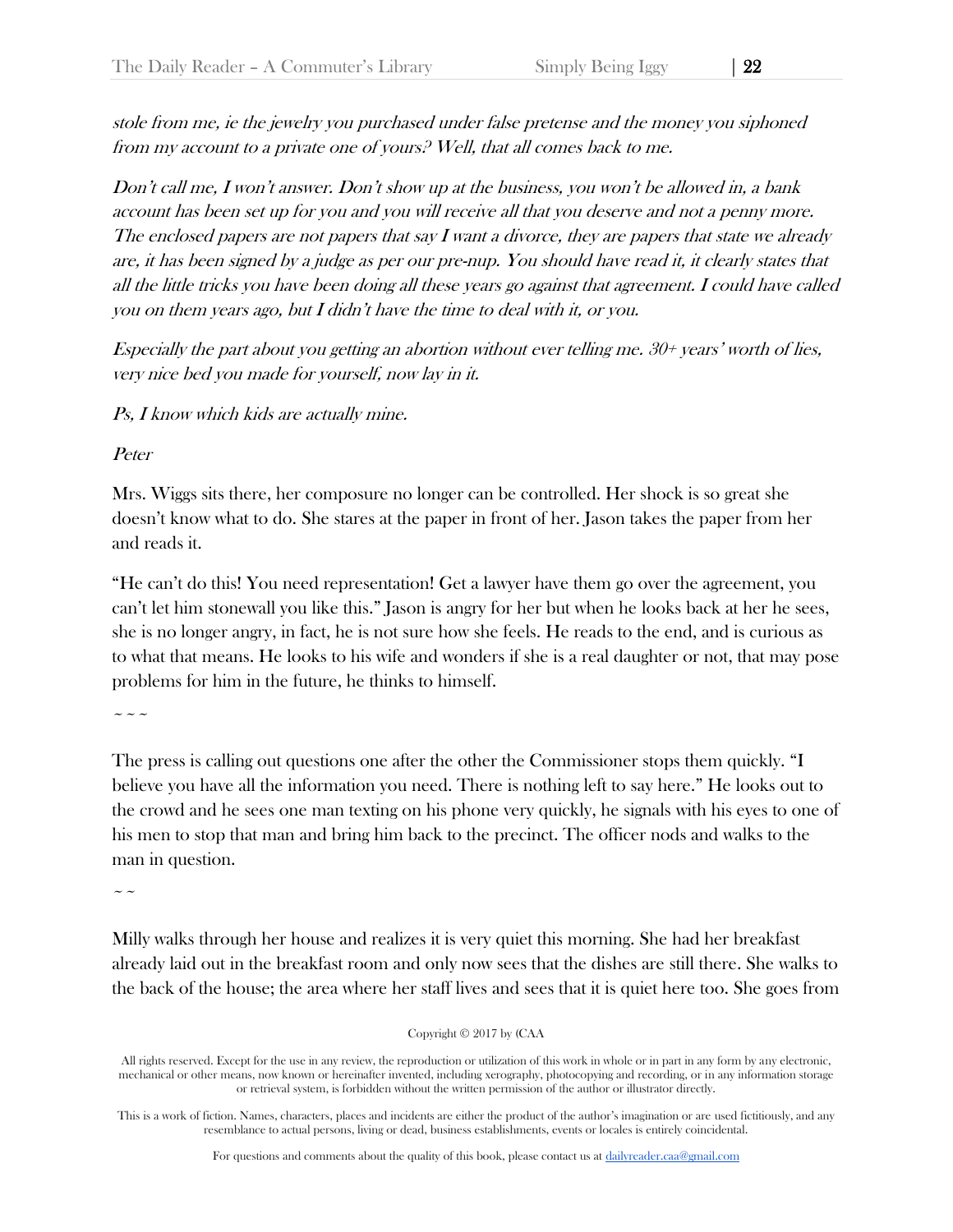stole from me, ie the jewelry you purchased under false pretense and the money you siphoned from my account to a private one of yours? Well, that all comes back to me.

Don't call me, I won't answer. Don't show up at the business, you won't be allowed in, a bank account has been set up for you and you will receive all that you deserve and not a penny more. The enclosed papers are not papers that say  $I$  want a divorce, they are papers that state we already are, it has been signed by a judge as per our pre-nup. You should have read it, it clearly states that all the little tricks you have been doing all these years go against that agreement. I could have called you on them years ago, but I didn't have the time to deal with it, or you.

Especially the part about you getting an abortion without ever telling me. 30+ years' worth of lies, very nice bed you made for yourself, now lay in it.

Ps, I know which kids are actually mine.

Peter

Mrs. Wiggs sits there, her composure no longer can be controlled. Her shock is so great she doesn't know what to do. She stares at the paper in front of her. Jason takes the paper from her and reads it.

"He can't do this! You need representation! Get a lawyer have them go over the agreement, you can't let him stonewall you like this." Jason is angry for her but when he looks back at her he sees, she is no longer angry, in fact, he is not sure how she feels. He reads to the end, and is curious as to what that means. He looks to his wife and wonders if she is a real daughter or not, that may pose problems for him in the future, he thinks to himself.

~~~

The press is calling out questions one after the other the Commissioner stops them quickly. "I believe you have all the information you need. There is nothing left to say here." He looks out to the crowd and he sees one man texting on his phone very quickly, he signals with his eyes to one of his men to stop that man and bring him back to the precinct. The officer nods and walks to the man in question.

 $\sim$   $\sim$ 

Milly walks through her house and realizes it is very quiet this morning. She had her breakfast already laid out in the breakfast room and only now sees that the dishes are still there. She walks to the back of the house; the area where her staff lives and sees that it is quiet here too. She goes from

Copyright © 2017 by (CAA

All rights reserved. Except for the use in any review, the reproduction or utilization of this work in whole or in part in any form by any electronic, mechanical or other means, now known or hereinafter invented, including xerography, photocopying and recording, or in any information storage or retrieval system, is forbidden without the written permission of the author or illustrator directly.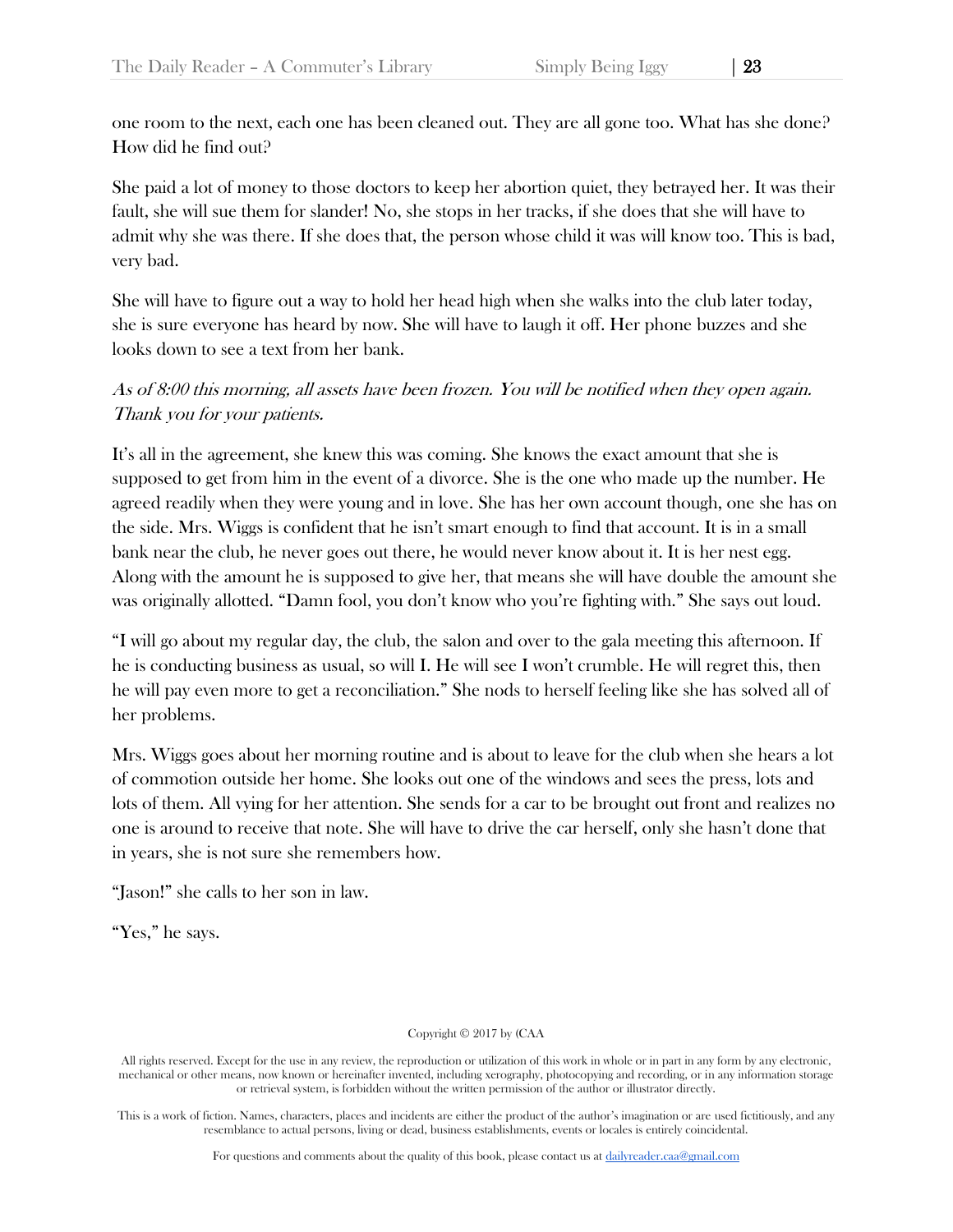one room to the next, each one has been cleaned out. They are all gone too. What has she done? How did he find out?

She paid a lot of money to those doctors to keep her abortion quiet, they betrayed her. It was their fault, she will sue them for slander! No, she stops in her tracks, if she does that she will have to admit why she was there. If she does that, the person whose child it was will know too. This is bad, very bad.

She will have to figure out a way to hold her head high when she walks into the club later today, she is sure everyone has heard by now. She will have to laugh it off. Her phone buzzes and she looks down to see a text from her bank.

# As of 8:00 this morning, all assets have been frozen. You will be notified when they open again. Thank you for your patients.

It's all in the agreement, she knew this was coming. She knows the exact amount that she is supposed to get from him in the event of a divorce. She is the one who made up the number. He agreed readily when they were young and in love. She has her own account though, one she has on the side. Mrs. Wiggs is confident that he isn't smart enough to find that account. It is in a small bank near the club, he never goes out there, he would never know about it. It is her nest egg. Along with the amount he is supposed to give her, that means she will have double the amount she was originally allotted. "Damn fool, you don't know who you're fighting with." She says out loud.

"I will go about my regular day, the club, the salon and over to the gala meeting this afternoon. If he is conducting business as usual, so will I. He will see I won't crumble. He will regret this, then he will pay even more to get a reconciliation." She nods to herself feeling like she has solved all of her problems.

Mrs. Wiggs goes about her morning routine and is about to leave for the club when she hears a lot of commotion outside her home. She looks out one of the windows and sees the press, lots and lots of them. All vying for her attention. She sends for a car to be brought out front and realizes no one is around to receive that note. She will have to drive the car herself, only she hasn't done that in years, she is not sure she remembers how.

"Jason!" she calls to her son in law.

"Yes," he says.

## Copyright © 2017 by (CAA

All rights reserved. Except for the use in any review, the reproduction or utilization of this work in whole or in part in any form by any electronic, mechanical or other means, now known or hereinafter invented, including xerography, photocopying and recording, or in any information storage or retrieval system, is forbidden without the written permission of the author or illustrator directly.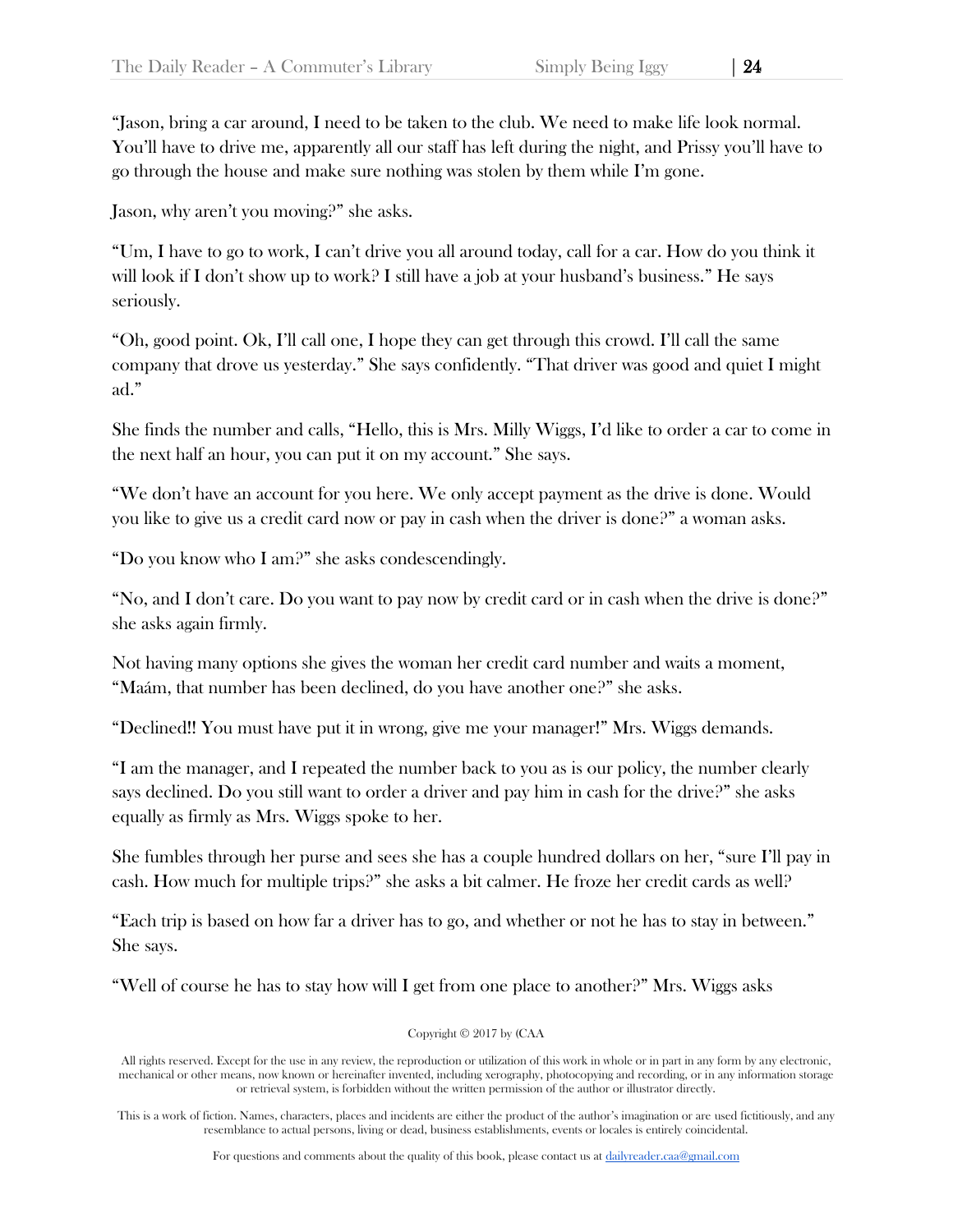"Jason, bring a car around, I need to be taken to the club. We need to make life look normal. You'll have to drive me, apparently all our staff has left during the night, and Prissy you'll have to go through the house and make sure nothing was stolen by them while I'm gone.

Jason, why aren't you moving?" she asks.

"Um, I have to go to work, I can't drive you all around today, call for a car. How do you think it will look if I don't show up to work? I still have a job at your husband's business." He says seriously.

"Oh, good point. Ok, I'll call one, I hope they can get through this crowd. I'll call the same company that drove us yesterday." She says confidently. "That driver was good and quiet I might ad."

She finds the number and calls, "Hello, this is Mrs. Milly Wiggs, I'd like to order a car to come in the next half an hour, you can put it on my account." She says.

"We don't have an account for you here. We only accept payment as the drive is done. Would you like to give us a credit card now or pay in cash when the driver is done?" a woman asks.

"Do you know who I am?" she asks condescendingly.

"No, and I don't care. Do you want to pay now by credit card or in cash when the drive is done?" she asks again firmly.

Not having many options she gives the woman her credit card number and waits a moment, "Maám, that number has been declined, do you have another one?" she asks.

"Declined!! You must have put it in wrong, give me your manager!" Mrs. Wiggs demands.

"I am the manager, and I repeated the number back to you as is our policy, the number clearly says declined. Do you still want to order a driver and pay him in cash for the drive?" she asks equally as firmly as Mrs. Wiggs spoke to her.

She fumbles through her purse and sees she has a couple hundred dollars on her, "sure I'll pay in cash. How much for multiple trips?" she asks a bit calmer. He froze her credit cards as well?

"Each trip is based on how far a driver has to go, and whether or not he has to stay in between." She says.

"Well of course he has to stay how will I get from one place to another?" Mrs. Wiggs asks

Copyright © 2017 by (CAA

All rights reserved. Except for the use in any review, the reproduction or utilization of this work in whole or in part in any form by any electronic, mechanical or other means, now known or hereinafter invented, including xerography, photocopying and recording, or in any information storage or retrieval system, is forbidden without the written permission of the author or illustrator directly.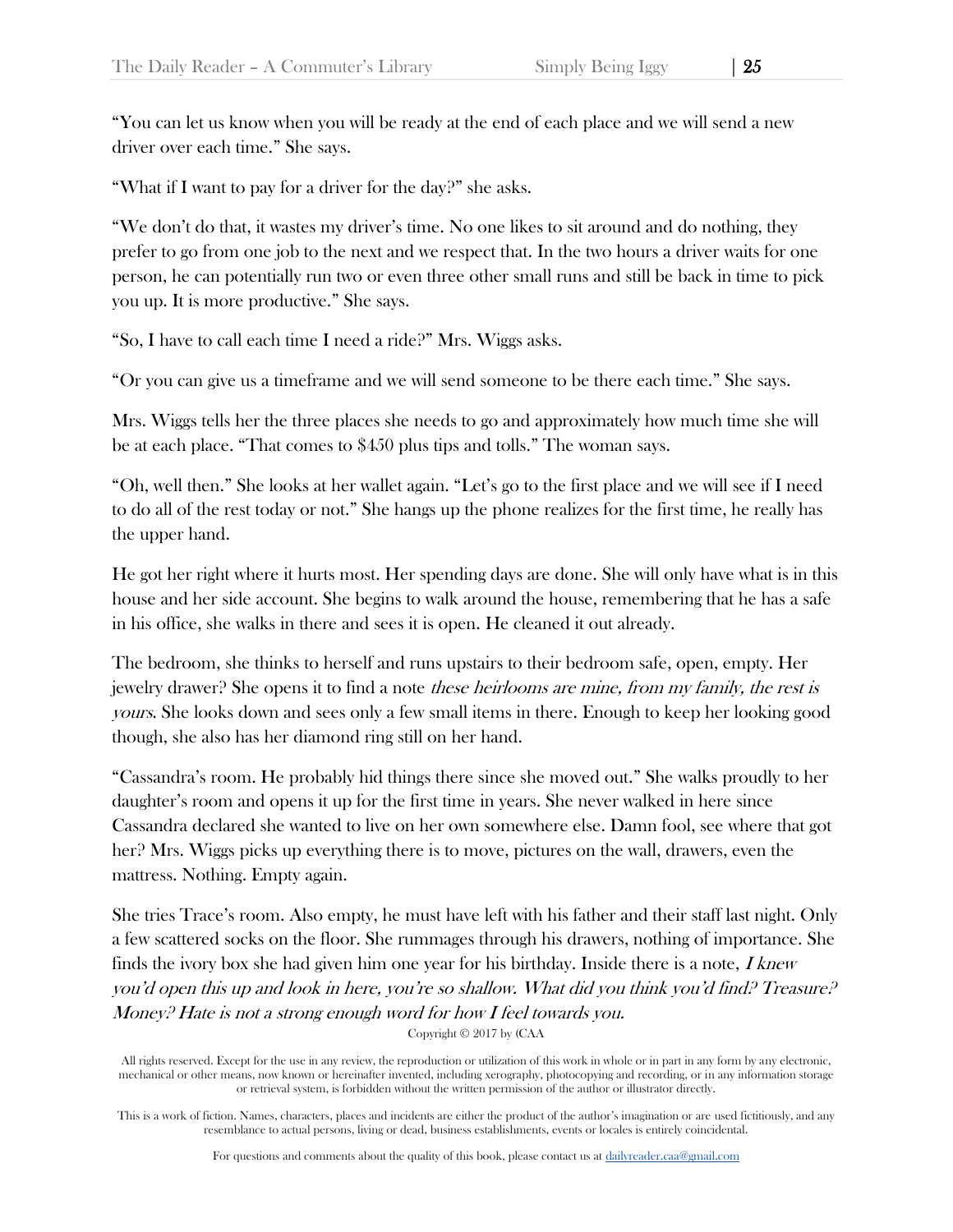"You can let us know when you will be ready at the end of each place and we will send a new driver over each time." She says.

"What if I want to pay for a driver for the day?" she asks.

"We don't do that, it wastes my driver's time. No one likes to sit around and do nothing, they prefer to go from one job to the next and we respect that. In the two hours a driver waits for one person, he can potentially run two or even three other small runs and still be back in time to pick you up. It is more productive." She says.

"So, I have to call each time I need a ride?" Mrs. Wiggs asks.

"Or you can give us a timeframe and we will send someone to be there each time." She says.

Mrs. Wiggs tells her the three places she needs to go and approximately how much time she will be at each place. "That comes to \$450 plus tips and tolls." The woman says.

"Oh, well then." She looks at her wallet again. "Let's go to the first place and we will see if I need to do all of the rest today or not." She hangs up the phone realizes for the first time, he really has the upper hand.

He got her right where it hurts most. Her spending days are done. She will only have what is in this house and her side account. She begins to walk around the house, remembering that he has a safe in his office, she walks in there and sees it is open. He cleaned it out already.

The bedroom, she thinks to herself and runs upstairs to their bedroom safe, open, empty. Her jewelry drawer? She opens it to find a note these heirlooms are mine, from my family, the rest is yours. She looks down and sees only a few small items in there. Enough to keep her looking good though, she also has her diamond ring still on her hand.

"Cassandra's room. He probably hid things there since she moved out." She walks proudly to her daughter's room and opens it up for the first time in years. She never walked in here since Cassandra declared she wanted to live on her own somewhere else. Damn fool, see where that got her? Mrs. Wiggs picks up everything there is to move, pictures on the wall, drawers, even the mattress. Nothing. Empty again.

She tries Trace's room. Also empty, he must have left with his father and their staff last night. Only a few scattered socks on the floor. She rummages through his drawers, nothing of importance. She finds the ivory box she had given him one year for his birthday. Inside there is a note,  $I$  knew you'd open this up and look in here, you're so shallow. What did you think you'd find? Treasure? Money? Hate is not a strong enough word for how I feel towards you.

Copyright © 2017 by (CAA

All rights reserved. Except for the use in any review, the reproduction or utilization of this work in whole or in part in any form by any electronic, mechanical or other means, now known or hereinafter invented, including xerography, photocopying and recording, or in any information storage or retrieval system, is forbidden without the written permission of the author or illustrator directly.

This is a work of fiction. Names, characters, places and incidents are either the product of the author's imagination or are used fictitiously, and any resemblance to actual persons, living or dead, business establishments, events or locales is entirely coincidental.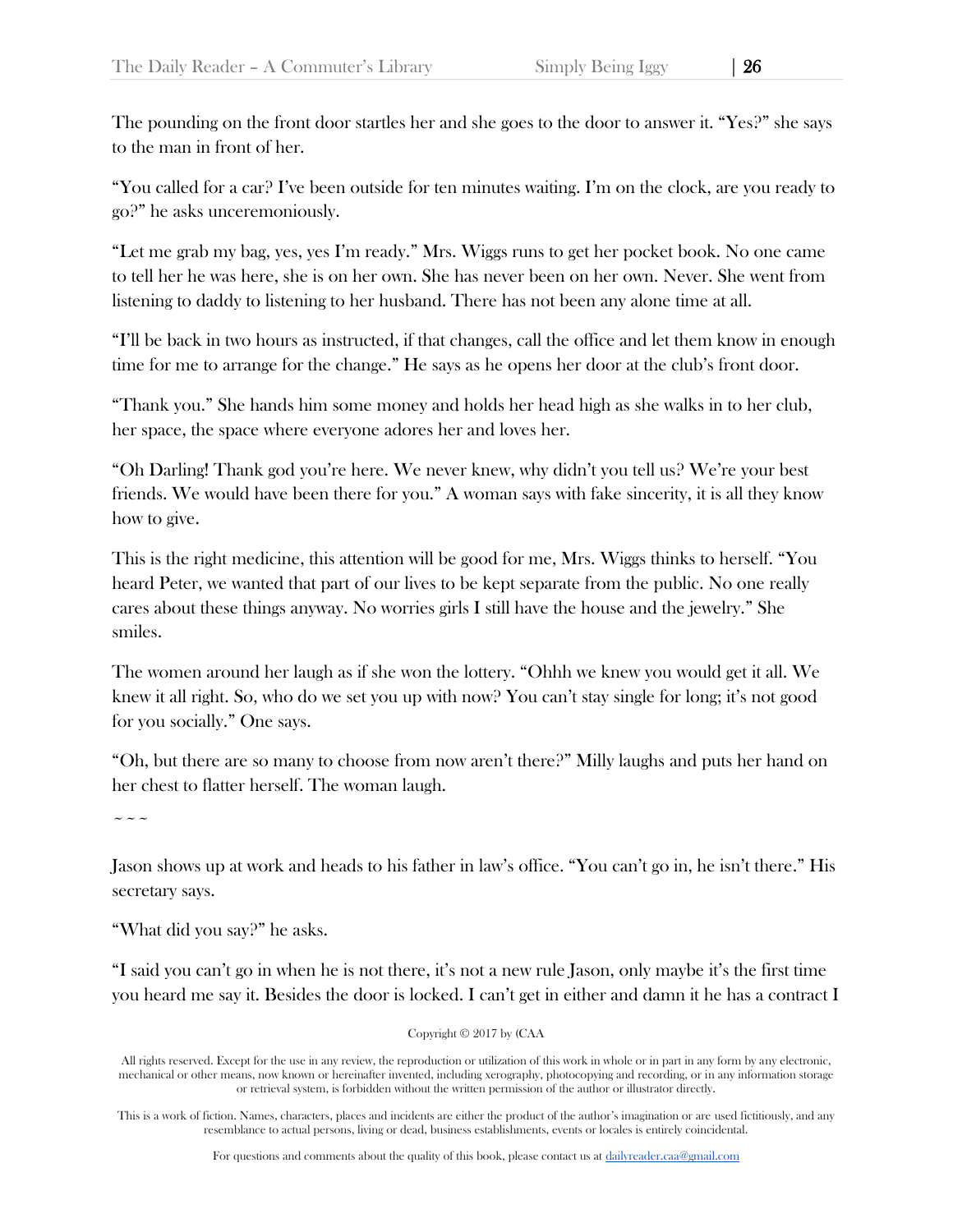The pounding on the front door startles her and she goes to the door to answer it. "Yes?" she says to the man in front of her.

"You called for a car? I've been outside for ten minutes waiting. I'm on the clock, are you ready to go?" he asks unceremoniously.

"Let me grab my bag, yes, yes I'm ready." Mrs. Wiggs runs to get her pocket book. No one came to tell her he was here, she is on her own. She has never been on her own. Never. She went from listening to daddy to listening to her husband. There has not been any alone time at all.

"I'll be back in two hours as instructed, if that changes, call the office and let them know in enough time for me to arrange for the change." He says as he opens her door at the club's front door.

"Thank you." She hands him some money and holds her head high as she walks in to her club, her space, the space where everyone adores her and loves her.

"Oh Darling! Thank god you're here. We never knew, why didn't you tell us? We're your best friends. We would have been there for you." A woman says with fake sincerity, it is all they know how to give.

This is the right medicine, this attention will be good for me, Mrs. Wiggs thinks to herself. "You heard Peter, we wanted that part of our lives to be kept separate from the public. No one really cares about these things anyway. No worries girls I still have the house and the jewelry." She smiles.

The women around her laugh as if she won the lottery. "Ohhh we knew you would get it all. We knew it all right. So, who do we set you up with now? You can't stay single for long; it's not good for you socially." One says.

"Oh, but there are so many to choose from now aren't there?" Milly laughs and puts her hand on her chest to flatter herself. The woman laugh.

 $\sim$   $\sim$   $\sim$ 

Jason shows up at work and heads to his father in law's office. "You can't go in, he isn't there." His secretary says.

"What did you say?" he asks.

"I said you can't go in when he is not there, it's not a new rule Jason, only maybe it's the first time you heard me say it. Besides the door is locked. I can't get in either and damn it he has a contract I

Copyright © 2017 by (CAA

All rights reserved. Except for the use in any review, the reproduction or utilization of this work in whole or in part in any form by any electronic, mechanical or other means, now known or hereinafter invented, including xerography, photocopying and recording, or in any information storage or retrieval system, is forbidden without the written permission of the author or illustrator directly.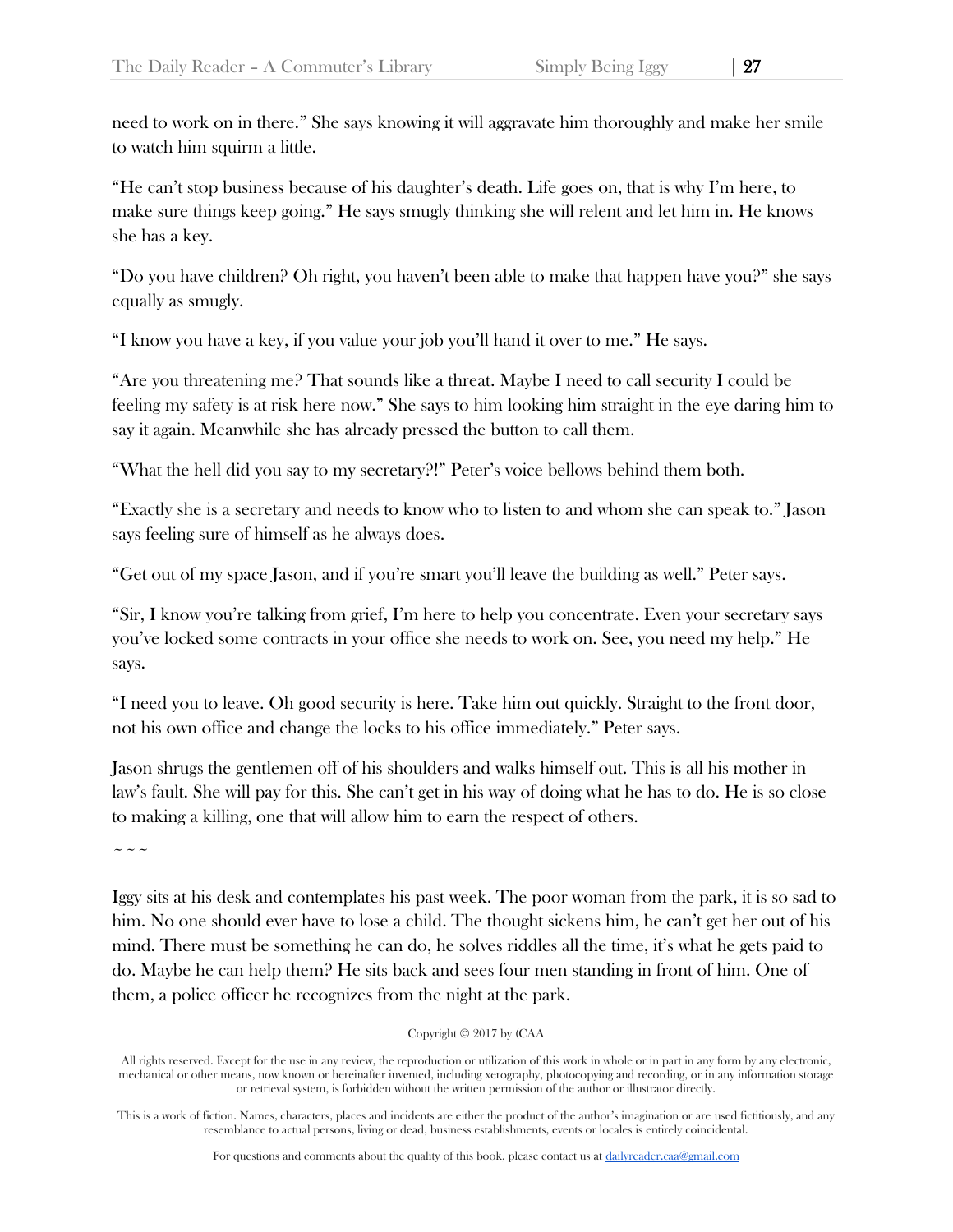need to work on in there." She says knowing it will aggravate him thoroughly and make her smile to watch him squirm a little.

"He can't stop business because of his daughter's death. Life goes on, that is why I'm here, to make sure things keep going." He says smugly thinking she will relent and let him in. He knows she has a key.

"Do you have children? Oh right, you haven't been able to make that happen have you?" she says equally as smugly.

"I know you have a key, if you value your job you'll hand it over to me." He says.

"Are you threatening me? That sounds like a threat. Maybe I need to call security I could be feeling my safety is at risk here now." She says to him looking him straight in the eye daring him to say it again. Meanwhile she has already pressed the button to call them.

"What the hell did you say to my secretary?!" Peter's voice bellows behind them both.

"Exactly she is a secretary and needs to know who to listen to and whom she can speak to." Jason says feeling sure of himself as he always does.

"Get out of my space Jason, and if you're smart you'll leave the building as well." Peter says.

"Sir, I know you're talking from grief, I'm here to help you concentrate. Even your secretary says you've locked some contracts in your office she needs to work on. See, you need my help." He says.

"I need you to leave. Oh good security is here. Take him out quickly. Straight to the front door, not his own office and change the locks to his office immediately." Peter says.

Jason shrugs the gentlemen off of his shoulders and walks himself out. This is all his mother in law's fault. She will pay for this. She can't get in his way of doing what he has to do. He is so close to making a killing, one that will allow him to earn the respect of others.

 $\sim$   $\sim$   $\sim$ 

Iggy sits at his desk and contemplates his past week. The poor woman from the park, it is so sad to him. No one should ever have to lose a child. The thought sickens him, he can't get her out of his mind. There must be something he can do, he solves riddles all the time, it's what he gets paid to do. Maybe he can help them? He sits back and sees four men standing in front of him. One of them, a police officer he recognizes from the night at the park.

## Copyright © 2017 by (CAA

All rights reserved. Except for the use in any review, the reproduction or utilization of this work in whole or in part in any form by any electronic, mechanical or other means, now known or hereinafter invented, including xerography, photocopying and recording, or in any information storage or retrieval system, is forbidden without the written permission of the author or illustrator directly.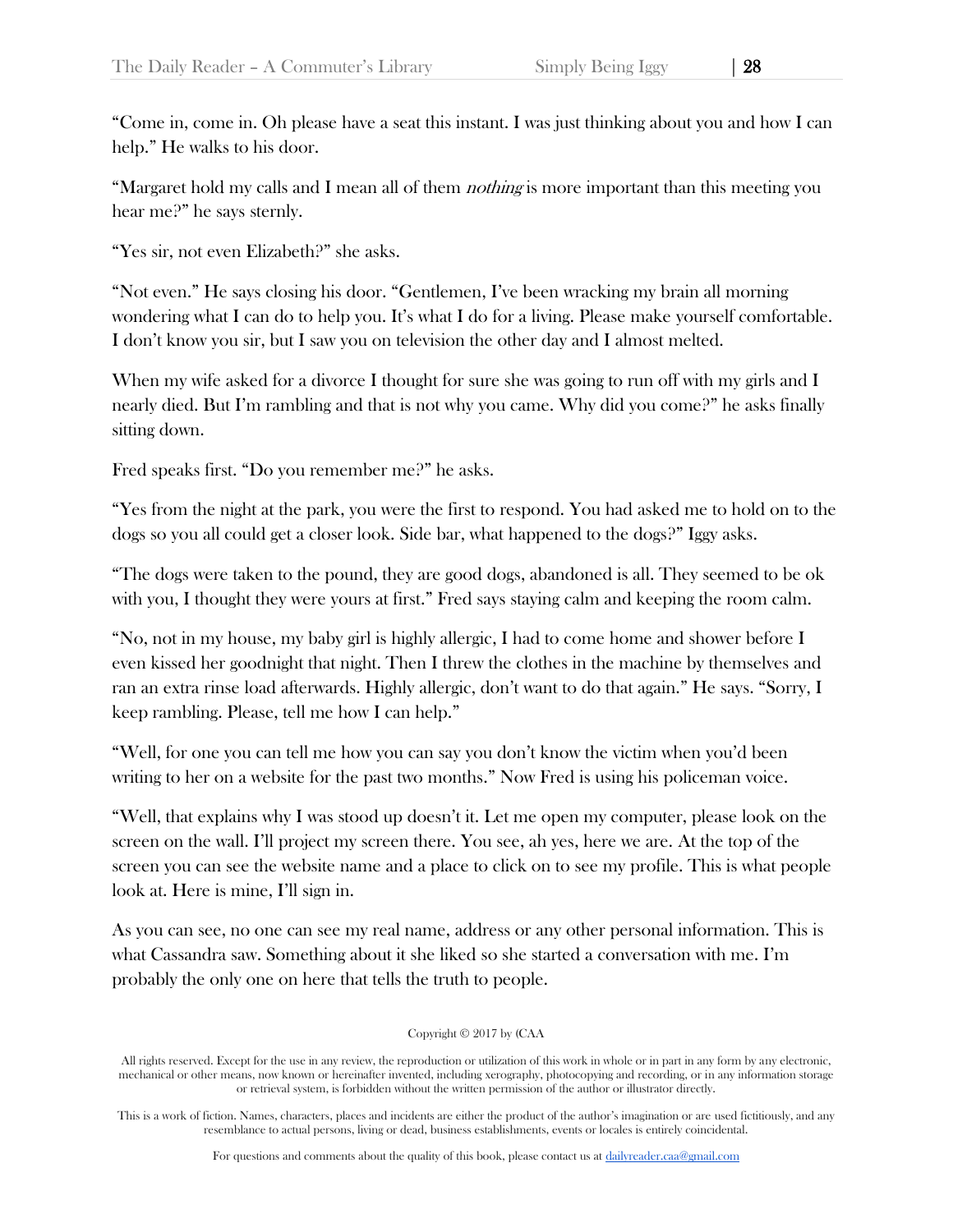"Come in, come in. Oh please have a seat this instant. I was just thinking about you and how I can help." He walks to his door.

"Margaret hold my calls and I mean all of them *nothing* is more important than this meeting you hear me?" he says sternly.

"Yes sir, not even Elizabeth?" she asks.

"Not even." He says closing his door. "Gentlemen, I've been wracking my brain all morning wondering what I can do to help you. It's what I do for a living. Please make yourself comfortable. I don't know you sir, but I saw you on television the other day and I almost melted.

When my wife asked for a divorce I thought for sure she was going to run off with my girls and I nearly died. But I'm rambling and that is not why you came. Why did you come?" he asks finally sitting down.

Fred speaks first. "Do you remember me?" he asks.

"Yes from the night at the park, you were the first to respond. You had asked me to hold on to the dogs so you all could get a closer look. Side bar, what happened to the dogs?" Iggy asks.

"The dogs were taken to the pound, they are good dogs, abandoned is all. They seemed to be ok with you, I thought they were yours at first." Fred says staying calm and keeping the room calm.

"No, not in my house, my baby girl is highly allergic, I had to come home and shower before I even kissed her goodnight that night. Then I threw the clothes in the machine by themselves and ran an extra rinse load afterwards. Highly allergic, don't want to do that again." He says. "Sorry, I keep rambling. Please, tell me how I can help."

"Well, for one you can tell me how you can say you don't know the victim when you'd been writing to her on a website for the past two months." Now Fred is using his policeman voice.

"Well, that explains why I was stood up doesn't it. Let me open my computer, please look on the screen on the wall. I'll project my screen there. You see, ah yes, here we are. At the top of the screen you can see the website name and a place to click on to see my profile. This is what people look at. Here is mine, I'll sign in.

As you can see, no one can see my real name, address or any other personal information. This is what Cassandra saw. Something about it she liked so she started a conversation with me. I'm probably the only one on here that tells the truth to people.

Copyright © 2017 by (CAA

All rights reserved. Except for the use in any review, the reproduction or utilization of this work in whole or in part in any form by any electronic, mechanical or other means, now known or hereinafter invented, including xerography, photocopying and recording, or in any information storage or retrieval system, is forbidden without the written permission of the author or illustrator directly.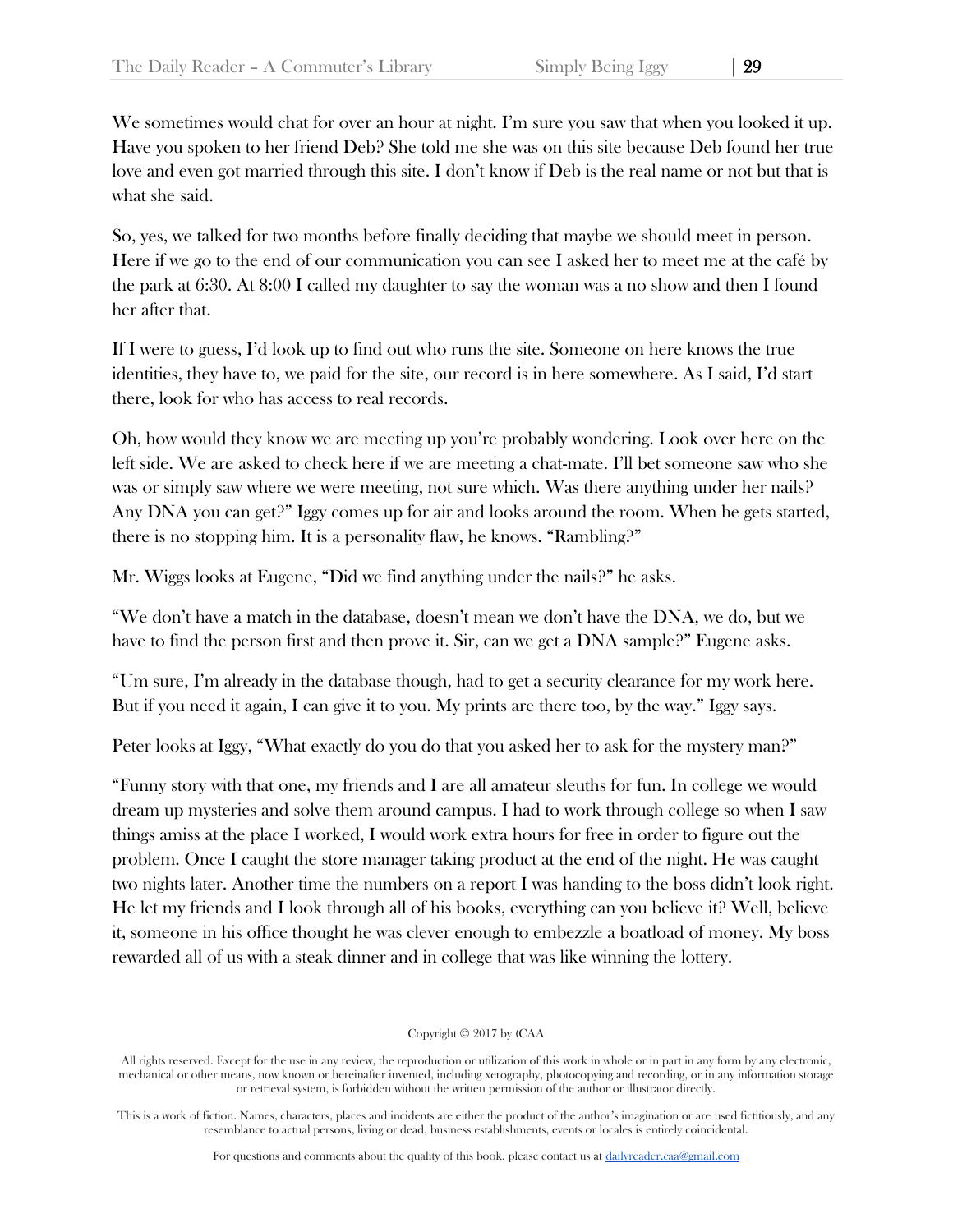We sometimes would chat for over an hour at night. I'm sure you saw that when you looked it up. Have you spoken to her friend Deb? She told me she was on this site because Deb found her true love and even got married through this site. I don't know if Deb is the real name or not but that is what she said.

So, yes, we talked for two months before finally deciding that maybe we should meet in person. Here if we go to the end of our communication you can see I asked her to meet me at the café by the park at 6:30. At 8:00 I called my daughter to say the woman was a no show and then I found her after that.

If I were to guess, I'd look up to find out who runs the site. Someone on here knows the true identities, they have to, we paid for the site, our record is in here somewhere. As I said, I'd start there, look for who has access to real records.

Oh, how would they know we are meeting up you're probably wondering. Look over here on the left side. We are asked to check here if we are meeting a chat-mate. I'll bet someone saw who she was or simply saw where we were meeting, not sure which. Was there anything under her nails? Any DNA you can get?" Iggy comes up for air and looks around the room. When he gets started, there is no stopping him. It is a personality flaw, he knows. "Rambling?"

Mr. Wiggs looks at Eugene, "Did we find anything under the nails?" he asks.

"We don't have a match in the database, doesn't mean we don't have the DNA, we do, but we have to find the person first and then prove it. Sir, can we get a DNA sample?" Eugene asks.

"Um sure, I'm already in the database though, had to get a security clearance for my work here. But if you need it again, I can give it to you. My prints are there too, by the way." Iggy says.

Peter looks at Iggy, "What exactly do you do that you asked her to ask for the mystery man?"

"Funny story with that one, my friends and I are all amateur sleuths for fun. In college we would dream up mysteries and solve them around campus. I had to work through college so when I saw things amiss at the place I worked, I would work extra hours for free in order to figure out the problem. Once I caught the store manager taking product at the end of the night. He was caught two nights later. Another time the numbers on a report I was handing to the boss didn't look right. He let my friends and I look through all of his books, everything can you believe it? Well, believe it, someone in his office thought he was clever enough to embezzle a boatload of money. My boss rewarded all of us with a steak dinner and in college that was like winning the lottery.

Copyright © 2017 by (CAA

All rights reserved. Except for the use in any review, the reproduction or utilization of this work in whole or in part in any form by any electronic, mechanical or other means, now known or hereinafter invented, including xerography, photocopying and recording, or in any information storage or retrieval system, is forbidden without the written permission of the author or illustrator directly.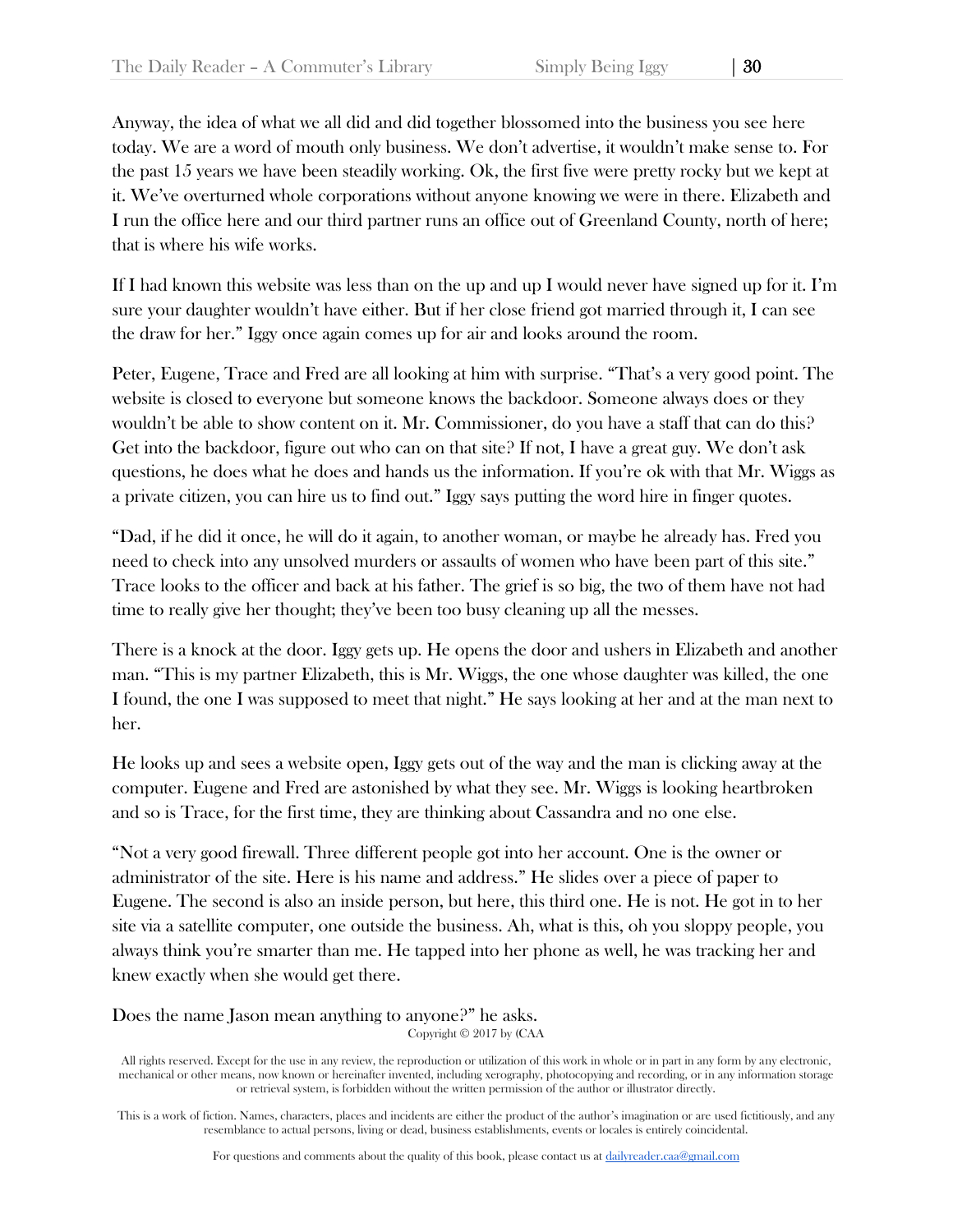Anyway, the idea of what we all did and did together blossomed into the business you see here today. We are a word of mouth only business. We don't advertise, it wouldn't make sense to. For the past 15 years we have been steadily working. Ok, the first five were pretty rocky but we kept at it. We've overturned whole corporations without anyone knowing we were in there. Elizabeth and I run the office here and our third partner runs an office out of Greenland County, north of here; that is where his wife works.

If I had known this website was less than on the up and up I would never have signed up for it. I'm sure your daughter wouldn't have either. But if her close friend got married through it, I can see the draw for her." Iggy once again comes up for air and looks around the room.

Peter, Eugene, Trace and Fred are all looking at him with surprise. "That's a very good point. The website is closed to everyone but someone knows the backdoor. Someone always does or they wouldn't be able to show content on it. Mr. Commissioner, do you have a staff that can do this? Get into the backdoor, figure out who can on that site? If not, I have a great guy. We don't ask questions, he does what he does and hands us the information. If you're ok with that Mr. Wiggs as a private citizen, you can hire us to find out." Iggy says putting the word hire in finger quotes.

"Dad, if he did it once, he will do it again, to another woman, or maybe he already has. Fred you need to check into any unsolved murders or assaults of women who have been part of this site." Trace looks to the officer and back at his father. The grief is so big, the two of them have not had time to really give her thought; they've been too busy cleaning up all the messes.

There is a knock at the door. Iggy gets up. He opens the door and ushers in Elizabeth and another man. "This is my partner Elizabeth, this is Mr. Wiggs, the one whose daughter was killed, the one I found, the one I was supposed to meet that night." He says looking at her and at the man next to her.

He looks up and sees a website open, Iggy gets out of the way and the man is clicking away at the computer. Eugene and Fred are astonished by what they see. Mr. Wiggs is looking heartbroken and so is Trace, for the first time, they are thinking about Cassandra and no one else.

"Not a very good firewall. Three different people got into her account. One is the owner or administrator of the site. Here is his name and address." He slides over a piece of paper to Eugene. The second is also an inside person, but here, this third one. He is not. He got in to her site via a satellite computer, one outside the business. Ah, what is this, oh you sloppy people, you always think you're smarter than me. He tapped into her phone as well, he was tracking her and knew exactly when she would get there.

Copyright © 2017 by (CAA Does the name Jason mean anything to anyone?" he asks.

All rights reserved. Except for the use in any review, the reproduction or utilization of this work in whole or in part in any form by any electronic, mechanical or other means, now known or hereinafter invented, including xerography, photocopying and recording, or in any information storage or retrieval system, is forbidden without the written permission of the author or illustrator directly.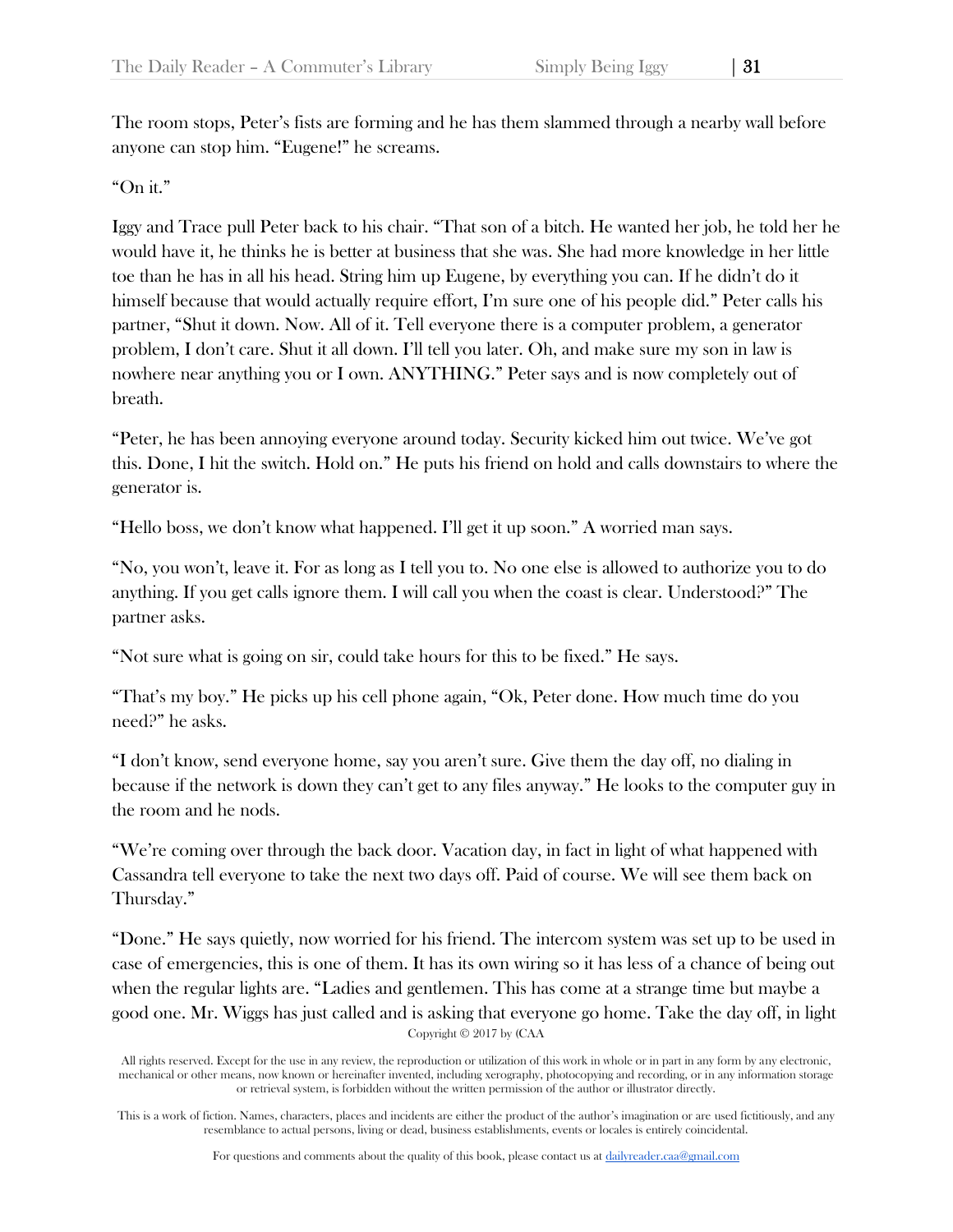The room stops, Peter's fists are forming and he has them slammed through a nearby wall before anyone can stop him. "Eugene!" he screams.

## "On it."

Iggy and Trace pull Peter back to his chair. "That son of a bitch. He wanted her job, he told her he would have it, he thinks he is better at business that she was. She had more knowledge in her little toe than he has in all his head. String him up Eugene, by everything you can. If he didn't do it himself because that would actually require effort, I'm sure one of his people did." Peter calls his partner, "Shut it down. Now. All of it. Tell everyone there is a computer problem, a generator problem, I don't care. Shut it all down. I'll tell you later. Oh, and make sure my son in law is nowhere near anything you or I own. ANYTHING." Peter says and is now completely out of breath.

"Peter, he has been annoying everyone around today. Security kicked him out twice. We've got this. Done, I hit the switch. Hold on." He puts his friend on hold and calls downstairs to where the generator is.

"Hello boss, we don't know what happened. I'll get it up soon." A worried man says.

"No, you won't, leave it. For as long as I tell you to. No one else is allowed to authorize you to do anything. If you get calls ignore them. I will call you when the coast is clear. Understood?" The partner asks.

"Not sure what is going on sir, could take hours for this to be fixed." He says.

"That's my boy." He picks up his cell phone again, "Ok, Peter done. How much time do you need?" he asks.

"I don't know, send everyone home, say you aren't sure. Give them the day off, no dialing in because if the network is down they can't get to any files anyway." He looks to the computer guy in the room and he nods.

"We're coming over through the back door. Vacation day, in fact in light of what happened with Cassandra tell everyone to take the next two days off. Paid of course. We will see them back on Thursday."

Copyright © 2017 by (CAA "Done." He says quietly, now worried for his friend. The intercom system was set up to be used in case of emergencies, this is one of them. It has its own wiring so it has less of a chance of being out when the regular lights are. "Ladies and gentlemen. This has come at a strange time but maybe a good one. Mr. Wiggs has just called and is asking that everyone go home. Take the day off, in light

All rights reserved. Except for the use in any review, the reproduction or utilization of this work in whole or in part in any form by any electronic, mechanical or other means, now known or hereinafter invented, including xerography, photocopying and recording, or in any information storage or retrieval system, is forbidden without the written permission of the author or illustrator directly.

This is a work of fiction. Names, characters, places and incidents are either the product of the author's imagination or are used fictitiously, and any resemblance to actual persons, living or dead, business establishments, events or locales is entirely coincidental.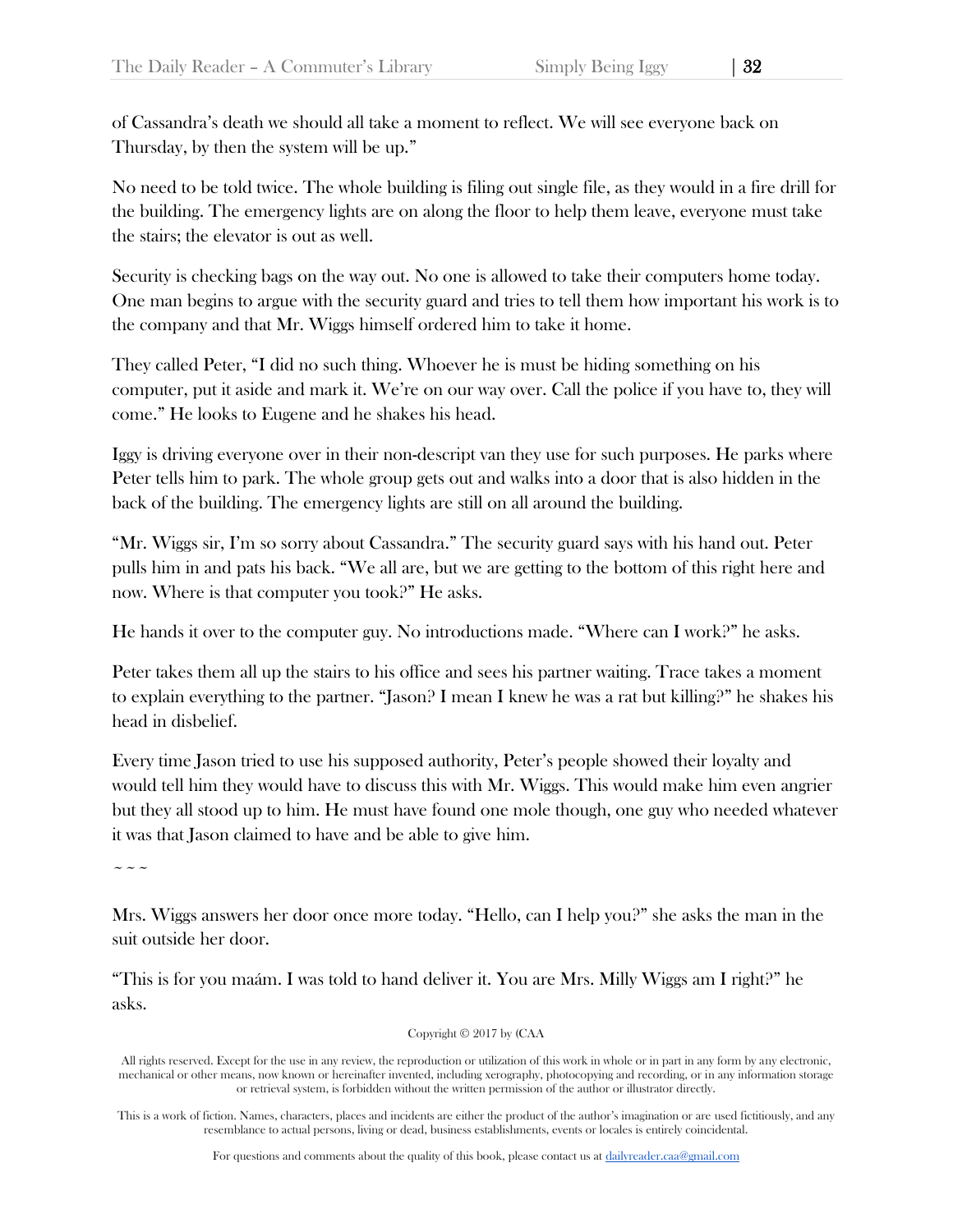of Cassandra's death we should all take a moment to reflect. We will see everyone back on Thursday, by then the system will be up."

No need to be told twice. The whole building is filing out single file, as they would in a fire drill for the building. The emergency lights are on along the floor to help them leave, everyone must take the stairs; the elevator is out as well.

Security is checking bags on the way out. No one is allowed to take their computers home today. One man begins to argue with the security guard and tries to tell them how important his work is to the company and that Mr. Wiggs himself ordered him to take it home.

They called Peter, "I did no such thing. Whoever he is must be hiding something on his computer, put it aside and mark it. We're on our way over. Call the police if you have to, they will come." He looks to Eugene and he shakes his head.

Iggy is driving everyone over in their non-descript van they use for such purposes. He parks where Peter tells him to park. The whole group gets out and walks into a door that is also hidden in the back of the building. The emergency lights are still on all around the building.

"Mr. Wiggs sir, I'm so sorry about Cassandra." The security guard says with his hand out. Peter pulls him in and pats his back. "We all are, but we are getting to the bottom of this right here and now. Where is that computer you took?" He asks.

He hands it over to the computer guy. No introductions made. "Where can I work?" he asks.

Peter takes them all up the stairs to his office and sees his partner waiting. Trace takes a moment to explain everything to the partner. "Jason? I mean I knew he was a rat but killing?" he shakes his head in disbelief.

Every time Jason tried to use his supposed authority, Peter's people showed their loyalty and would tell him they would have to discuss this with Mr. Wiggs. This would make him even angrier but they all stood up to him. He must have found one mole though, one guy who needed whatever it was that Jason claimed to have and be able to give him.

 $\sim$   $\sim$   $\sim$ 

Mrs. Wiggs answers her door once more today. "Hello, can I help you?" she asks the man in the suit outside her door.

"This is for you maám. I was told to hand deliver it. You are Mrs. Milly Wiggs am I right?" he asks.

Copyright © 2017 by (CAA

All rights reserved. Except for the use in any review, the reproduction or utilization of this work in whole or in part in any form by any electronic, mechanical or other means, now known or hereinafter invented, including xerography, photocopying and recording, or in any information storage or retrieval system, is forbidden without the written permission of the author or illustrator directly.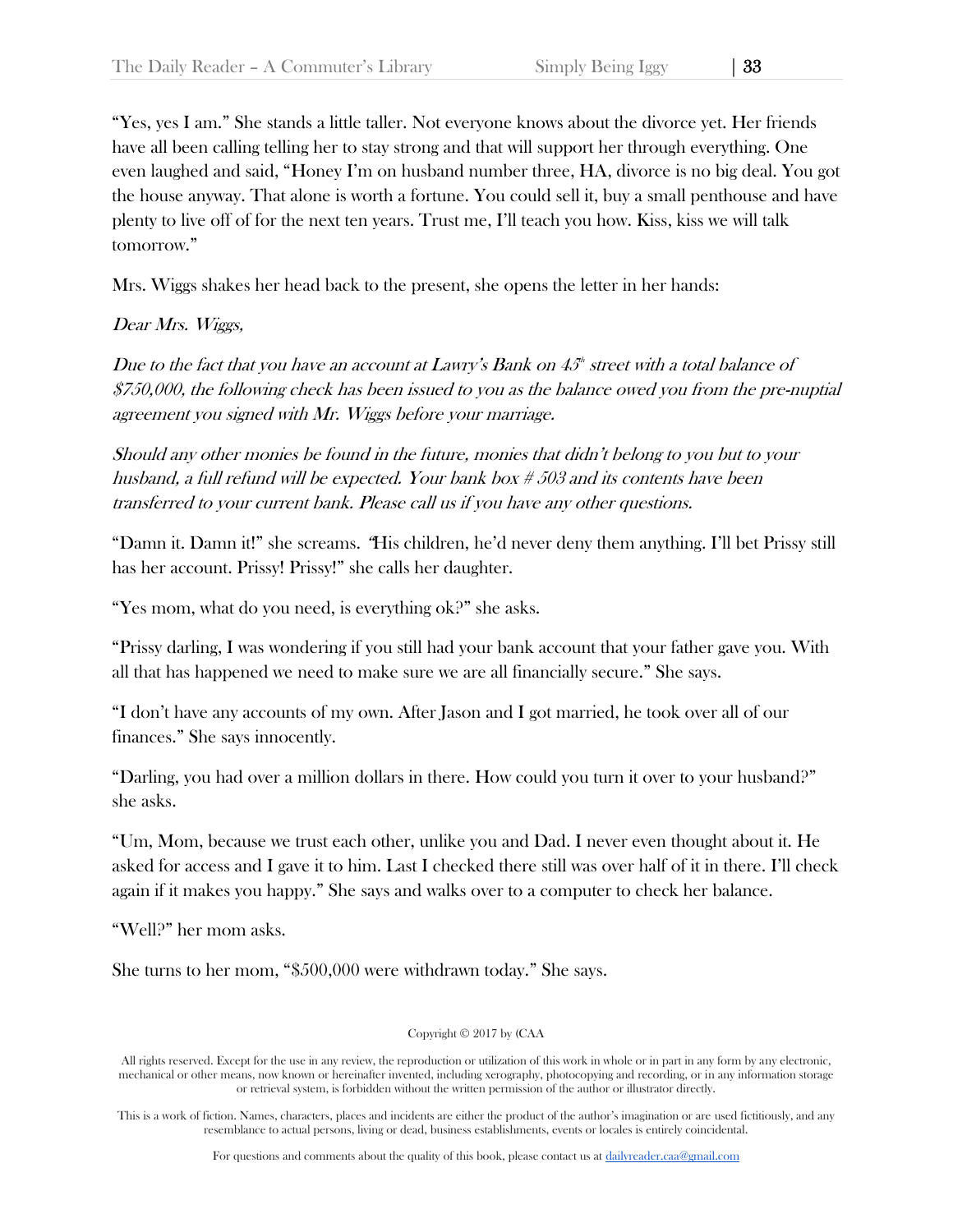"Yes, yes I am." She stands a little taller. Not everyone knows about the divorce yet. Her friends have all been calling telling her to stay strong and that will support her through everything. One even laughed and said, "Honey I'm on husband number three, HA, divorce is no big deal. You got the house anyway. That alone is worth a fortune. You could sell it, buy a small penthouse and have plenty to live off of for the next ten years. Trust me, I'll teach you how. Kiss, kiss we will talk tomorrow."

Mrs. Wiggs shakes her head back to the present, she opens the letter in her hands:

# Dear Mrs. Wiggs,

Due to the fact that you have an account at Lawry's Bank on  $45^{\circ}$  street with a total balance of \$750,000, the following check has been issued to you as the balance owed you from the pre-nuptial agreement you signed with Mr. Wiggs before your marriage.

Should any other monies be found in the future, monies that didn't belong to you but to your husband, a full refund will be expected. Your bank box # 503 and its contents have been transferred to your current bank. Please call us if you have any other questions.

"Damn it. Damn it!" she screams. "His children, he'd never deny them anything. I'll bet Prissy still has her account. Prissy! Prissy!" she calls her daughter.

"Yes mom, what do you need, is everything ok?" she asks.

"Prissy darling, I was wondering if you still had your bank account that your father gave you. With all that has happened we need to make sure we are all financially secure." She says.

"I don't have any accounts of my own. After Jason and I got married, he took over all of our finances." She says innocently.

"Darling, you had over a million dollars in there. How could you turn it over to your husband?" she asks.

"Um, Mom, because we trust each other, unlike you and Dad. I never even thought about it. He asked for access and I gave it to him. Last I checked there still was over half of it in there. I'll check again if it makes you happy." She says and walks over to a computer to check her balance.

"Well?" her mom asks.

She turns to her mom, "\$500,000 were withdrawn today." She says.

Copyright © 2017 by (CAA

All rights reserved. Except for the use in any review, the reproduction or utilization of this work in whole or in part in any form by any electronic, mechanical or other means, now known or hereinafter invented, including xerography, photocopying and recording, or in any information storage or retrieval system, is forbidden without the written permission of the author or illustrator directly.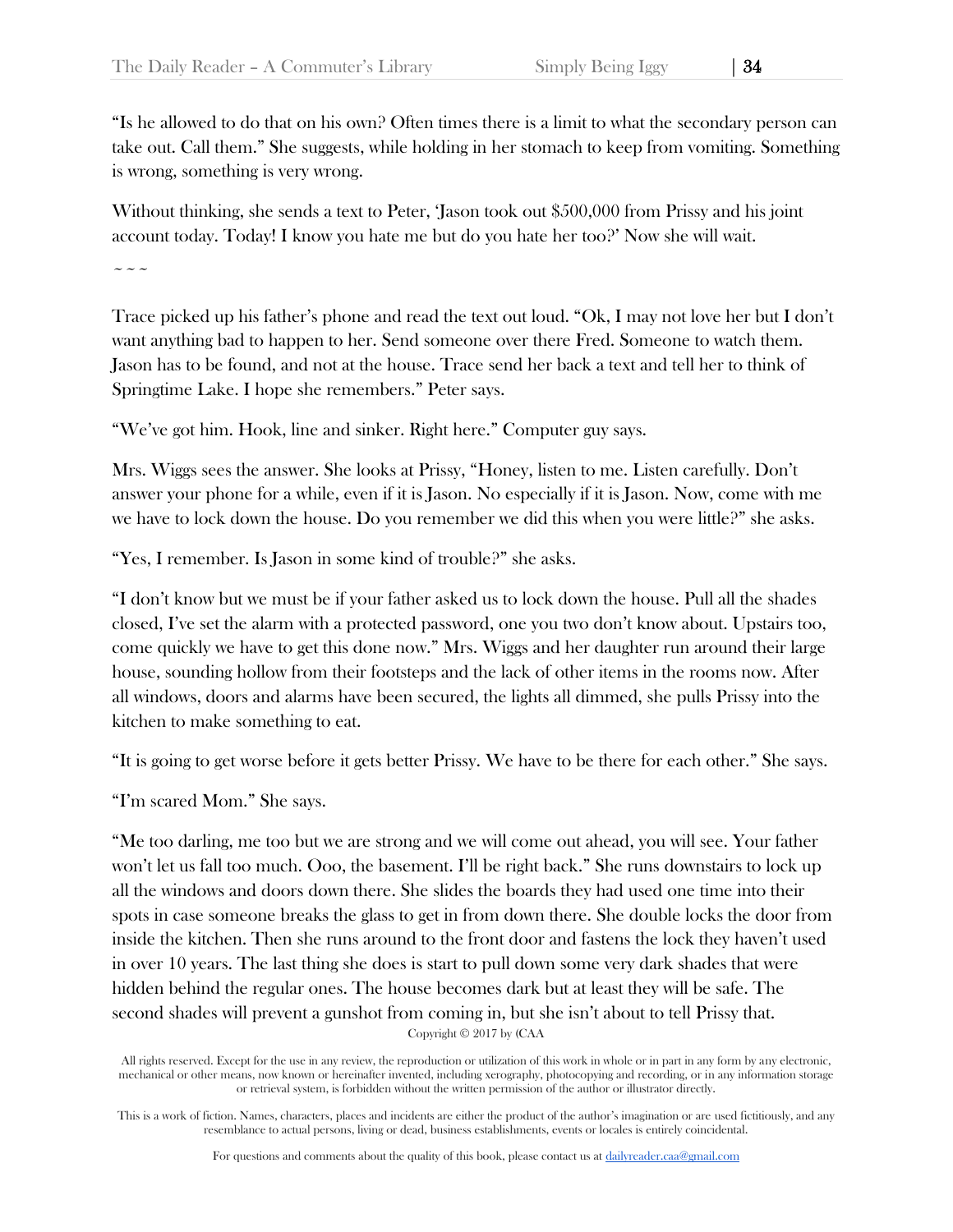"Is he allowed to do that on his own? Often times there is a limit to what the secondary person can take out. Call them." She suggests, while holding in her stomach to keep from vomiting. Something is wrong, something is very wrong.

Without thinking, she sends a text to Peter, 'Jason took out \$500,000 from Prissy and his joint account today. Today! I know you hate me but do you hate her too?' Now she will wait.

 $\sim$   $\sim$   $\sim$ 

Trace picked up his father's phone and read the text out loud. "Ok, I may not love her but I don't want anything bad to happen to her. Send someone over there Fred. Someone to watch them. Jason has to be found, and not at the house. Trace send her back a text and tell her to think of Springtime Lake. I hope she remembers." Peter says.

"We've got him. Hook, line and sinker. Right here." Computer guy says.

Mrs. Wiggs sees the answer. She looks at Prissy, "Honey, listen to me. Listen carefully. Don't answer your phone for a while, even if it is Jason. No especially if it is Jason. Now, come with me we have to lock down the house. Do you remember we did this when you were little?" she asks.

"Yes, I remember. Is Jason in some kind of trouble?" she asks.

"I don't know but we must be if your father asked us to lock down the house. Pull all the shades closed, I've set the alarm with a protected password, one you two don't know about. Upstairs too, come quickly we have to get this done now." Mrs. Wiggs and her daughter run around their large house, sounding hollow from their footsteps and the lack of other items in the rooms now. After all windows, doors and alarms have been secured, the lights all dimmed, she pulls Prissy into the kitchen to make something to eat.

"It is going to get worse before it gets better Prissy. We have to be there for each other." She says.

"I'm scared Mom." She says.

"Me too darling, me too but we are strong and we will come out ahead, you will see. Your father won't let us fall too much. Ooo, the basement. I'll be right back." She runs downstairs to lock up all the windows and doors down there. She slides the boards they had used one time into their spots in case someone breaks the glass to get in from down there. She double locks the door from inside the kitchen. Then she runs around to the front door and fastens the lock they haven't used in over 10 years. The last thing she does is start to pull down some very dark shades that were hidden behind the regular ones. The house becomes dark but at least they will be safe. The second shades will prevent a gunshot from coming in, but she isn't about to tell Prissy that.

Copyright © 2017 by (CAA

All rights reserved. Except for the use in any review, the reproduction or utilization of this work in whole or in part in any form by any electronic, mechanical or other means, now known or hereinafter invented, including xerography, photocopying and recording, or in any information storage or retrieval system, is forbidden without the written permission of the author or illustrator directly.

This is a work of fiction. Names, characters, places and incidents are either the product of the author's imagination or are used fictitiously, and any resemblance to actual persons, living or dead, business establishments, events or locales is entirely coincidental.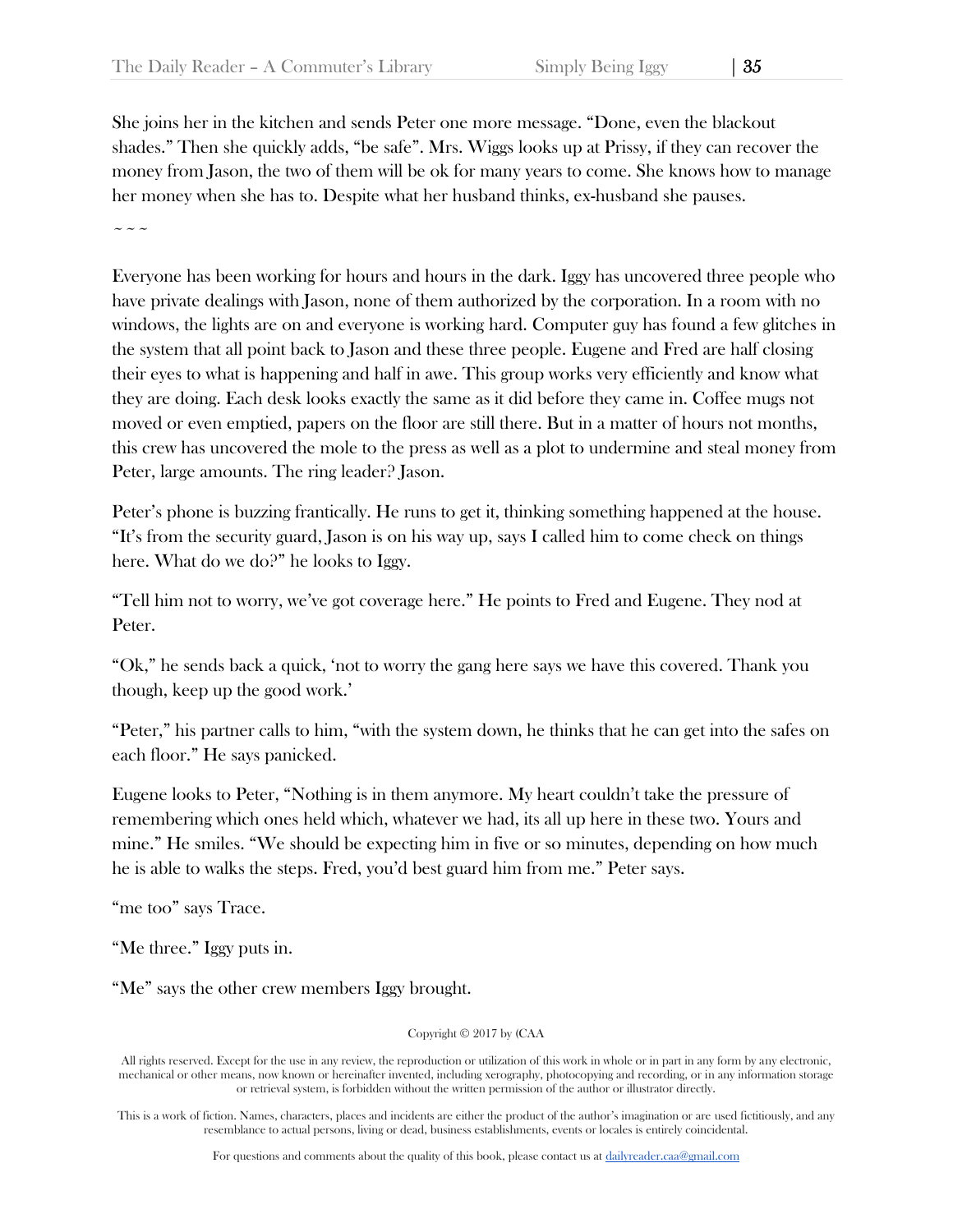She joins her in the kitchen and sends Peter one more message. "Done, even the blackout shades." Then she quickly adds, "be safe". Mrs. Wiggs looks up at Prissy, if they can recover the money from Jason, the two of them will be ok for many years to come. She knows how to manage her money when she has to. Despite what her husband thinks, ex-husband she pauses.

~~~

Everyone has been working for hours and hours in the dark. Iggy has uncovered three people who have private dealings with Jason, none of them authorized by the corporation. In a room with no windows, the lights are on and everyone is working hard. Computer guy has found a few glitches in the system that all point back to Jason and these three people. Eugene and Fred are half closing their eyes to what is happening and half in awe. This group works very efficiently and know what they are doing. Each desk looks exactly the same as it did before they came in. Coffee mugs not moved or even emptied, papers on the floor are still there. But in a matter of hours not months, this crew has uncovered the mole to the press as well as a plot to undermine and steal money from Peter, large amounts. The ring leader? Jason.

Peter's phone is buzzing frantically. He runs to get it, thinking something happened at the house. "It's from the security guard, Jason is on his way up, says I called him to come check on things here. What do we do?" he looks to Iggy.

"Tell him not to worry, we've got coverage here." He points to Fred and Eugene. They nod at Peter.

"Ok," he sends back a quick, 'not to worry the gang here says we have this covered. Thank you though, keep up the good work.'

"Peter," his partner calls to him, "with the system down, he thinks that he can get into the safes on each floor." He says panicked.

Eugene looks to Peter, "Nothing is in them anymore. My heart couldn't take the pressure of remembering which ones held which, whatever we had, its all up here in these two. Yours and mine." He smiles. "We should be expecting him in five or so minutes, depending on how much he is able to walks the steps. Fred, you'd best guard him from me." Peter says.

"me too" says Trace.

"Me three." Iggy puts in.

"Me" says the other crew members Iggy brought.

Copyright © 2017 by (CAA

All rights reserved. Except for the use in any review, the reproduction or utilization of this work in whole or in part in any form by any electronic, mechanical or other means, now known or hereinafter invented, including xerography, photocopying and recording, or in any information storage or retrieval system, is forbidden without the written permission of the author or illustrator directly.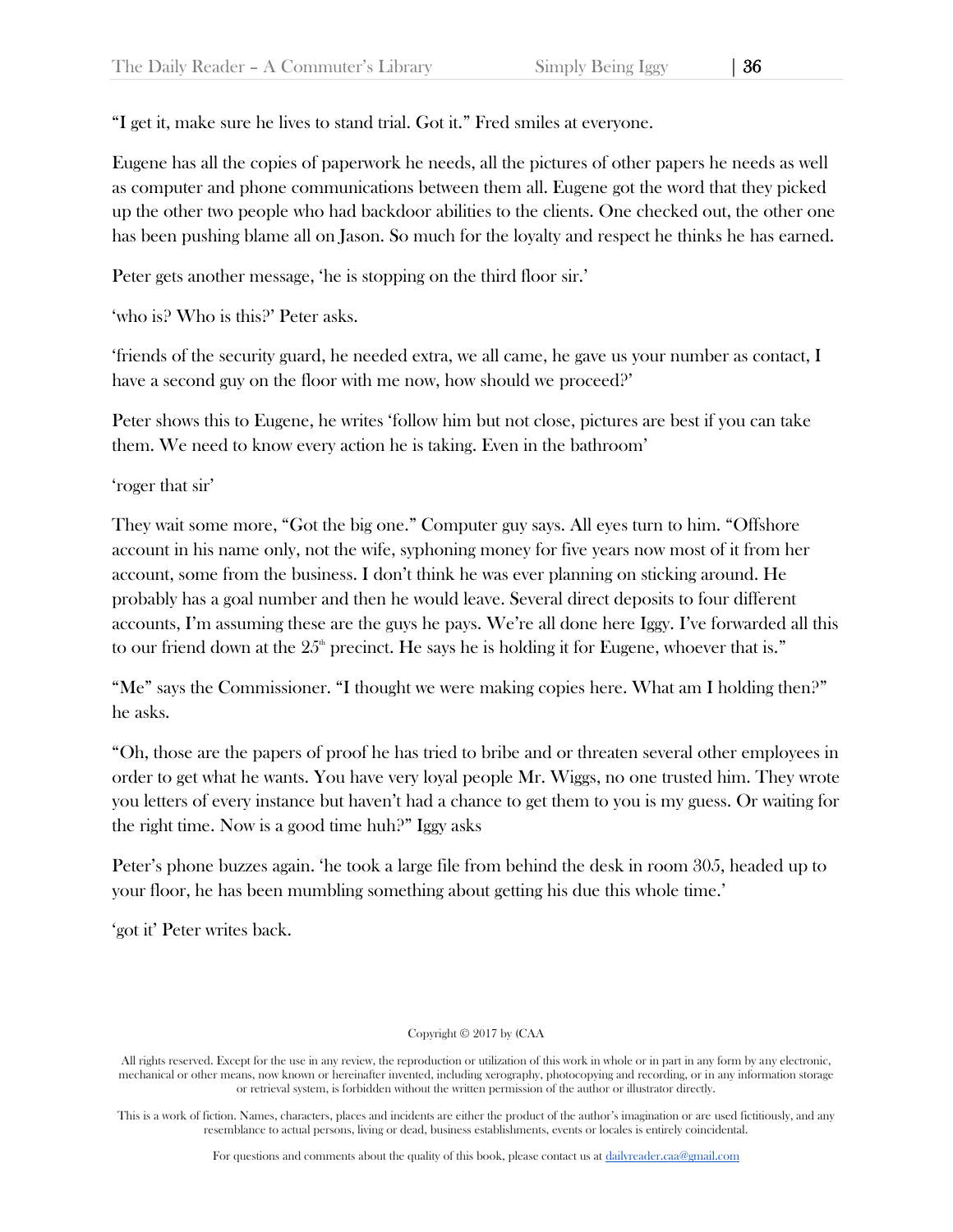"I get it, make sure he lives to stand trial. Got it." Fred smiles at everyone.

Eugene has all the copies of paperwork he needs, all the pictures of other papers he needs as well as computer and phone communications between them all. Eugene got the word that they picked up the other two people who had backdoor abilities to the clients. One checked out, the other one has been pushing blame all on Jason. So much for the loyalty and respect he thinks he has earned.

Peter gets another message, 'he is stopping on the third floor sir.'

'who is? Who is this?' Peter asks.

'friends of the security guard, he needed extra, we all came, he gave us your number as contact, I have a second guy on the floor with me now, how should we proceed?'

Peter shows this to Eugene, he writes 'follow him but not close, pictures are best if you can take them. We need to know every action he is taking. Even in the bathroom'

'roger that sir'

They wait some more, "Got the big one." Computer guy says. All eyes turn to him. "Offshore account in his name only, not the wife, syphoning money for five years now most of it from her account, some from the business. I don't think he was ever planning on sticking around. He probably has a goal number and then he would leave. Several direct deposits to four different accounts, I'm assuming these are the guys he pays. We're all done here Iggy. I've forwarded all this to our friend down at the  $25<sup>th</sup>$  precinct. He says he is holding it for Eugene, whoever that is."

"Me" says the Commissioner. "I thought we were making copies here. What am I holding then?" he asks.

"Oh, those are the papers of proof he has tried to bribe and or threaten several other employees in order to get what he wants. You have very loyal people Mr. Wiggs, no one trusted him. They wrote you letters of every instance but haven't had a chance to get them to you is my guess. Or waiting for the right time. Now is a good time huh?" Iggy asks

Peter's phone buzzes again. 'he took a large file from behind the desk in room 305, headed up to your floor, he has been mumbling something about getting his due this whole time.'

'got it' Peter writes back.

Copyright © 2017 by (CAA

This is a work of fiction. Names, characters, places and incidents are either the product of the author's imagination or are used fictitiously, and any resemblance to actual persons, living or dead, business establishments, events or locales is entirely coincidental.

For questions and comments about the quality of this book, please contact us at [dailyreader.caa@gmail.com](mailto:dailyreader.caa@gmail.com)

All rights reserved. Except for the use in any review, the reproduction or utilization of this work in whole or in part in any form by any electronic, mechanical or other means, now known or hereinafter invented, including xerography, photocopying and recording, or in any information storage or retrieval system, is forbidden without the written permission of the author or illustrator directly.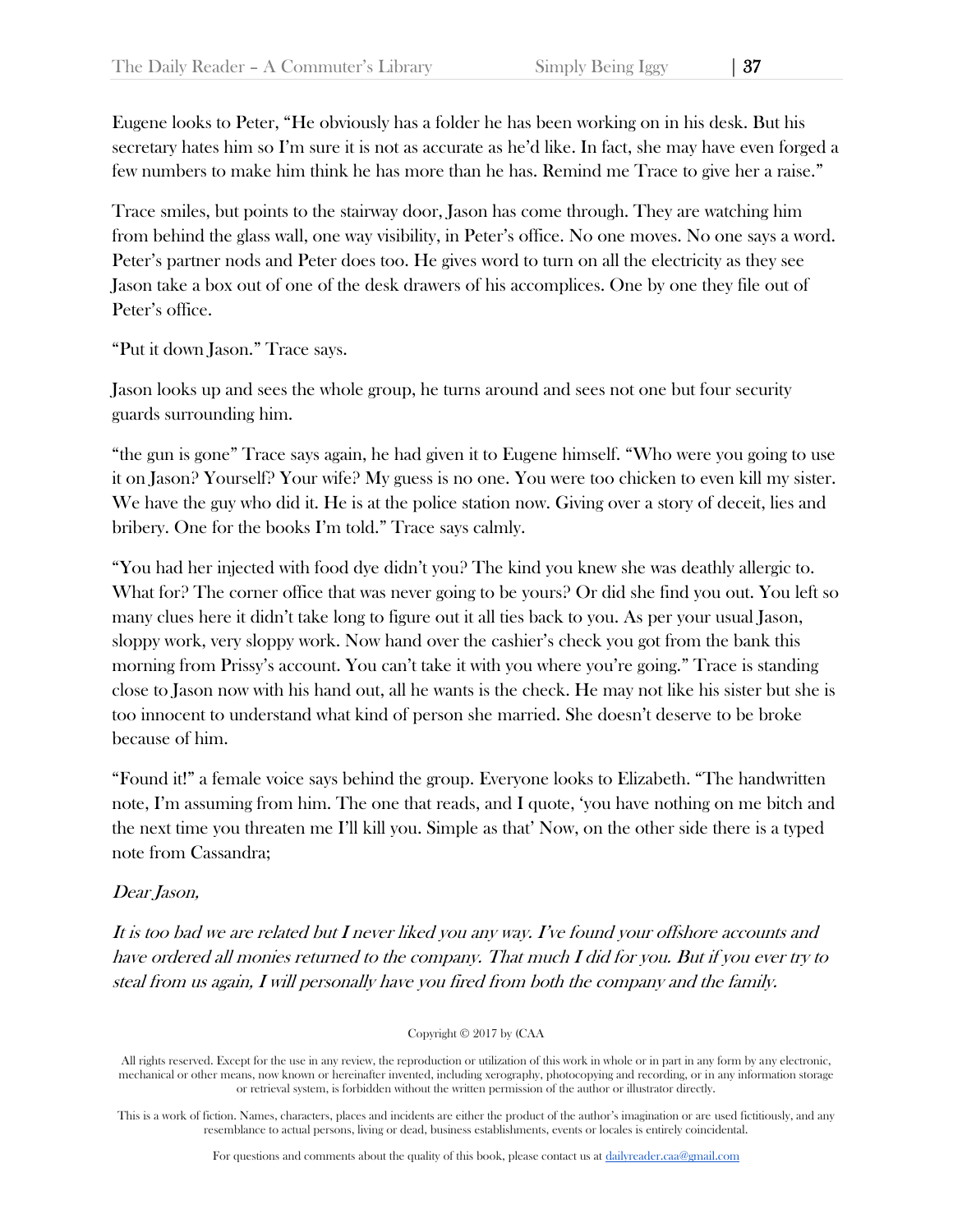Eugene looks to Peter, "He obviously has a folder he has been working on in his desk. But his secretary hates him so I'm sure it is not as accurate as he'd like. In fact, she may have even forged a few numbers to make him think he has more than he has. Remind me Trace to give her a raise."

Trace smiles, but points to the stairway door, Jason has come through. They are watching him from behind the glass wall, one way visibility, in Peter's office. No one moves. No one says a word. Peter's partner nods and Peter does too. He gives word to turn on all the electricity as they see Jason take a box out of one of the desk drawers of his accomplices. One by one they file out of Peter's office.

"Put it down Jason." Trace says.

Jason looks up and sees the whole group, he turns around and sees not one but four security guards surrounding him.

"the gun is gone" Trace says again, he had given it to Eugene himself. "Who were you going to use it on Jason? Yourself? Your wife? My guess is no one. You were too chicken to even kill my sister. We have the guy who did it. He is at the police station now. Giving over a story of deceit, lies and bribery. One for the books I'm told." Trace says calmly.

"You had her injected with food dye didn't you? The kind you knew she was deathly allergic to. What for? The corner office that was never going to be yours? Or did she find you out. You left so many clues here it didn't take long to figure out it all ties back to you. As per your usual Jason, sloppy work, very sloppy work. Now hand over the cashier's check you got from the bank this morning from Prissy's account. You can't take it with you where you're going." Trace is standing close to Jason now with his hand out, all he wants is the check. He may not like his sister but she is too innocent to understand what kind of person she married. She doesn't deserve to be broke because of him.

"Found it!" a female voice says behind the group. Everyone looks to Elizabeth. "The handwritten note, I'm assuming from him. The one that reads, and I quote, 'you have nothing on me bitch and the next time you threaten me I'll kill you. Simple as that' Now, on the other side there is a typed note from Cassandra;

## Dear Jason,

It is too bad we are related but I never liked you any way. I've found your offshore accounts and have ordered all monies returned to the company. That much I did for you. But if you ever try to steal from us again, I will personally have you fired from both the company and the family.

Copyright © 2017 by (CAA

All rights reserved. Except for the use in any review, the reproduction or utilization of this work in whole or in part in any form by any electronic, mechanical or other means, now known or hereinafter invented, including xerography, photocopying and recording, or in any information storage or retrieval system, is forbidden without the written permission of the author or illustrator directly.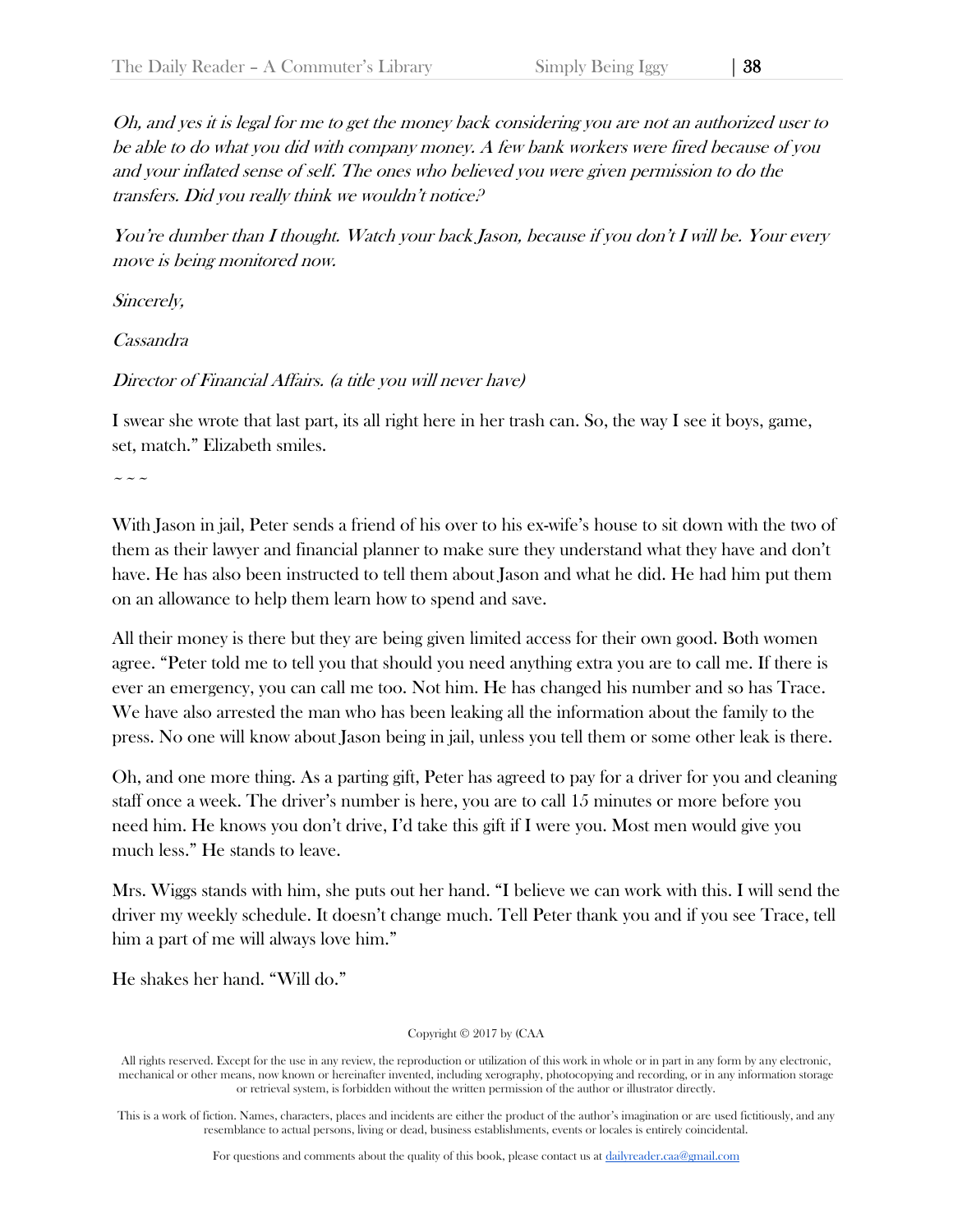Oh, and yes it is legal for me to get the money back considering you are not an authorized user to be able to do what you did with company money. A few bank workers were fired because of you and your inflated sense of self. The ones who believed you were given permission to do the transfers. Did you really think we wouldn't notice?

You're dumber than I thought. Watch your back Jason, because if you don't I will be. Your every move is being monitored now.

Sincerely,

Cassandra

Director of Financial Affairs. (a title you will never have)

I swear she wrote that last part, its all right here in her trash can. So, the way I see it boys, game, set, match." Elizabeth smiles.

 $\sim\sim\sim$ 

With Jason in jail, Peter sends a friend of his over to his ex-wife's house to sit down with the two of them as their lawyer and financial planner to make sure they understand what they have and don't have. He has also been instructed to tell them about Jason and what he did. He had him put them on an allowance to help them learn how to spend and save.

All their money is there but they are being given limited access for their own good. Both women agree. "Peter told me to tell you that should you need anything extra you are to call me. If there is ever an emergency, you can call me too. Not him. He has changed his number and so has Trace. We have also arrested the man who has been leaking all the information about the family to the press. No one will know about Jason being in jail, unless you tell them or some other leak is there.

Oh, and one more thing. As a parting gift, Peter has agreed to pay for a driver for you and cleaning staff once a week. The driver's number is here, you are to call 15 minutes or more before you need him. He knows you don't drive, I'd take this gift if I were you. Most men would give you much less." He stands to leave.

Mrs. Wiggs stands with him, she puts out her hand. "I believe we can work with this. I will send the driver my weekly schedule. It doesn't change much. Tell Peter thank you and if you see Trace, tell him a part of me will always love him."

He shakes her hand. "Will do."

Copyright © 2017 by (CAA

All rights reserved. Except for the use in any review, the reproduction or utilization of this work in whole or in part in any form by any electronic, mechanical or other means, now known or hereinafter invented, including xerography, photocopying and recording, or in any information storage or retrieval system, is forbidden without the written permission of the author or illustrator directly.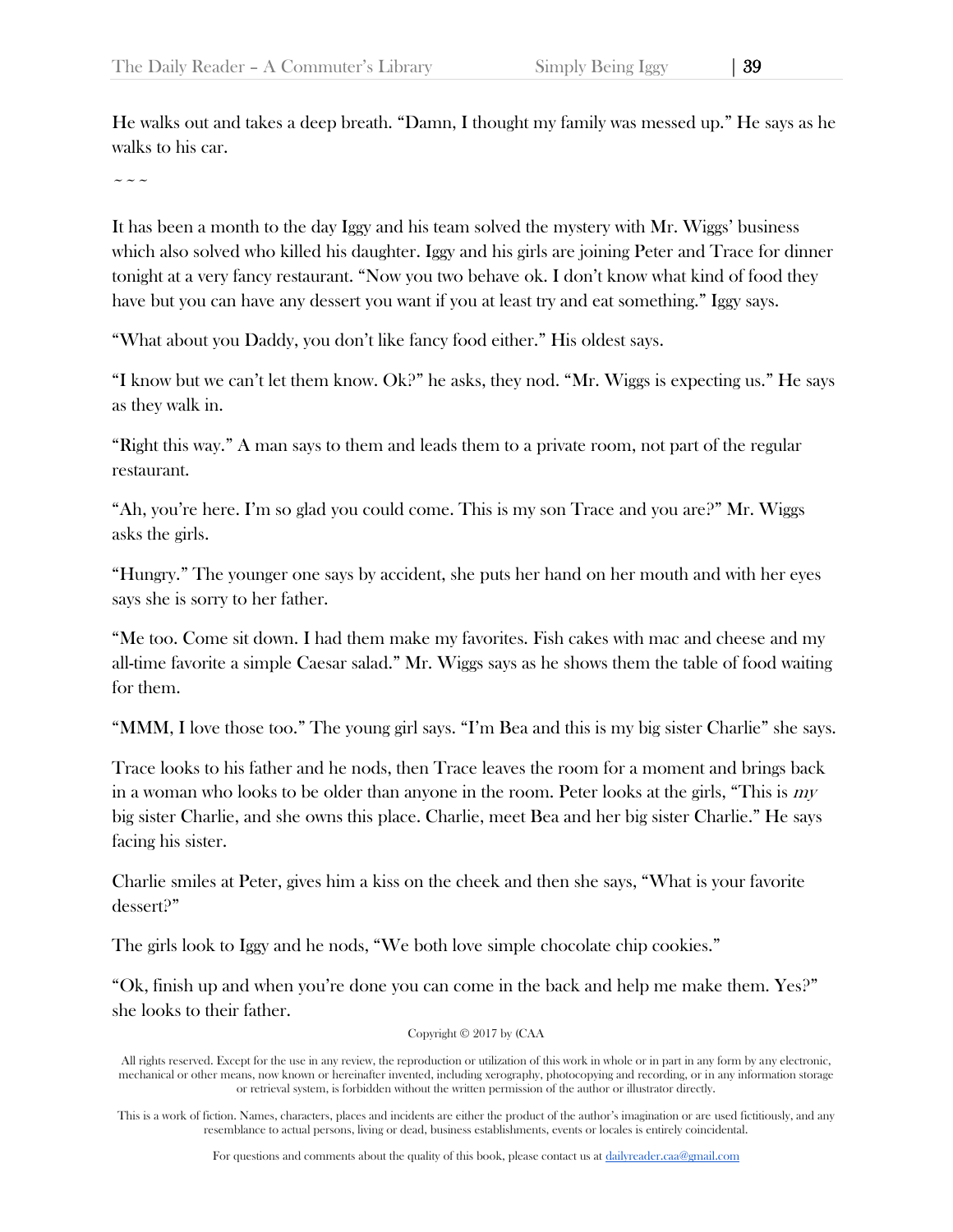He walks out and takes a deep breath. "Damn, I thought my family was messed up." He says as he walks to his car.

 $\sim$   $\sim$   $\sim$ 

It has been a month to the day Iggy and his team solved the mystery with Mr. Wiggs' business which also solved who killed his daughter. Iggy and his girls are joining Peter and Trace for dinner tonight at a very fancy restaurant. "Now you two behave ok. I don't know what kind of food they have but you can have any dessert you want if you at least try and eat something." Iggy says.

"What about you Daddy, you don't like fancy food either." His oldest says.

"I know but we can't let them know.  $\chi$ Re asks, they nod. "Mr. Wiggs is expecting us." He says as they walk in.

"Right this way." A man says to them and leads them to a private room, not part of the regular restaurant.

"Ah, you're here. I'm so glad you could come. This is my son Trace and you are?" Mr. Wiggs asks the girls.

"Hungry." The younger one says by accident, she puts her hand on her mouth and with her eyes says she is sorry to her father.

"Me too. Come sit down. I had them make my favorites. Fish cakes with mac and cheese and my all-time favorite a simple Caesar salad." Mr. Wiggs says as he shows them the table of food waiting for them.

"MMM, I love those too." The young girl says. "I'm Bea and this is my big sister Charlie" she says.

Trace looks to his father and he nods, then Trace leaves the room for a moment and brings back in a woman who looks to be older than anyone in the room. Peter looks at the girls, "This is  $m\bar{v}$ big sister Charlie, and she owns this place. Charlie, meet Bea and her big sister Charlie." He says facing his sister.

Charlie smiles at Peter, gives him a kiss on the cheek and then she says, "What is your favorite dessert?"

The girls look to Iggy and he nods, "We both love simple chocolate chip cookies."

"Ok, finish up and when you're done you can come in the back and help me make them. Yes?" she looks to their father.

Copyright © 2017 by (CAA

All rights reserved. Except for the use in any review, the reproduction or utilization of this work in whole or in part in any form by any electronic, mechanical or other means, now known or hereinafter invented, including xerography, photocopying and recording, or in any information storage or retrieval system, is forbidden without the written permission of the author or illustrator directly.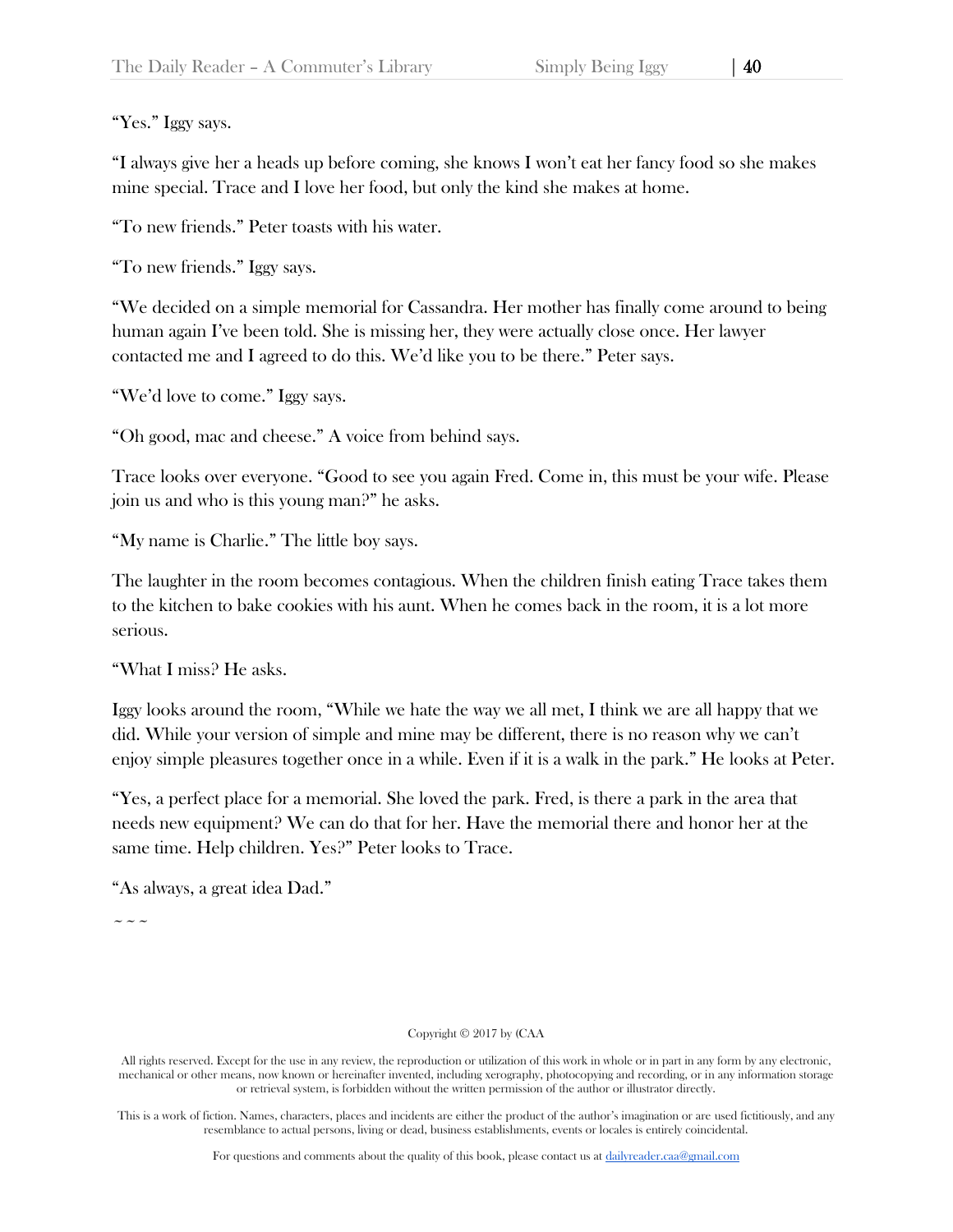"I always give her a heads up before coming, she knows I won't eat her fancy food so she makes mine special. Trace and I love her food, but only the kind she makes at home.

"To new friends." Peter toasts with his water.

"To new friends." Iggy says.

"We decided on a simple memorial for Cassandra. Her mother has finally come around to being human again I've been told. She is missing her, they were actually close once. Her lawyer contacted me and I agreed to do this. We'd like you to be there." Peter says.

"We'd love to come." Iggy says.

"Oh good, mac and cheese." A voice from behind says.

Trace looks over everyone. "Good to see you again Fred. Come in, this must be your wife. Please join us and who is this young man?" he asks.

"My name is Charlie." The little boy says.

The laughter in the room becomes contagious. When the children finish eating Trace takes them to the kitchen to bake cookies with his aunt. When he comes back in the room, it is a lot more serious.

"What I miss? He asks.

Iggy looks around the room, "While we hate the way we all met, I think we are all happy that we did. While your version of simple and mine may be different, there is no reason why we can't enjoy simple pleasures together once in a while. Even if it is a walk in the park." He looks at Peter.

"Yes, a perfect place for a memorial. She loved the park. Fred, is there a park in the area that needs new equipment? We can do that for her. Have the memorial there and honor her at the same time. Help children. Yes?" Peter looks to Trace.

"As always, a great idea Dad."

 $\sim$   $\sim$   $\sim$ 

## Copyright © 2017 by (CAA

All rights reserved. Except for the use in any review, the reproduction or utilization of this work in whole or in part in any form by any electronic, mechanical or other means, now known or hereinafter invented, including xerography, photocopying and recording, or in any information storage or retrieval system, is forbidden without the written permission of the author or illustrator directly.